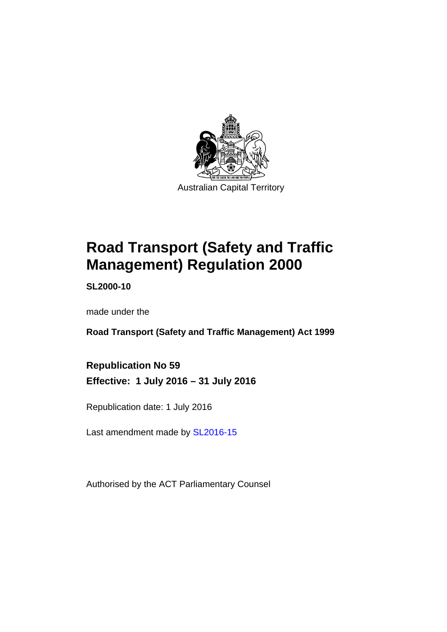

# **Road Transport (Safety and Traffic Management) Regulation 2000**

**SL2000-10** 

made under the

**Road Transport (Safety and Traffic Management) Act 1999** 

**Republication No 59 Effective: 1 July 2016 – 31 July 2016** 

Republication date: 1 July 2016

Last amendment made by [SL2016-15](http://www.legislation.act.gov.au/sl/2016-15)

Authorised by the ACT Parliamentary Counsel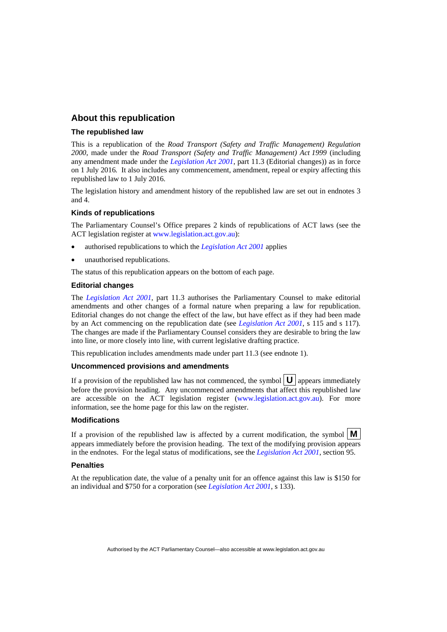#### **About this republication**

#### **The republished law**

This is a republication of the *Road Transport (Safety and Traffic Management) Regulation 2000*, made under the *Road Transport (Safety and Traffic Management) Act 1999* (including any amendment made under the *[Legislation Act 2001](http://www.legislation.act.gov.au/a/2001-14)*, part 11.3 (Editorial changes)) as in force on 1 July 2016*.* It also includes any commencement, amendment, repeal or expiry affecting this republished law to 1 July 2016.

The legislation history and amendment history of the republished law are set out in endnotes 3 and 4.

#### **Kinds of republications**

The Parliamentary Counsel's Office prepares 2 kinds of republications of ACT laws (see the ACT legislation register at [www.legislation.act.gov.au](http://www.legislation.act.gov.au/)):

- authorised republications to which the *[Legislation Act 2001](http://www.legislation.act.gov.au/a/2001-14)* applies
- unauthorised republications.

The status of this republication appears on the bottom of each page.

#### **Editorial changes**

The *[Legislation Act 2001](http://www.legislation.act.gov.au/a/2001-14)*, part 11.3 authorises the Parliamentary Counsel to make editorial amendments and other changes of a formal nature when preparing a law for republication. Editorial changes do not change the effect of the law, but have effect as if they had been made by an Act commencing on the republication date (see *[Legislation Act 2001](http://www.legislation.act.gov.au/a/2001-14)*, s 115 and s 117). The changes are made if the Parliamentary Counsel considers they are desirable to bring the law into line, or more closely into line, with current legislative drafting practice.

This republication includes amendments made under part 11.3 (see endnote 1).

#### **Uncommenced provisions and amendments**

If a provision of the republished law has not commenced, the symbol  $\mathbf{U}$  appears immediately before the provision heading. Any uncommenced amendments that affect this republished law are accessible on the ACT legislation register [\(www.legislation.act.gov.au](http://www.legislation.act.gov.au/)). For more information, see the home page for this law on the register.

#### **Modifications**

If a provision of the republished law is affected by a current modification, the symbol  $\mathbf{M}$ appears immediately before the provision heading. The text of the modifying provision appears in the endnotes. For the legal status of modifications, see the *[Legislation Act 2001](http://www.legislation.act.gov.au/a/2001-14)*, section 95.

#### **Penalties**

At the republication date, the value of a penalty unit for an offence against this law is \$150 for an individual and \$750 for a corporation (see *[Legislation Act 2001](http://www.legislation.act.gov.au/a/2001-14)*, s 133).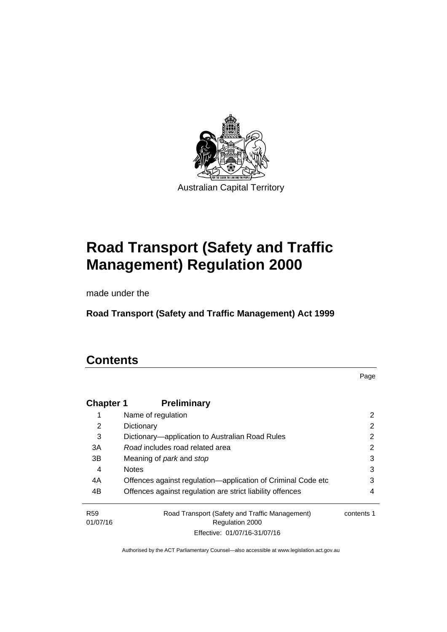

# **Road Transport (Safety and Traffic Management) Regulation 2000**

made under the

**Road Transport (Safety and Traffic Management) Act 1999** 

## **Contents**

Page

| <b>Chapter 1</b>            | <b>Preliminary</b>                                                       |            |
|-----------------------------|--------------------------------------------------------------------------|------------|
|                             | Name of regulation                                                       | 2          |
| 2                           | Dictionary                                                               | 2          |
| 3                           | Dictionary—application to Australian Road Rules                          | 2          |
| 3A                          | Road includes road related area                                          | 2          |
| 3B                          | Meaning of <i>park</i> and <i>stop</i>                                   | 3          |
| 4                           | <b>Notes</b>                                                             | 3          |
| 4A                          | Offences against regulation—application of Criminal Code etc             | 3          |
| 4B                          | Offences against regulation are strict liability offences                | 4          |
| R <sub>59</sub><br>01/07/16 | Road Transport (Safety and Traffic Management)<br><b>Regulation 2000</b> | contents 1 |
|                             | Effective: 01/07/16-31/07/16                                             |            |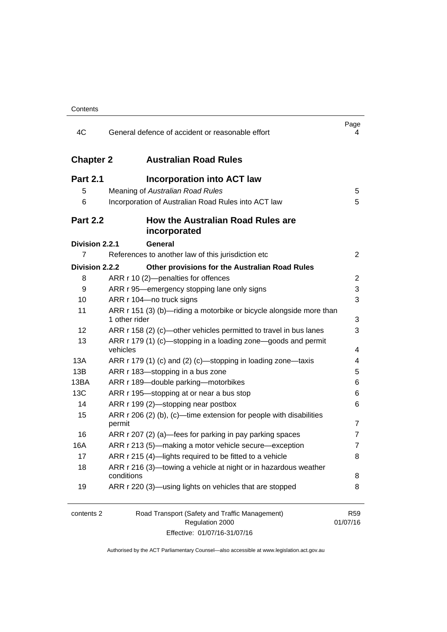| 4C               | General defence of accident or reasonable effort                                                  | Page<br>4                   |
|------------------|---------------------------------------------------------------------------------------------------|-----------------------------|
| <b>Chapter 2</b> | <b>Australian Road Rules</b>                                                                      |                             |
| <b>Part 2.1</b>  | <b>Incorporation into ACT law</b>                                                                 |                             |
| 5                | Meaning of Australian Road Rules                                                                  | 5                           |
| 6                | Incorporation of Australian Road Rules into ACT law                                               | 5                           |
| <b>Part 2.2</b>  | How the Australian Road Rules are<br>incorporated                                                 |                             |
| Division 2.2.1   | General                                                                                           |                             |
| 7                | References to another law of this jurisdiction etc                                                | $\overline{2}$              |
| Division 2.2.2   | Other provisions for the Australian Road Rules                                                    |                             |
| 8                | ARR r 10 (2)-penalties for offences                                                               | 2                           |
| 9                | ARR r 95—emergency stopping lane only signs                                                       | 3                           |
| 10               | ARR r 104-no truck signs                                                                          | 3                           |
| 11               | ARR r 151 (3) (b)—riding a motorbike or bicycle alongside more than<br>1 other rider              | 3                           |
| 12               | ARR r 158 (2) (c)-other vehicles permitted to travel in bus lanes                                 | 3                           |
| 13               | ARR r 179 (1) (c)—stopping in a loading zone—goods and permit<br>vehicles                         | 4                           |
| 13A              | ARR r 179 (1) (c) and (2) (c)-stopping in loading zone-taxis                                      | 4                           |
| 13B              | ARR r 183-stopping in a bus zone                                                                  | 5                           |
| 13BA             | ARR r 189-double parking-motorbikes                                                               | 6                           |
| 13C              | ARR r 195-stopping at or near a bus stop                                                          | 6                           |
| 14               | ARR r 199 (2)-stopping near postbox                                                               | 6                           |
| 15               | ARR r 206 (2) (b), (c)—time extension for people with disabilities<br>permit                      | 7                           |
| 16               | ARR r 207 (2) (a)—fees for parking in pay parking spaces                                          | 7                           |
| 16A              | ARR r 213 (5)-making a motor vehicle secure-exception                                             | 7                           |
| 17               | ARR r 215 (4)-lights required to be fitted to a vehicle                                           | 8                           |
| 18               | ARR r 216 (3)-towing a vehicle at night or in hazardous weather<br>conditions                     | 8                           |
| 19               | ARR r 220 (3)—using lights on vehicles that are stopped                                           | 8                           |
| contents 2       | Road Transport (Safety and Traffic Management)<br>Regulation 2000<br>Effective: 01/07/16-31/07/16 | R <sub>59</sub><br>01/07/16 |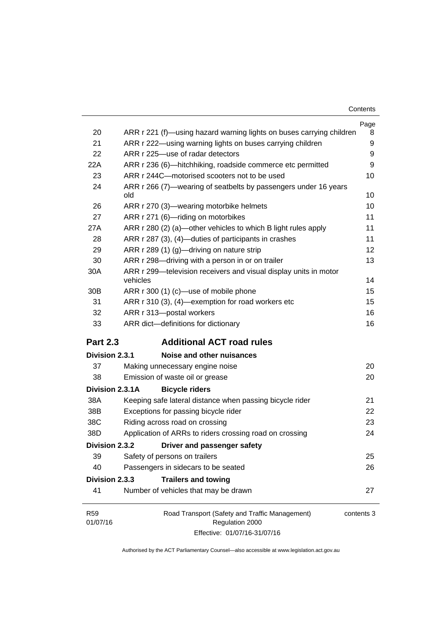| Contents |
|----------|
|----------|

|                 |                                                                              | Page       |
|-----------------|------------------------------------------------------------------------------|------------|
| 20              | ARR r 221 (f)—using hazard warning lights on buses carrying children         | 8          |
| 21              | ARR r 222—using warning lights on buses carrying children                    | 9          |
| 22              | ARR r 225-use of radar detectors                                             | 9          |
| 22A             | ARR r 236 (6)-hitchhiking, roadside commerce etc permitted                   | 9          |
| 23              | ARR r 244C-motorised scooters not to be used                                 | 10         |
| 24              | ARR r 266 (7)—wearing of seatbelts by passengers under 16 years<br>old       | 10         |
| 26              | ARR r 270 (3)—wearing motorbike helmets                                      | 10         |
| 27              | ARR r 271 (6)-riding on motorbikes                                           | 11         |
| 27A             | ARR r 280 (2) (a)—other vehicles to which B light rules apply                | 11         |
| 28              | ARR r 287 (3), (4)—duties of participants in crashes                         | 11         |
| 29              | ARR r 289 (1) (g)—driving on nature strip                                    | 12         |
| 30              | ARR r 298-driving with a person in or on trailer                             | 13         |
| 30A             | ARR r 299-television receivers and visual display units in motor<br>vehicles | 14         |
| 30 <sub>B</sub> | ARR r 300 (1) (c)—use of mobile phone                                        | 15         |
| 31              | ARR r 310 (3), (4)-exemption for road workers etc                            | 15         |
| 32              | ARR r 313-postal workers                                                     | 16         |
| 33              | ARR dict-definitions for dictionary                                          | 16         |
|                 |                                                                              |            |
| <b>Part 2.3</b> | <b>Additional ACT road rules</b>                                             |            |
| Division 2.3.1  | Noise and other nuisances                                                    |            |
| 37              | Making unnecessary engine noise                                              | 20         |
| 38              | Emission of waste oil or grease                                              | 20         |
| Division 2.3.1A | <b>Bicycle riders</b>                                                        |            |
| 38A             | Keeping safe lateral distance when passing bicycle rider                     | 21         |
| 38B             | Exceptions for passing bicycle rider                                         | 22         |
| 38C             | Riding across road on crossing                                               | 23         |
| 38D             | Application of ARRs to riders crossing road on crossing                      | 24         |
| Division 2.3.2  | Driver and passenger safety                                                  |            |
| 39              | Safety of persons on trailers                                                | 25         |
| 40              | Passengers in sidecars to be seated                                          | 26         |
| Division 2.3.3  | <b>Trailers and towing</b>                                                   |            |
| 41              | Number of vehicles that may be drawn                                         | 27         |
| R <sub>59</sub> | Road Transport (Safety and Traffic Management)                               | contents 3 |
| 01/07/16        | Regulation 2000                                                              |            |
|                 | Effective: 01/07/16-31/07/16                                                 |            |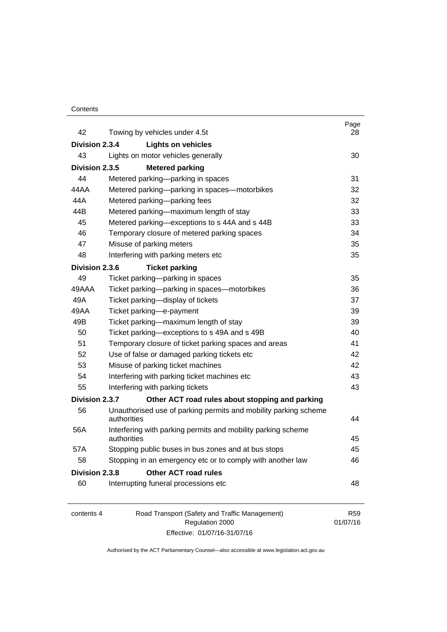#### **Contents**

| 42             | Towing by vehicles under 4.5t                                                  | Page<br>28 |
|----------------|--------------------------------------------------------------------------------|------------|
| Division 2.3.4 | <b>Lights on vehicles</b>                                                      |            |
| 43             | Lights on motor vehicles generally                                             | 30         |
| Division 2.3.5 | <b>Metered parking</b>                                                         |            |
| 44             | Metered parking-parking in spaces                                              | 31         |
| 44AA           | Metered parking-parking in spaces-motorbikes                                   | 32         |
| 44A            | Metered parking-parking fees                                                   | 32         |
| 44B            | Metered parking-maximum length of stay                                         | 33         |
| 45             | Metered parking-exceptions to s 44A and s 44B                                  | 33         |
| 46             | Temporary closure of metered parking spaces                                    | 34         |
| 47             | Misuse of parking meters                                                       | 35         |
| 48             | Interfering with parking meters etc                                            | 35         |
| Division 2.3.6 | <b>Ticket parking</b>                                                          |            |
| 49             | Ticket parking-parking in spaces                                               | 35         |
| 49AAA          | Ticket parking-parking in spaces-motorbikes                                    | 36         |
| 49A            | Ticket parking-display of tickets                                              | 37         |
| 49AA           | Ticket parking-e-payment                                                       | 39         |
| 49B            | Ticket parking-maximum length of stay                                          | 39         |
| 50             | Ticket parking-exceptions to s 49A and s 49B                                   | 40         |
| 51             | Temporary closure of ticket parking spaces and areas                           | 41         |
| 52             | Use of false or damaged parking tickets etc                                    | 42         |
| 53             | Misuse of parking ticket machines                                              | 42         |
| 54             | Interfering with parking ticket machines etc                                   | 43         |
| 55             | Interfering with parking tickets                                               | 43         |
| Division 2.3.7 | Other ACT road rules about stopping and parking                                |            |
| 56             | Unauthorised use of parking permits and mobility parking scheme<br>authorities | 44         |
| 56A            | Interfering with parking permits and mobility parking scheme<br>authorities    | 45         |
| 57A            | Stopping public buses in bus zones and at bus stops                            | 45         |
| 58             | Stopping in an emergency etc or to comply with another law                     | 46         |
| Division 2.3.8 | <b>Other ACT road rules</b>                                                    |            |
| 60             | Interrupting funeral processions etc                                           | 48         |
|                |                                                                                |            |
|                |                                                                                |            |

| contents 4 | Road Transport (Safety and Traffic Management) | R <sub>59</sub> |
|------------|------------------------------------------------|-----------------|
|            | Regulation 2000                                | 01/07/16        |
|            | Effective: 01/07/16-31/07/16                   |                 |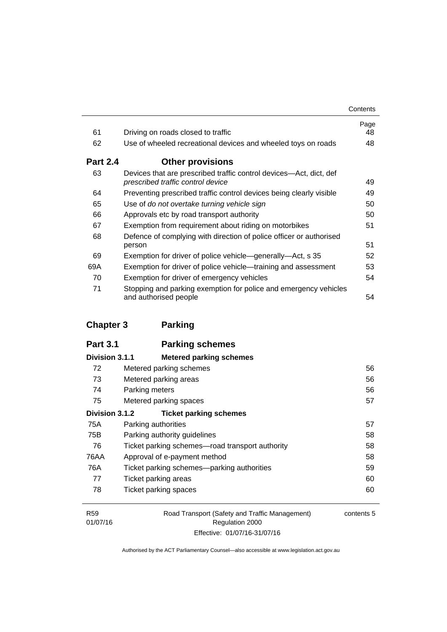| Contents |
|----------|
|----------|

| 61              | Driving on roads closed to traffic                                                                      | Page<br>48 |
|-----------------|---------------------------------------------------------------------------------------------------------|------------|
| 62              | Use of wheeled recreational devices and wheeled toys on roads                                           | 48         |
| <b>Part 2.4</b> | <b>Other provisions</b>                                                                                 |            |
| 63              | Devices that are prescribed traffic control devices—Act, dict, def<br>prescribed traffic control device | 49         |
| 64              | Preventing prescribed traffic control devices being clearly visible                                     | 49         |
| 65              | Use of do not overtake turning vehicle sign                                                             | 50         |
| 66              | Approvals etc by road transport authority                                                               | 50         |
| 67              | Exemption from requirement about riding on motorbikes                                                   | 51         |
| 68              | Defence of complying with direction of police officer or authorised<br>person                           | 51         |
| 69              | Exemption for driver of police vehicle—generally—Act, s 35                                              | 52         |
| 69A             | Exemption for driver of police vehicle—training and assessment                                          | 53         |
| 70              | Exemption for driver of emergency vehicles                                                              | 54         |
| 71              | Stopping and parking exemption for police and emergency vehicles<br>and authorised people               | 54         |

# **[Chapter 3](#page-72-0) Parking**

| Division 3.1.1 | <b>Metered parking schemes</b>                  |    |
|----------------|-------------------------------------------------|----|
| 72             | Metered parking schemes                         | 56 |
| 73             | Metered parking areas                           | 56 |
| 74             | Parking meters                                  | 56 |
| 75             | Metered parking spaces                          | 57 |
| Division 3.1.2 | <b>Ticket parking schemes</b>                   |    |
| 75A            | Parking authorities                             | 57 |
| 75B            | Parking authority guidelines                    | 58 |
| 76             | Ticket parking schemes—road transport authority | 58 |
| 76AA           | Approval of e-payment method                    | 58 |
| 76A            | Ticket parking schemes—parking authorities      | 59 |
| 77             | Ticket parking areas                            | 60 |
| 78             | Ticket parking spaces                           | 60 |

| R <sub>59</sub> | Road Transport (Safety and Traffic Management) | contents 5 |
|-----------------|------------------------------------------------|------------|
| 01/07/16        | Regulation 2000                                |            |
|                 | Effective: 01/07/16-31/07/16                   |            |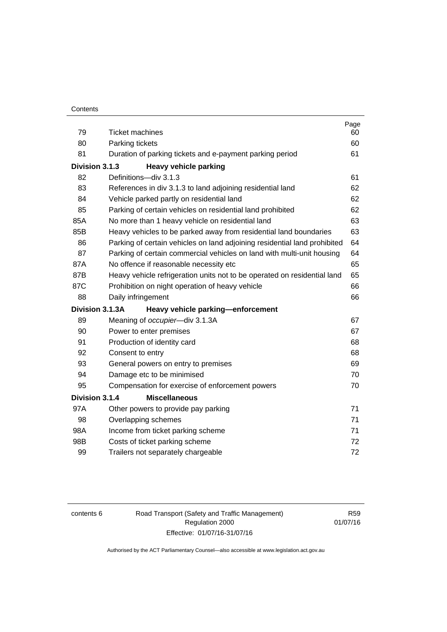| 79             |                                                                           | Page<br>60 |
|----------------|---------------------------------------------------------------------------|------------|
| 80             | <b>Ticket machines</b>                                                    |            |
| 81             | Parking tickets                                                           | 60<br>61   |
|                | Duration of parking tickets and e-payment parking period                  |            |
| Division 3.1.3 | <b>Heavy vehicle parking</b>                                              |            |
| 82             | Definitions-div 3.1.3                                                     | 61         |
| 83             | References in div 3.1.3 to land adjoining residential land                | 62         |
| 84             | Vehicle parked partly on residential land                                 | 62         |
| 85             | Parking of certain vehicles on residential land prohibited                | 62         |
| 85A            | No more than 1 heavy vehicle on residential land                          | 63         |
| 85B            | Heavy vehicles to be parked away from residential land boundaries         | 63         |
| 86             | Parking of certain vehicles on land adjoining residential land prohibited | 64         |
| 87             | Parking of certain commercial vehicles on land with multi-unit housing    | 64         |
| 87A            | No offence if reasonable necessity etc                                    | 65         |
| 87B            | Heavy vehicle refrigeration units not to be operated on residential land  | 65         |
| 87C            | Prohibition on night operation of heavy vehicle                           | 66         |
| 88             | Daily infringement                                                        | 66         |
|                | Division 3.1.3A<br>Heavy vehicle parking-enforcement                      |            |
| 89             | Meaning of occupier-div 3.1.3A                                            | 67         |
| 90             | Power to enter premises                                                   | 67         |
| 91             | Production of identity card                                               | 68         |
| 92             | Consent to entry                                                          | 68         |
| 93             | General powers on entry to premises                                       | 69         |
| 94             | Damage etc to be minimised                                                | 70         |
| 95             | Compensation for exercise of enforcement powers                           | 70         |
| Division 3.1.4 | <b>Miscellaneous</b>                                                      |            |
| 97A            | Other powers to provide pay parking                                       | 71         |
| 98             | Overlapping schemes                                                       | 71         |
| 98A            | Income from ticket parking scheme                                         | 71         |
| 98B            | Costs of ticket parking scheme                                            | 72         |
| 99             | Trailers not separately chargeable                                        | 72         |

contents 6 Road Transport (Safety and Traffic Management) Regulation 2000 Effective: 01/07/16-31/07/16

R59 01/07/16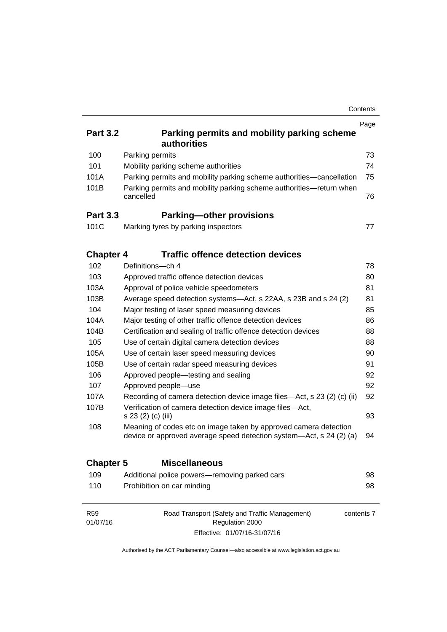| <b>Part 3.2</b><br>100<br>101<br>101A<br>101B        | Parking permits and mobility parking scheme<br><b>authorities</b><br>Parking permits<br>Mobility parking scheme authorities<br>Parking permits and mobility parking scheme authorities-cancellation<br>Parking permits and mobility parking scheme authorities-return when<br>cancelled | Page<br>73<br>74<br>75<br>76 |  |  |
|------------------------------------------------------|-----------------------------------------------------------------------------------------------------------------------------------------------------------------------------------------------------------------------------------------------------------------------------------------|------------------------------|--|--|
| <b>Part 3.3</b>                                      | <b>Parking-other provisions</b>                                                                                                                                                                                                                                                         |                              |  |  |
| 101C                                                 | Marking tyres by parking inspectors                                                                                                                                                                                                                                                     | 77                           |  |  |
| <b>Chapter 4</b>                                     | <b>Traffic offence detection devices</b>                                                                                                                                                                                                                                                |                              |  |  |
| 102                                                  | Definitions-ch 4                                                                                                                                                                                                                                                                        | 78                           |  |  |
| 103                                                  | Approved traffic offence detection devices                                                                                                                                                                                                                                              | 80                           |  |  |
| 103A                                                 | Approval of police vehicle speedometers                                                                                                                                                                                                                                                 | 81                           |  |  |
| 103B                                                 | Average speed detection systems—Act, s 22AA, s 23B and s 24 (2)                                                                                                                                                                                                                         | 81<br>85                     |  |  |
| 104                                                  | Major testing of laser speed measuring devices                                                                                                                                                                                                                                          |                              |  |  |
| 104A                                                 | Major testing of other traffic offence detection devices                                                                                                                                                                                                                                |                              |  |  |
| 104B                                                 | Certification and sealing of traffic offence detection devices                                                                                                                                                                                                                          | 88                           |  |  |
| 105                                                  | Use of certain digital camera detection devices                                                                                                                                                                                                                                         |                              |  |  |
| 105A<br>Use of certain laser speed measuring devices |                                                                                                                                                                                                                                                                                         | 90                           |  |  |
| 105B                                                 | Use of certain radar speed measuring devices                                                                                                                                                                                                                                            | 91                           |  |  |
| 106                                                  | Approved people—testing and sealing                                                                                                                                                                                                                                                     | 92                           |  |  |
| 107                                                  | Approved people-use                                                                                                                                                                                                                                                                     | 92                           |  |  |
| 107A                                                 | Recording of camera detection device image files—Act, s 23 (2) (c) (ii)                                                                                                                                                                                                                 | 92                           |  |  |
| 107B                                                 | Verification of camera detection device image files-Act,<br>s 23 (2) (c) (iii)                                                                                                                                                                                                          | 93                           |  |  |
| 108                                                  | Meaning of codes etc on image taken by approved camera detection<br>device or approved average speed detection system—Act, s 24 (2) (a)                                                                                                                                                 | 94                           |  |  |
| <b>Chapter 5</b>                                     | <b>Miscellaneous</b>                                                                                                                                                                                                                                                                    |                              |  |  |
| 109                                                  | Additional police powers-removing parked cars                                                                                                                                                                                                                                           | 98                           |  |  |
| 110                                                  | Prohibition on car minding                                                                                                                                                                                                                                                              | 98                           |  |  |
| <b>R59</b><br>01/07/16                               | Road Transport (Safety and Traffic Management)<br>contents 7<br>Regulation 2000                                                                                                                                                                                                         |                              |  |  |

Effective: 01/07/16-31/07/16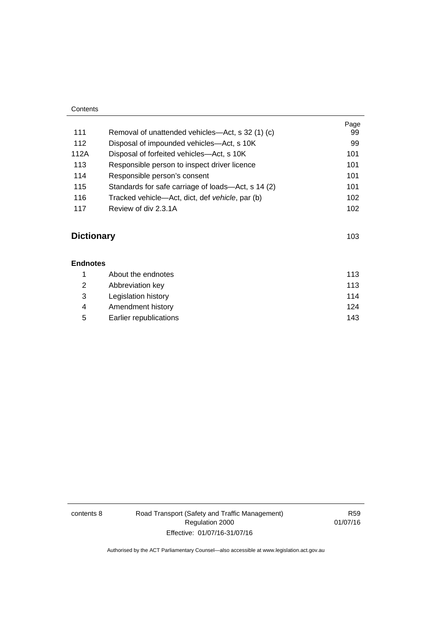| Contents |                                                    |            |
|----------|----------------------------------------------------|------------|
| 111      | Removal of unattended vehicles—Act, s 32 (1) (c)   | Page<br>99 |
| 112      | Disposal of impounded vehicles—Act, s 10K          | 99         |
| 112A     | Disposal of forfeited vehicles—Act, s 10K          | 101        |
| 113      | Responsible person to inspect driver licence       | 101        |
| 114      | Responsible person's consent                       | 101        |
| 115      | Standards for safe carriage of loads—Act, s 14 (2) | 101        |
| 116      | Tracked vehicle—Act, dict, def vehicle, par (b)    | 102        |
| 117      | Review of div 2.3.1A                               | 102        |

## **Dictionary** [103](#page-119-0)

| <b>Endnotes</b> |                        |     |
|-----------------|------------------------|-----|
|                 | About the endnotes     | 113 |
| 2               | Abbreviation key       | 113 |
| 3               | Legislation history    | 114 |
| 4               | Amendment history      | 124 |
| 5               | Earlier republications | 143 |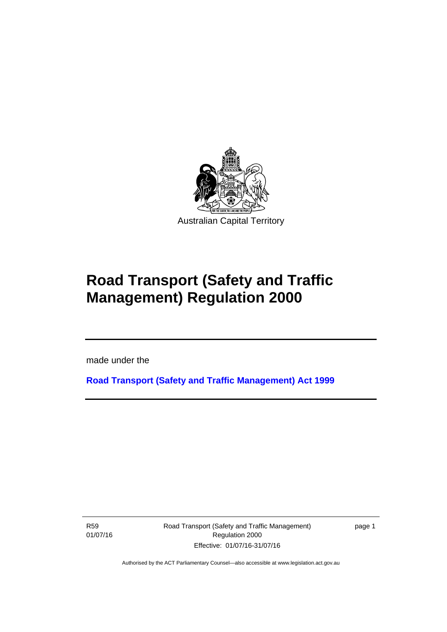

# **Road Transport (Safety and Traffic Management) Regulation 2000**

made under the

**[Road Transport \(Safety and Traffic Management\) Act 1999](http://www.legislation.act.gov.au/a/1999-80)**

R59 01/07/16

l

Road Transport (Safety and Traffic Management) Regulation 2000 Effective: 01/07/16-31/07/16

page 1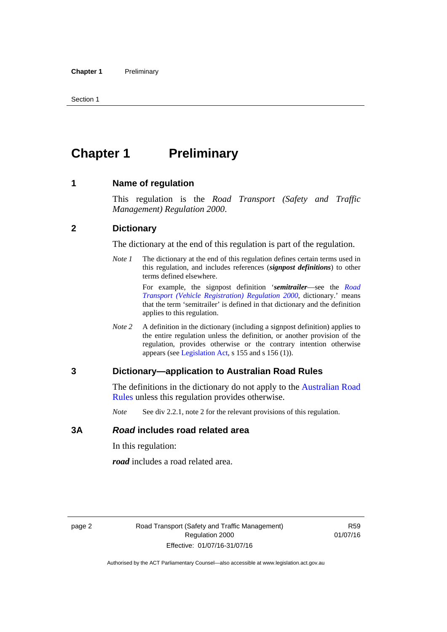# <span id="page-11-0"></span>**Chapter 1** Preliminary

#### <span id="page-11-1"></span>**1 Name of regulation**

This regulation is the *Road Transport (Safety and Traffic Management) Regulation 2000*.

#### <span id="page-11-2"></span>**2 Dictionary**

The dictionary at the end of this regulation is part of the regulation.

*Note 1* The dictionary at the end of this regulation defines certain terms used in this regulation, and includes references (*signpost definitions*) to other terms defined elsewhere.

> For example, the signpost definition '*semitrailer*—see the *[Road](http://www.legislation.act.gov.au/sl/2000-12)  [Transport \(Vehicle Registration\) Regulation 2000](http://www.legislation.act.gov.au/sl/2000-12)*, dictionary.' means that the term 'semitrailer' is defined in that dictionary and the definition applies to this regulation.

*Note 2* A definition in the dictionary (including a signpost definition) applies to the entire regulation unless the definition, or another provision of the regulation, provides otherwise or the contrary intention otherwise appears (see [Legislation Act,](http://www.legislation.act.gov.au/a/2001-14) s 155 and s 156 (1)).

#### <span id="page-11-3"></span>**3 Dictionary—application to Australian Road Rules**

The definitions in the dictionary do not apply to the Australian Road [Rules](http://www.legislation.act.gov.au//ni/db_37271/default.asp) unless this regulation provides otherwise.

*Note* See div 2.2.1, note 2 for the relevant provisions of this regulation.

#### <span id="page-11-4"></span>**3A** *Road* **includes road related area**

In this regulation:

*road* includes a road related area.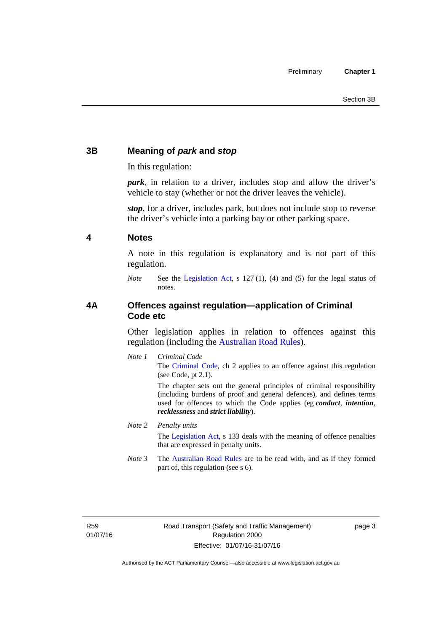### <span id="page-12-0"></span>**3B Meaning of** *park* **and** *stop*

In this regulation:

*park*, in relation to a driver, includes stop and allow the driver's vehicle to stay (whether or not the driver leaves the vehicle).

*stop*, for a driver, includes park, but does not include stop to reverse the driver's vehicle into a parking bay or other parking space.

#### <span id="page-12-1"></span>**4 Notes**

A note in this regulation is explanatory and is not part of this regulation.

*Note* See the [Legislation Act,](http://www.legislation.act.gov.au/a/2001-14) s 127 (1), (4) and (5) for the legal status of notes.

#### <span id="page-12-2"></span>**4A Offences against regulation—application of Criminal Code etc**

Other legislation applies in relation to offences against this regulation (including the [Australian Road Rules](http://www.legislation.act.gov.au//ni/db_37271/default.asp)).

*Note 1 Criminal Code* The [Criminal Code,](http://www.legislation.act.gov.au/a/2002-51) ch 2 applies to an offence against this regulation (see Code, pt 2.1).

> The chapter sets out the general principles of criminal responsibility (including burdens of proof and general defences), and defines terms used for offences to which the Code applies (eg *conduct*, *intention*, *recklessness* and *strict liability*).

#### *Note 2 Penalty units*

The [Legislation Act](http://www.legislation.act.gov.au/a/2001-14), s 133 deals with the meaning of offence penalties that are expressed in penalty units.

*Note 3* The [Australian Road Rules](http://www.legislation.act.gov.au//ni/db_37271/default.asp) are to be read with, and as if they formed part of, this regulation (see s 6).

R59 01/07/16 page 3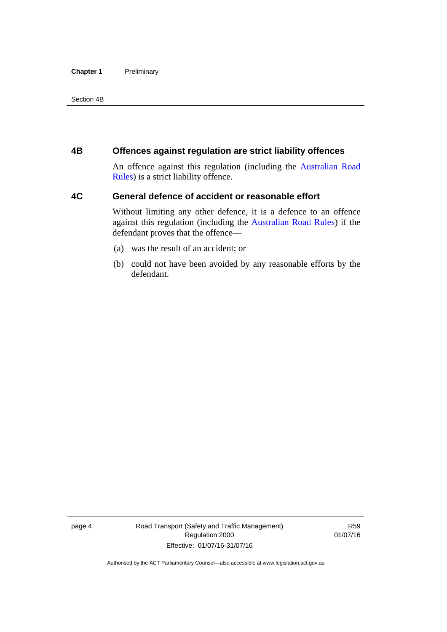#### **Chapter 1** Preliminary

Section 4B

#### <span id="page-13-0"></span>**4B Offences against regulation are strict liability offences**

An offence against this regulation (including the [Australian Road](http://www.legislation.act.gov.au//ni/db_37271/default.asp)  [Rules](http://www.legislation.act.gov.au//ni/db_37271/default.asp)) is a strict liability offence.

#### <span id="page-13-1"></span>**4C General defence of accident or reasonable effort**

Without limiting any other defence, it is a defence to an offence against this regulation (including the [Australian Road Rules\)](http://www.legislation.act.gov.au//ni/db_37271/default.asp) if the defendant proves that the offence—

- (a) was the result of an accident; or
- (b) could not have been avoided by any reasonable efforts by the defendant.

page 4 Road Transport (Safety and Traffic Management) Regulation 2000 Effective: 01/07/16-31/07/16

R59 01/07/16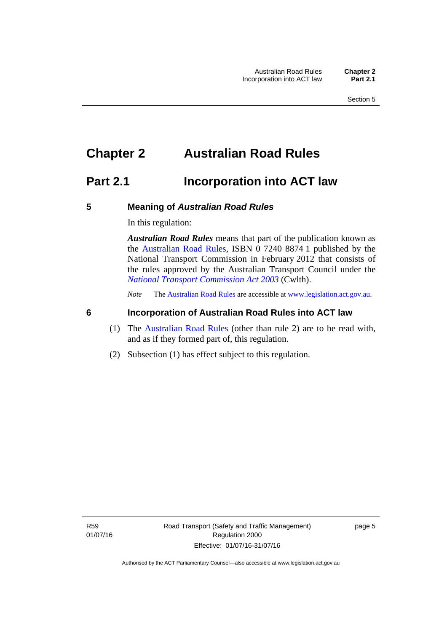# <span id="page-14-0"></span>**Chapter 2 Australian Road Rules**

## <span id="page-14-1"></span>**Part 2.1 Incorporation into ACT law**

#### <span id="page-14-2"></span>**5 Meaning of** *Australian Road Rules*

In this regulation:

*Australian Road Rules* means that part of the publication known as the [Australian Road Rules](http://www.legislation.act.gov.au//ni/db_37271/default.asp), ISBN 0 7240 8874 1 published by the National Transport Commission in February 2012 that consists of the rules approved by the Australian Transport Council under the *[National Transport Commission Act 2003](http://www.comlaw.gov.au/Series/C2004A01166)* (Cwlth).

*Note* The [Australian Road Rules](http://www.legislation.act.gov.au//ni/db_37271/default.asp) are accessible at [www.legislation.act.gov.au](http://www.legislation.act.gov.au/).

#### <span id="page-14-3"></span>**6 Incorporation of Australian Road Rules into ACT law**

- (1) The [Australian Road Rules](http://www.legislation.act.gov.au//ni/db_37271/default.asp) (other than rule 2) are to be read with, and as if they formed part of, this regulation.
- (2) Subsection (1) has effect subject to this regulation.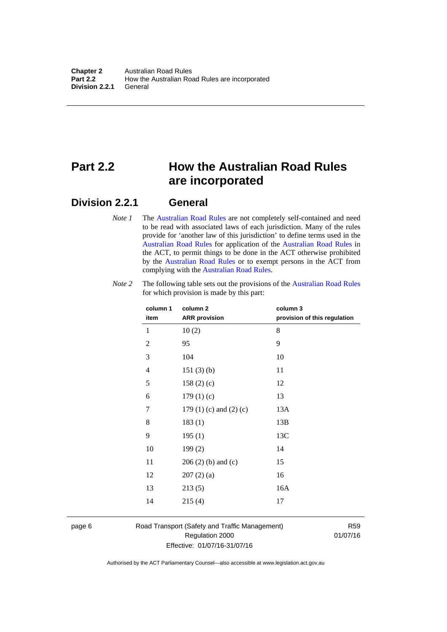# <span id="page-15-0"></span>**Part 2.2 How the Australian Road Rules are incorporated**

#### <span id="page-15-1"></span>**Division 2.2.1 General**

*Note 1* The [Australian Road Rules](http://www.legislation.act.gov.au//ni/db_37271/default.asp) are not completely self-contained and need to be read with associated laws of each jurisdiction. Many of the rules provide for 'another law of this jurisdiction' to define terms used in the [Australian Road Rules](http://www.legislation.act.gov.au//ni/db_37271/default.asp) for application of the [Australian Road Rules](http://www.legislation.act.gov.au//ni/db_37271/default.asp) in the ACT, to permit things to be done in the ACT otherwise prohibited by the [Australian Road Rules](http://www.legislation.act.gov.au//ni/db_37271/default.asp) or to exempt persons in the ACT from complying with the [Australian Road Rules.](http://www.legislation.act.gov.au//ni/db_37271/default.asp)

| column 1<br>item | column 2<br><b>ARR</b> provision | column 3<br>provision of this regulation |
|------------------|----------------------------------|------------------------------------------|
| 1                | 10(2)                            | 8                                        |
| $\mathbf{2}$     | 95                               | 9                                        |
| $\mathfrak{Z}$   | 104                              | 10                                       |
| 4                | 151(3)(b)                        | 11                                       |
| 5                | 158(2)(c)                        | 12                                       |
| 6                | 179(1)(c)                        | 13                                       |
| 7                | 179 $(1)$ $(c)$ and $(2)$ $(c)$  | 13A                                      |
| 8                | 183(1)                           | 13B                                      |
| 9                | 195(1)                           | 13C                                      |
| 10               | 199(2)                           | 14                                       |
| 11               | $206(2)$ (b) and (c)             | 15                                       |
| 12               | 207(2)(a)                        | 16                                       |
| 13               | 213(5)                           | 16A                                      |
| 14               | 215(4)                           | 17                                       |

*Note 2* The following table sets out the provisions of the [Australian Road Rules](http://www.legislation.act.gov.au//ni/db_37271/default.asp) for which provision is made by this part:

page 6 Road Transport (Safety and Traffic Management) Regulation 2000 Effective: 01/07/16-31/07/16

R59 01/07/16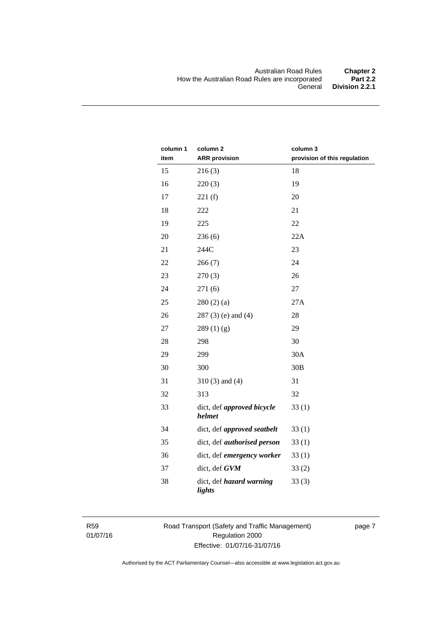| column 1<br>item | column <sub>2</sub><br><b>ARR</b> provision | column 3<br>provision of this regulation |
|------------------|---------------------------------------------|------------------------------------------|
| 15               | 216(3)                                      | 18                                       |
| 16               | 220(3)                                      | 19                                       |
| 17               | 221(f)                                      | 20                                       |
| 18               | 222                                         | 21                                       |
| 19               | 225                                         | 22                                       |
| 20               | 236(6)                                      | 22A                                      |
| 21               | 244C                                        | 23                                       |
| 22               | 266(7)                                      | 24                                       |
| 23               | 270(3)                                      | 26                                       |
| 24               | 271(6)                                      | 27                                       |
| 25               | 280(2)(a)                                   | 27A                                      |
| 26               | $287(3)$ (e) and (4)                        | 28                                       |
| 27               | 289(1)(g)                                   | 29                                       |
| 28               | 298                                         | 30                                       |
| 29               | 299                                         | 30A                                      |
| 30               | 300                                         | 30B                                      |
| 31               | $310(3)$ and $(4)$                          | 31                                       |
| 32               | 313                                         | 32                                       |
| 33               | dict, def approved bicycle<br>helmet        | 33(1)                                    |
| 34               | dict, def approved seatbelt                 | 33(1)                                    |
| 35               | dict, def <i>authorised</i> person          | 33(1)                                    |
| 36               | dict, def emergency worker                  | 33(1)                                    |
| 37               | dict, def GVM                               | 33(2)                                    |
| 38               | dict, def hazard warning<br>lights          | 33(3)                                    |

R59 01/07/16 Road Transport (Safety and Traffic Management) Regulation 2000 Effective: 01/07/16-31/07/16

page 7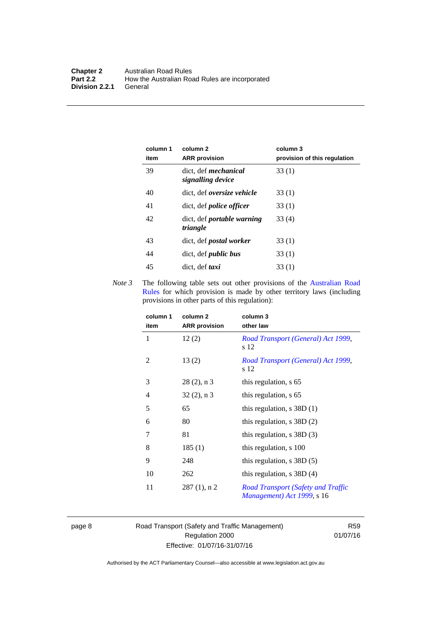| column 1<br>item | column 2<br><b>ARR</b> provision                 | column 3<br>provision of this regulation |
|------------------|--------------------------------------------------|------------------------------------------|
| 39               | dict. def <i>mechanical</i><br>signalling device | 33(1)                                    |
| 40               | dict, def oversize vehicle                       | 33(1)                                    |
| 41               | dict, def <i>police</i> officer                  | 33(1)                                    |
| 42               | dict, def portable warning<br>triangle           | 33(4)                                    |
| 43               | dict, def <i>postal</i> worker                   | 33(1)                                    |
| 44               | dict, def <i>public</i> bus                      | 33(1)                                    |
| 45               | dict, def taxi                                   | 33(1)                                    |

*Note 3* The following table sets out other provisions of the Australian Road [Rules](http://www.legislation.act.gov.au//ni/db_37271/default.asp) for which provision is made by other territory laws (including provisions in other parts of this regulation):

| column 1<br>item | column 2<br><b>ARR</b> provision | column 3<br>other law                                            |
|------------------|----------------------------------|------------------------------------------------------------------|
| 1                | 12(2)                            | Road Transport (General) Act 1999,<br>s 12                       |
| 2                | 13(2)                            | Road Transport (General) Act 1999,<br>s 12                       |
| 3                | $28(2)$ , n 3                    | this regulation, s 65                                            |
| $\overline{4}$   | $32(2)$ , n 3                    | this regulation, s 65                                            |
| 5                | 65                               | this regulation, $s$ 38D (1)                                     |
| 6                | 80                               | this regulation, $s$ 38D $(2)$                                   |
| 7                | 81                               | this regulation, $s$ 38D $(3)$                                   |
| 8                | 185(1)                           | this regulation, s 100                                           |
| 9                | 248                              | this regulation, $s$ 38D $(5)$                                   |
| 10               | 262                              | this regulation, $s$ 38D (4)                                     |
| 11               | $287(1)$ , n 2                   | Road Transport (Safety and Traffic<br>Management) Act 1999, s 16 |

page 8 Road Transport (Safety and Traffic Management) Regulation 2000 Effective: 01/07/16-31/07/16

R59 01/07/16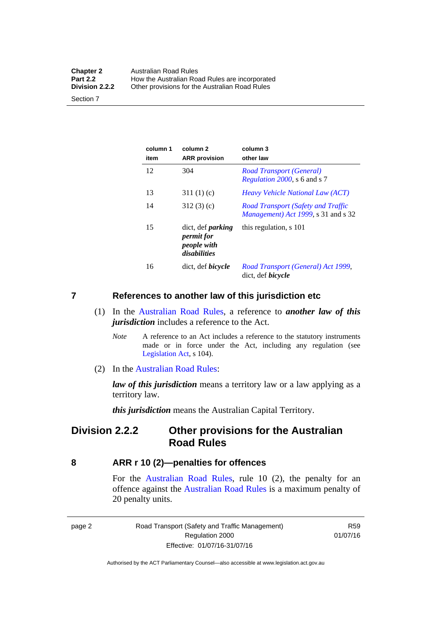| <b>Chapter 2</b> | <b>Australian Road Rules</b>                   |
|------------------|------------------------------------------------|
| <b>Part 2.2</b>  | How the Australian Road Rules are incorporated |
| Division 2.2.2   | Other provisions for the Australian Road Rules |

Section 7

| column 1<br>item | column 2<br><b>ARR</b> provision                                      | column 3<br>other law                                                                    |
|------------------|-----------------------------------------------------------------------|------------------------------------------------------------------------------------------|
| 12               | 304                                                                   | <b>Road Transport (General)</b><br><i>Regulation 2000</i> , s 6 and s 7                  |
| 13               | 311(1)(c)                                                             | <i>Heavy Vehicle National Law (ACT)</i>                                                  |
| 14               | 312(3)(c)                                                             | <b>Road Transport (Safety and Traffic</b><br><i>Management</i> ) Act 1999, s 31 and s 32 |
| 15               | dict, def <i>parking</i><br>permit for<br>people with<br>disabilities | this regulation, s 101                                                                   |
| 16               | dict, def <i>bicycle</i>                                              | Road Transport (General) Act 1999,<br>dict, def <i>bicycle</i>                           |

#### <span id="page-18-0"></span>**7 References to another law of this jurisdiction etc**

- (1) In the [Australian Road Rules,](http://www.legislation.act.gov.au//ni/db_37271/default.asp) a reference to *another law of this jurisdiction* includes a reference to the Act.
	- *Note* A reference to an Act includes a reference to the statutory instruments made or in force under the Act, including any regulation (see [Legislation Act,](http://www.legislation.act.gov.au/a/2001-14) s 104).
- (2) In the [Australian Road Rules](http://www.legislation.act.gov.au//ni/db_37271/default.asp):

*law of this jurisdiction* means a territory law or a law applying as a territory law.

*this jurisdiction* means the Australian Capital Territory.

### <span id="page-18-1"></span>**Division 2.2.2 Other provisions for the Australian Road Rules**

#### <span id="page-18-2"></span>**8 ARR r 10 (2)—penalties for offences**

For the [Australian Road Rules,](http://www.legislation.act.gov.au//ni/db_37271/default.asp) rule 10 (2), the penalty for an offence against the [Australian Road Rules](http://www.legislation.act.gov.au//ni/db_37271/default.asp) is a maximum penalty of 20 penalty units.

|--|--|

Road Transport (Safety and Traffic Management) Regulation 2000 Effective: 01/07/16-31/07/16

R59 01/07/16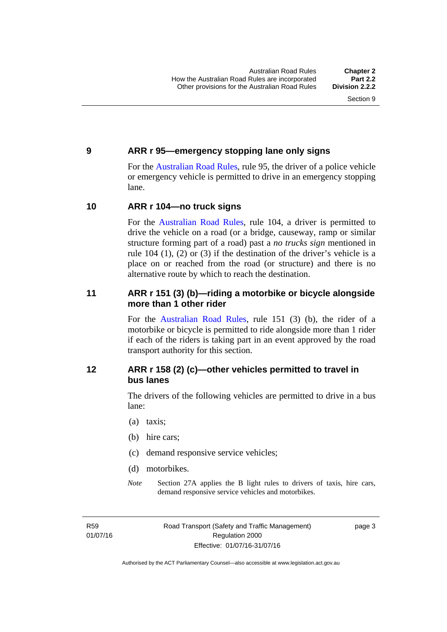#### <span id="page-19-0"></span>**9 ARR r 95—emergency stopping lane only signs**

For the [Australian Road Rules,](http://www.legislation.act.gov.au//ni/db_37271/default.asp) rule 95, the driver of a police vehicle or emergency vehicle is permitted to drive in an emergency stopping lane.

#### <span id="page-19-1"></span>**10 ARR r 104—no truck signs**

For the [Australian Road Rules,](http://www.legislation.act.gov.au//ni/db_37271/default.asp) rule 104, a driver is permitted to drive the vehicle on a road (or a bridge, causeway, ramp or similar structure forming part of a road) past a *no trucks sign* mentioned in rule 104 (1), (2) or (3) if the destination of the driver's vehicle is a place on or reached from the road (or structure) and there is no alternative route by which to reach the destination.

#### <span id="page-19-2"></span>**11 ARR r 151 (3) (b)—riding a motorbike or bicycle alongside more than 1 other rider**

For the [Australian Road Rules](http://www.legislation.act.gov.au//ni/db_37271/default.asp), rule 151 (3) (b), the rider of a motorbike or bicycle is permitted to ride alongside more than 1 rider if each of the riders is taking part in an event approved by the road transport authority for this section.

#### <span id="page-19-3"></span>**12 ARR r 158 (2) (c)—other vehicles permitted to travel in bus lanes**

The drivers of the following vehicles are permitted to drive in a bus lane:

- (a) taxis;
- (b) hire cars;
- (c) demand responsive service vehicles;
- (d) motorbikes.
- *Note* Section 27A applies the B light rules to drivers of taxis, hire cars, demand responsive service vehicles and motorbikes.

R59 01/07/16 page 3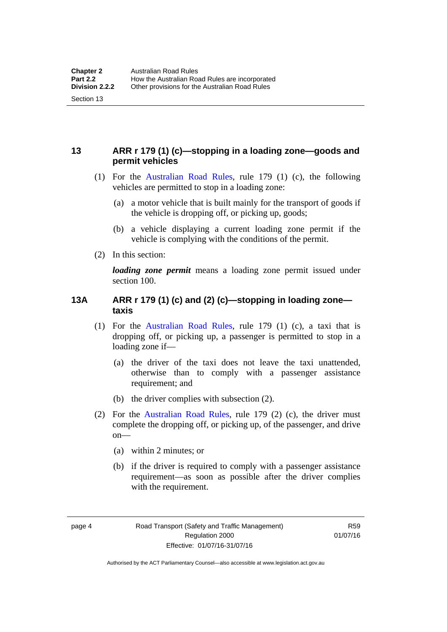### <span id="page-20-0"></span>**13 ARR r 179 (1) (c)—stopping in a loading zone—goods and permit vehicles**

- (1) For the [Australian Road Rules,](http://www.legislation.act.gov.au//ni/db_37271/default.asp) rule 179 (1) (c), the following vehicles are permitted to stop in a loading zone:
	- (a) a motor vehicle that is built mainly for the transport of goods if the vehicle is dropping off, or picking up, goods;
	- (b) a vehicle displaying a current loading zone permit if the vehicle is complying with the conditions of the permit.
- (2) In this section:

Section 13

*loading zone permit* means a loading zone permit issued under section 100.

#### <span id="page-20-1"></span>**13A ARR r 179 (1) (c) and (2) (c)—stopping in loading zone taxis**

- (1) For the [Australian Road Rules,](http://www.legislation.act.gov.au//ni/db_37271/default.asp) rule 179 (1) (c), a taxi that is dropping off, or picking up, a passenger is permitted to stop in a loading zone if—
	- (a) the driver of the taxi does not leave the taxi unattended, otherwise than to comply with a passenger assistance requirement; and
	- (b) the driver complies with subsection (2).
- (2) For the [Australian Road Rules,](http://www.legislation.act.gov.au//ni/db_37271/default.asp) rule 179 (2) (c), the driver must complete the dropping off, or picking up, of the passenger, and drive on—
	- (a) within 2 minutes; or
	- (b) if the driver is required to comply with a passenger assistance requirement—as soon as possible after the driver complies with the requirement.

R59 01/07/16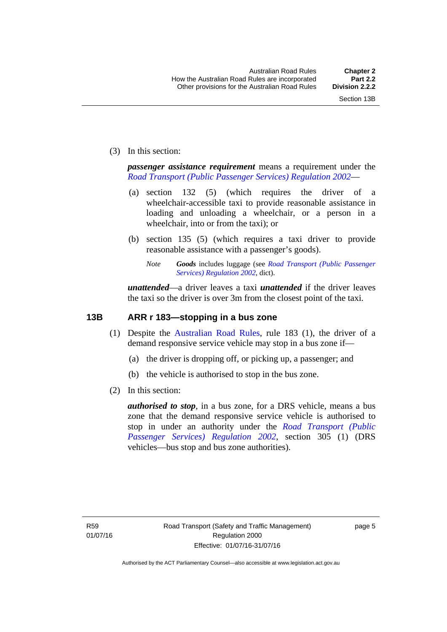(3) In this section:

*passenger assistance requirement* means a requirement under the *[Road Transport \(Public Passenger Services\) Regulation 2002](http://www.legislation.act.gov.au/sl/2002-3)*—

- (a) section 132 (5) (which requires the driver of a wheelchair-accessible taxi to provide reasonable assistance in loading and unloading a wheelchair, or a person in a wheelchair, into or from the taxi); or
- (b) section 135 (5) (which requires a taxi driver to provide reasonable assistance with a passenger's goods).
	- *Note Goods* includes luggage (see *[Road Transport \(Public Passenger](http://www.legislation.act.gov.au/sl/2002-3)  [Services\) Regulation 2002](http://www.legislation.act.gov.au/sl/2002-3)*, dict).

*unattended*—a driver leaves a taxi *unattended* if the driver leaves the taxi so the driver is over 3m from the closest point of the taxi.

#### <span id="page-21-0"></span>**13B ARR r 183—stopping in a bus zone**

- (1) Despite the [Australian Road Rules](http://www.legislation.act.gov.au//ni/db_37271/default.asp), rule 183 (1), the driver of a demand responsive service vehicle may stop in a bus zone if—
	- (a) the driver is dropping off, or picking up, a passenger; and
	- (b) the vehicle is authorised to stop in the bus zone.
- (2) In this section:

*authorised to stop*, in a bus zone, for a DRS vehicle, means a bus zone that the demand responsive service vehicle is authorised to stop in under an authority under the *[Road Transport \(Public](http://www.legislation.act.gov.au/sl/2002-3)  [Passenger Services\) Regulation 2002](http://www.legislation.act.gov.au/sl/2002-3)*, section 305 (1) (DRS vehicles—bus stop and bus zone authorities).

page 5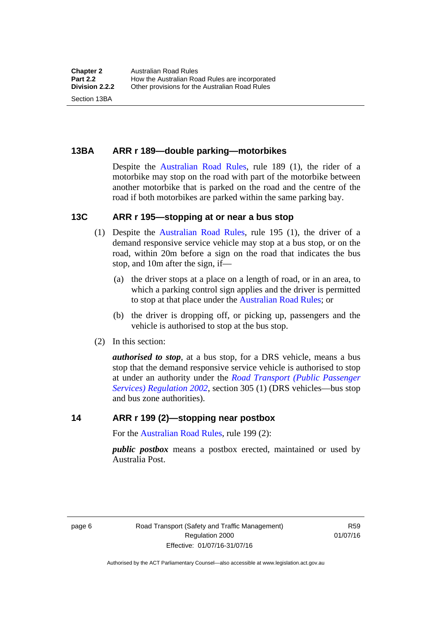<span id="page-22-0"></span>**13BA ARR r 189—double parking—motorbikes** 

Despite the [Australian Road Rules](http://www.legislation.act.gov.au//ni/db_37271/default.asp), rule 189 (1), the rider of a motorbike may stop on the road with part of the motorbike between another motorbike that is parked on the road and the centre of the road if both motorbikes are parked within the same parking bay.

#### <span id="page-22-1"></span>**13C ARR r 195—stopping at or near a bus stop**

- (1) Despite the [Australian Road Rules](http://www.legislation.act.gov.au//ni/db_37271/default.asp), rule 195 (1), the driver of a demand responsive service vehicle may stop at a bus stop, or on the road, within 20m before a sign on the road that indicates the bus stop, and 10m after the sign, if—
	- (a) the driver stops at a place on a length of road, or in an area, to which a parking control sign applies and the driver is permitted to stop at that place under the [Australian Road Rules;](http://www.legislation.act.gov.au//ni/db_37271/default.asp) or
	- (b) the driver is dropping off, or picking up, passengers and the vehicle is authorised to stop at the bus stop.
- (2) In this section:

*authorised to stop*, at a bus stop, for a DRS vehicle, means a bus stop that the demand responsive service vehicle is authorised to stop at under an authority under the *[Road Transport \(Public Passenger](http://www.legislation.act.gov.au/sl/2002-3)  [Services\) Regulation 2002](http://www.legislation.act.gov.au/sl/2002-3)*, section 305 (1) (DRS vehicles—bus stop and bus zone authorities).

#### <span id="page-22-2"></span>**14 ARR r 199 (2)—stopping near postbox**

For the [Australian Road Rules,](http://www.legislation.act.gov.au//ni/db_37271/default.asp) rule 199 (2):

*public postbox* means a postbox erected, maintained or used by Australia Post.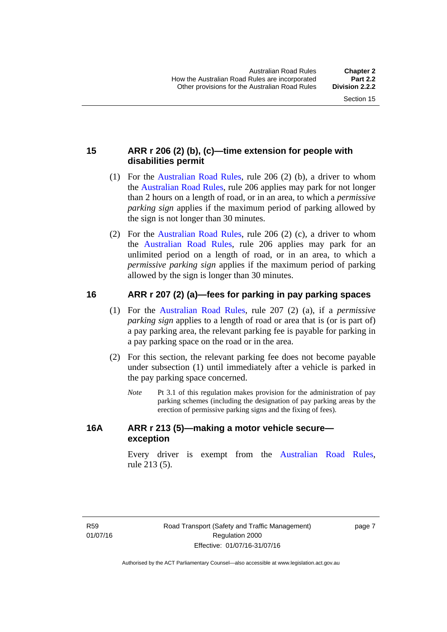### <span id="page-23-0"></span>**15 ARR r 206 (2) (b), (c)—time extension for people with disabilities permit**

- (1) For the [Australian Road Rules,](http://www.legislation.act.gov.au//ni/db_37271/default.asp) rule 206 (2) (b), a driver to whom the [Australian Road Rules,](http://www.legislation.act.gov.au//ni/db_37271/default.asp) rule 206 applies may park for not longer than 2 hours on a length of road, or in an area, to which a *permissive parking sign* applies if the maximum period of parking allowed by the sign is not longer than 30 minutes.
- (2) For the [Australian Road Rules,](http://www.legislation.act.gov.au//ni/db_37271/default.asp) rule 206 (2) (c), a driver to whom the [Australian Road Rules](http://www.legislation.act.gov.au//ni/db_37271/default.asp), rule 206 applies may park for an unlimited period on a length of road, or in an area, to which a *permissive parking sign* applies if the maximum period of parking allowed by the sign is longer than 30 minutes.

#### <span id="page-23-1"></span>**16 ARR r 207 (2) (a)—fees for parking in pay parking spaces**

- (1) For the [Australian Road Rules,](http://www.legislation.act.gov.au//ni/db_37271/default.asp) rule 207 (2) (a), if a *permissive parking sign* applies to a length of road or area that is (or is part of) a pay parking area, the relevant parking fee is payable for parking in a pay parking space on the road or in the area.
- (2) For this section, the relevant parking fee does not become payable under subsection (1) until immediately after a vehicle is parked in the pay parking space concerned.
	- *Note* Pt 3.1 of this regulation makes provision for the administration of pay parking schemes (including the designation of pay parking areas by the erection of permissive parking signs and the fixing of fees).

#### <span id="page-23-2"></span>**16A ARR r 213 (5)—making a motor vehicle secure exception**

Every driver is exempt from the [Australian Road Rules](http://www.legislation.act.gov.au//ni/db_37271/default.asp), rule 213 (5).

R59 01/07/16 page 7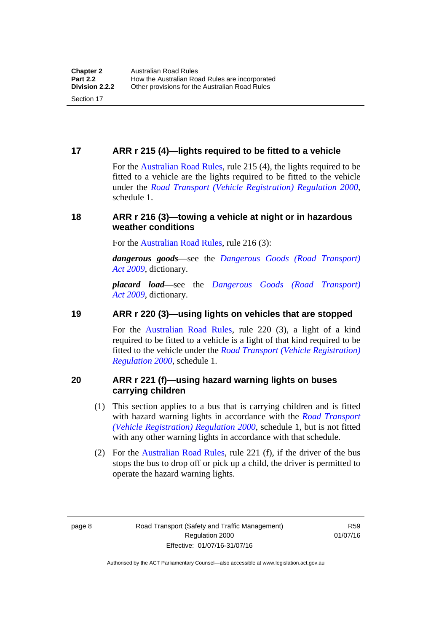#### <span id="page-24-0"></span>**17 ARR r 215 (4)—lights required to be fitted to a vehicle**

For the [Australian Road Rules,](http://www.legislation.act.gov.au//ni/db_37271/default.asp) rule 215 (4), the lights required to be fitted to a vehicle are the lights required to be fitted to the vehicle under the *[Road Transport \(Vehicle Registration\) Regulation 2000](http://www.legislation.act.gov.au/sl/2000-12),*  schedule 1.

#### <span id="page-24-1"></span>**18 ARR r 216 (3)—towing a vehicle at night or in hazardous weather conditions**

For the [Australian Road Rules,](http://www.legislation.act.gov.au//ni/db_37271/default.asp) rule 216 (3):

*dangerous goods*—see the *[Dangerous Goods \(Road Transport\)](http://www.legislation.act.gov.au/a/2009-34)  [Act 2009](http://www.legislation.act.gov.au/a/2009-34)*, dictionary.

*placard load*—see the *[Dangerous Goods \(Road Transport\)](http://www.legislation.act.gov.au/a/2009-34)  [Act 2009](http://www.legislation.act.gov.au/a/2009-34)*, dictionary.

#### <span id="page-24-2"></span>**19 ARR r 220 (3)—using lights on vehicles that are stopped**

For the [Australian Road Rules](http://www.legislation.act.gov.au//ni/db_37271/default.asp), rule 220 (3), a light of a kind required to be fitted to a vehicle is a light of that kind required to be fitted to the vehicle under the *[Road Transport \(Vehicle Registration\)](http://www.legislation.act.gov.au/sl/2000-12)  [Regulation 2000](http://www.legislation.act.gov.au/sl/2000-12)*, schedule 1.

#### <span id="page-24-3"></span>**20 ARR r 221 (f)—using hazard warning lights on buses carrying children**

- (1) This section applies to a bus that is carrying children and is fitted with hazard warning lights in accordance with the *[Road Transport](http://www.legislation.act.gov.au/sl/2000-12)  [\(Vehicle Registration\) Regulation 2000](http://www.legislation.act.gov.au/sl/2000-12)*, schedule 1, but is not fitted with any other warning lights in accordance with that schedule.
- (2) For the [Australian Road Rules](http://www.legislation.act.gov.au//ni/db_37271/default.asp), rule 221 (f), if the driver of the bus stops the bus to drop off or pick up a child, the driver is permitted to operate the hazard warning lights.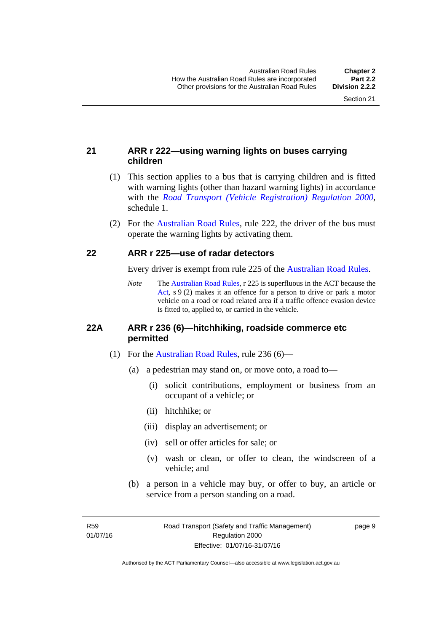#### <span id="page-25-0"></span>**21 ARR r 222—using warning lights on buses carrying children**

- (1) This section applies to a bus that is carrying children and is fitted with warning lights (other than hazard warning lights) in accordance with the *[Road Transport \(Vehicle Registration\) Regulation 2000](http://www.legislation.act.gov.au/sl/2000-12)*, schedule 1.
- (2) For the [Australian Road Rules](http://www.legislation.act.gov.au//ni/db_37271/default.asp), rule 222, the driver of the bus must operate the warning lights by activating them.

#### <span id="page-25-1"></span>**22 ARR r 225—use of radar detectors**

Every driver is exempt from rule 225 of the [Australian Road Rules.](http://www.legislation.act.gov.au//ni/db_37271/default.asp)

*Note* The [Australian Road Rules](http://www.legislation.act.gov.au//ni/db_37271/default.asp), r 225 is superfluous in the ACT because the [Act,](http://www.legislation.act.gov.au/a/1999-80/default.asp) s 9 (2) makes it an offence for a person to drive or park a motor vehicle on a road or road related area if a traffic offence evasion device is fitted to, applied to, or carried in the vehicle.

#### <span id="page-25-2"></span>**22A ARR r 236 (6)—hitchhiking, roadside commerce etc permitted**

- (1) For the [Australian Road Rules](http://www.legislation.act.gov.au//ni/db_37271/default.asp), rule 236 (6)—
	- (a) a pedestrian may stand on, or move onto, a road to—
		- (i) solicit contributions, employment or business from an occupant of a vehicle; or
		- (ii) hitchhike; or
		- (iii) display an advertisement; or
		- (iv) sell or offer articles for sale; or
		- (v) wash or clean, or offer to clean, the windscreen of a vehicle; and
	- (b) a person in a vehicle may buy, or offer to buy, an article or service from a person standing on a road.

R59 01/07/16 page 9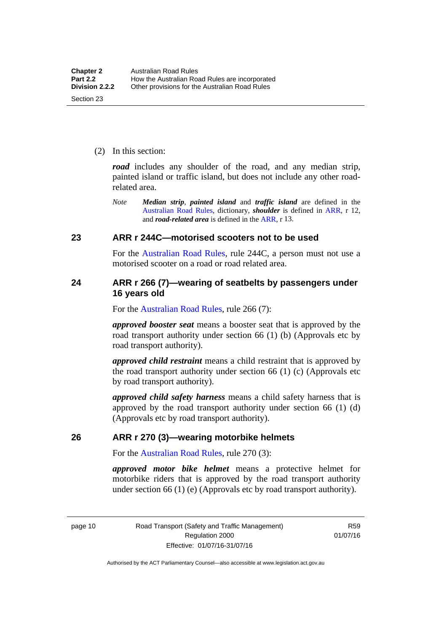(2) In this section:

*road* includes any shoulder of the road, and any median strip, painted island or traffic island, but does not include any other roadrelated area.

*Note Median strip*, *painted island* and *traffic island* are defined in the [Australian Road Rules](http://www.legislation.act.gov.au//ni/db_37271/default.asp), dictionary, *shoulder* is defined in [ARR,](http://www.legislation.act.gov.au//ni/db_37271/default.asp) r 12, and *road-related area* is defined in the [ARR,](http://www.legislation.act.gov.au//ni/db_37271/default.asp) r 13.

#### <span id="page-26-0"></span>**23 ARR r 244C—motorised scooters not to be used**

For the [Australian Road Rules](http://www.legislation.act.gov.au//ni/db_37271/default.asp), rule 244C, a person must not use a motorised scooter on a road or road related area.

#### <span id="page-26-1"></span>**24 ARR r 266 (7)—wearing of seatbelts by passengers under 16 years old**

For the [Australian Road Rules,](http://www.legislation.act.gov.au//ni/db_37271/default.asp) rule 266 (7):

*approved booster seat* means a booster seat that is approved by the road transport authority under section 66 (1) (b) (Approvals etc by road transport authority).

*approved child restraint* means a child restraint that is approved by the road transport authority under section 66 (1) (c) (Approvals etc by road transport authority).

*approved child safety harness* means a child safety harness that is approved by the road transport authority under section 66 (1) (d) (Approvals etc by road transport authority).

#### <span id="page-26-2"></span>**26 ARR r 270 (3)—wearing motorbike helmets**

For the [Australian Road Rules,](http://www.legislation.act.gov.au//ni/db_37271/default.asp) rule 270 (3):

*approved motor bike helmet* means a protective helmet for motorbike riders that is approved by the road transport authority under section 66 (1) (e) (Approvals etc by road transport authority).

page 10 Road Transport (Safety and Traffic Management) Regulation 2000 Effective: 01/07/16-31/07/16

R59 01/07/16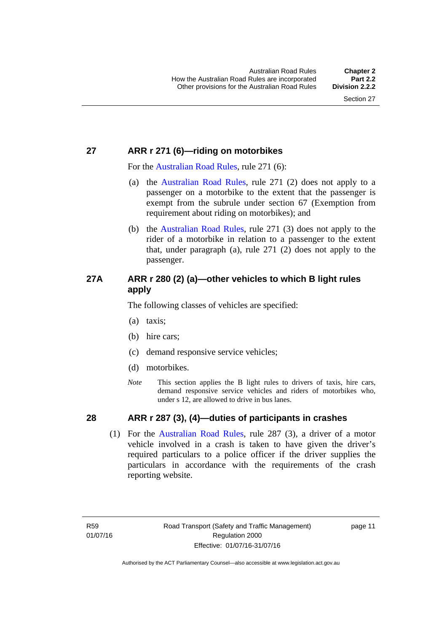### <span id="page-27-0"></span>**27 ARR r 271 (6)—riding on motorbikes**

For the [Australian Road Rules](http://www.legislation.act.gov.au//ni/db_37271/default.asp), rule 271 (6):

- (a) the [Australian Road Rules,](http://www.legislation.act.gov.au//ni/db_37271/default.asp) rule 271 (2) does not apply to a passenger on a motorbike to the extent that the passenger is exempt from the subrule under section 67 (Exemption from requirement about riding on motorbikes); and
- (b) the [Australian Road Rules](http://www.legislation.act.gov.au//ni/db_37271/default.asp), rule 271 (3) does not apply to the rider of a motorbike in relation to a passenger to the extent that, under paragraph (a), rule 271 (2) does not apply to the passenger.

### <span id="page-27-1"></span>**27A ARR r 280 (2) (a)—other vehicles to which B light rules apply**

The following classes of vehicles are specified:

- (a) taxis;
- (b) hire cars;
- (c) demand responsive service vehicles;
- (d) motorbikes.
- *Note* This section applies the B light rules to drivers of taxis, hire cars, demand responsive service vehicles and riders of motorbikes who, under s 12, are allowed to drive in bus lanes.

#### <span id="page-27-2"></span>**28 ARR r 287 (3), (4)—duties of participants in crashes**

 (1) For the [Australian Road Rules,](http://www.legislation.act.gov.au//ni/db_37271/default.asp) rule 287 (3), a driver of a motor vehicle involved in a crash is taken to have given the driver's required particulars to a police officer if the driver supplies the particulars in accordance with the requirements of the crash reporting website.

page 11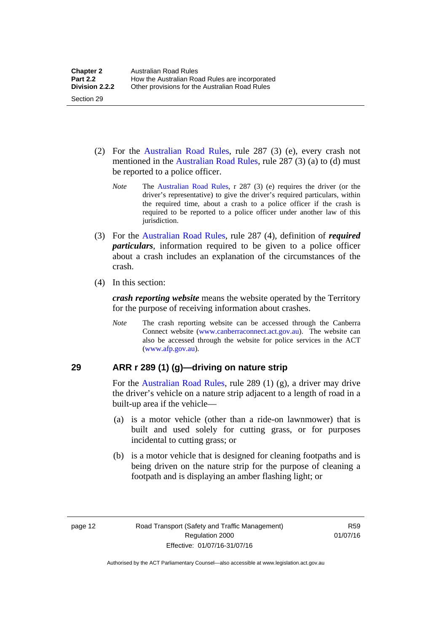- (2) For the [Australian Road Rules](http://www.legislation.act.gov.au//ni/db_37271/default.asp), rule 287 (3) (e), every crash not mentioned in the [Australian Road Rules,](http://www.legislation.act.gov.au//ni/db_37271/default.asp) rule 287 (3) (a) to (d) must be reported to a police officer.
	- *Note* The [Australian Road Rules](http://www.legislation.act.gov.au//ni/db_37271/default.asp), r 287 (3) (e) requires the driver (or the driver's representative) to give the driver's required particulars, within the required time, about a crash to a police officer if the crash is required to be reported to a police officer under another law of this jurisdiction.
- (3) For the [Australian Road Rules](http://www.legislation.act.gov.au//ni/db_37271/default.asp), rule 287 (4), definition of *required particulars*, information required to be given to a police officer about a crash includes an explanation of the circumstances of the crash.
- (4) In this section:

Section 29

*crash reporting website* means the website operated by the Territory for the purpose of receiving information about crashes.

*Note* The crash reporting website can be accessed through the Canberra Connect website [\(www.canberraconnect.act.gov.au](http://www.canberraconnect.act.gov.au/)). The website can also be accessed through the website for police services in the ACT [\(www.afp.gov.au\)](http://www.afp.gov.au/).

#### <span id="page-28-0"></span>**29 ARR r 289 (1) (g)—driving on nature strip**

For the [Australian Road Rules](http://www.legislation.act.gov.au//ni/db_37271/default.asp), rule 289 (1) (g), a driver may drive the driver's vehicle on a nature strip adjacent to a length of road in a built-up area if the vehicle—

- (a) is a motor vehicle (other than a ride-on lawnmower) that is built and used solely for cutting grass, or for purposes incidental to cutting grass; or
- (b) is a motor vehicle that is designed for cleaning footpaths and is being driven on the nature strip for the purpose of cleaning a footpath and is displaying an amber flashing light; or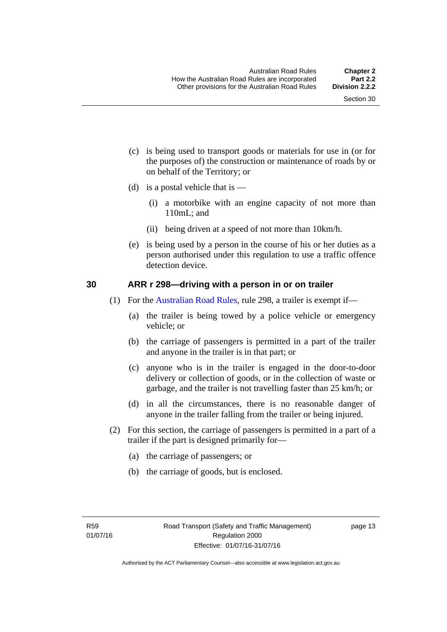- (c) is being used to transport goods or materials for use in (or for the purposes of) the construction or maintenance of roads by or on behalf of the Territory; or
- (d) is a postal vehicle that is  $-$ 
	- (i) a motorbike with an engine capacity of not more than 110mL; and
	- (ii) being driven at a speed of not more than 10km/h.
- (e) is being used by a person in the course of his or her duties as a person authorised under this regulation to use a traffic offence detection device.

#### <span id="page-29-0"></span>**30 ARR r 298—driving with a person in or on trailer**

- (1) For the [Australian Road Rules](http://www.legislation.act.gov.au//ni/db_37271/default.asp), rule 298, a trailer is exempt if—
	- (a) the trailer is being towed by a police vehicle or emergency vehicle; or
	- (b) the carriage of passengers is permitted in a part of the trailer and anyone in the trailer is in that part; or
	- (c) anyone who is in the trailer is engaged in the door-to-door delivery or collection of goods, or in the collection of waste or garbage, and the trailer is not travelling faster than 25 km/h; or
	- (d) in all the circumstances, there is no reasonable danger of anyone in the trailer falling from the trailer or being injured.
- (2) For this section, the carriage of passengers is permitted in a part of a trailer if the part is designed primarily for—
	- (a) the carriage of passengers; or
	- (b) the carriage of goods, but is enclosed.

page 13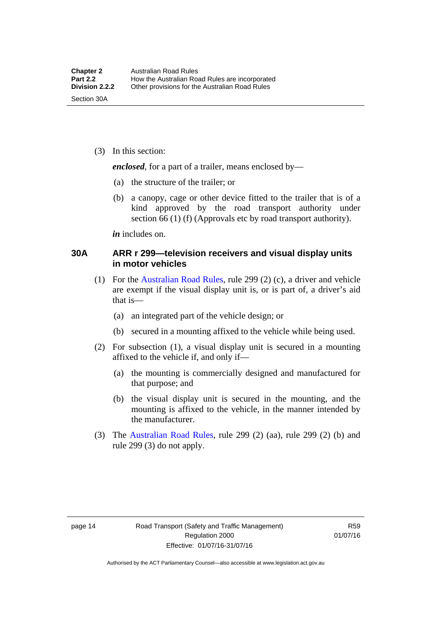(3) In this section:

*enclosed*, for a part of a trailer, means enclosed by—

- (a) the structure of the trailer; or
- (b) a canopy, cage or other device fitted to the trailer that is of a kind approved by the road transport authority under section 66 (1) (f) (Approvals etc by road transport authority).

*in* includes on.

#### <span id="page-30-0"></span>**30A ARR r 299—television receivers and visual display units in motor vehicles**

- (1) For the [Australian Road Rules](http://www.legislation.act.gov.au//ni/db_37271/default.asp), rule 299 (2) (c), a driver and vehicle are exempt if the visual display unit is, or is part of, a driver's aid that is—
	- (a) an integrated part of the vehicle design; or
	- (b) secured in a mounting affixed to the vehicle while being used.
- (2) For subsection (1), a visual display unit is secured in a mounting affixed to the vehicle if, and only if—
	- (a) the mounting is commercially designed and manufactured for that purpose; and
	- (b) the visual display unit is secured in the mounting, and the mounting is affixed to the vehicle, in the manner intended by the manufacturer.
- (3) The [Australian Road Rules](http://www.legislation.act.gov.au//ni/db_37271/default.asp), rule 299 (2) (aa), rule 299 (2) (b) and rule 299 (3) do not apply.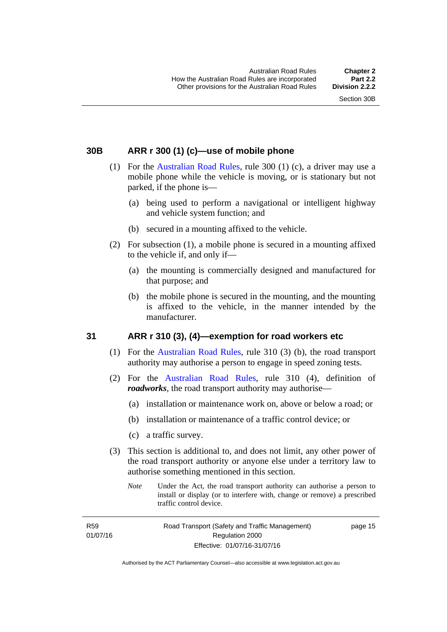#### <span id="page-31-0"></span>**30B ARR r 300 (1) (c)—use of mobile phone**

- (1) For the [Australian Road Rules,](http://www.legislation.act.gov.au//ni/db_37271/default.asp) rule 300 (1) (c), a driver may use a mobile phone while the vehicle is moving, or is stationary but not parked, if the phone is—
	- (a) being used to perform a navigational or intelligent highway and vehicle system function; and
	- (b) secured in a mounting affixed to the vehicle.
- (2) For subsection (1), a mobile phone is secured in a mounting affixed to the vehicle if, and only if—
	- (a) the mounting is commercially designed and manufactured for that purpose; and
	- (b) the mobile phone is secured in the mounting, and the mounting is affixed to the vehicle, in the manner intended by the manufacturer.

#### <span id="page-31-1"></span>**31 ARR r 310 (3), (4)—exemption for road workers etc**

- (1) For the [Australian Road Rules](http://www.legislation.act.gov.au//ni/db_37271/default.asp), rule 310 (3) (b), the road transport authority may authorise a person to engage in speed zoning tests.
- (2) For the [Australian Road Rules](http://www.legislation.act.gov.au//ni/db_37271/default.asp), rule 310 (4), definition of *roadworks*, the road transport authority may authorise—
	- (a) installation or maintenance work on, above or below a road; or
	- (b) installation or maintenance of a traffic control device; or
	- (c) a traffic survey.
- (3) This section is additional to, and does not limit, any other power of the road transport authority or anyone else under a territory law to authorise something mentioned in this section.
	- *Note* Under the Act, the road transport authority can authorise a person to install or display (or to interfere with, change or remove) a prescribed traffic control device.

R59 01/07/16 Road Transport (Safety and Traffic Management) Regulation 2000 Effective: 01/07/16-31/07/16

page 15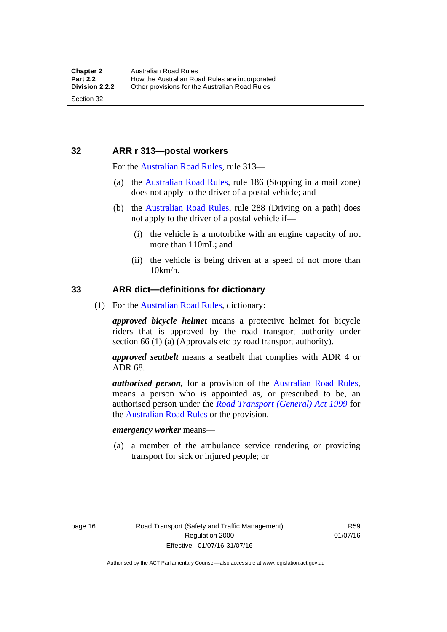#### <span id="page-32-0"></span>**32 ARR r 313—postal workers**

For the [Australian Road Rules,](http://www.legislation.act.gov.au//ni/db_37271/default.asp) rule 313—

- (a) the [Australian Road Rules,](http://www.legislation.act.gov.au//ni/db_37271/default.asp) rule 186 (Stopping in a mail zone) does not apply to the driver of a postal vehicle; and
- (b) the [Australian Road Rules](http://www.legislation.act.gov.au//ni/db_37271/default.asp), rule 288 (Driving on a path) does not apply to the driver of a postal vehicle if—
	- (i) the vehicle is a motorbike with an engine capacity of not more than 110mL; and
	- (ii) the vehicle is being driven at a speed of not more than 10km/h.

#### <span id="page-32-1"></span>**33 ARR dict—definitions for dictionary**

(1) For the [Australian Road Rules,](http://www.legislation.act.gov.au//ni/db_37271/default.asp) dictionary:

*approved bicycle helmet* means a protective helmet for bicycle riders that is approved by the road transport authority under section 66 (1) (a) (Approvals etc by road transport authority).

*approved seatbelt* means a seatbelt that complies with ADR 4 or ADR 68.

*authorised person,* for a provision of the [Australian Road Rules](http://www.legislation.act.gov.au//ni/db_37271/default.asp), means a person who is appointed as, or prescribed to be, an authorised person under the *[Road Transport \(General\) Act 1999](http://www.legislation.act.gov.au/a/1999-77)* for the [Australian Road Rules](http://www.legislation.act.gov.au//ni/db_37271/default.asp) or the provision.

#### *emergency worker* means—

 (a) a member of the ambulance service rendering or providing transport for sick or injured people; or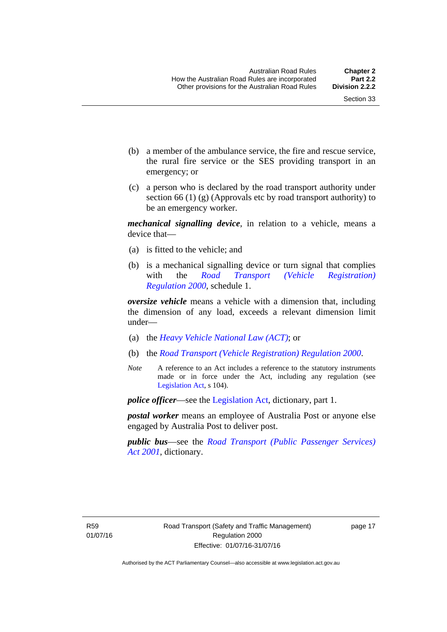- (b) a member of the ambulance service, the fire and rescue service, the rural fire service or the SES providing transport in an emergency; or
- (c) a person who is declared by the road transport authority under section 66 (1) (g) (Approvals etc by road transport authority) to be an emergency worker.

*mechanical signalling device*, in relation to a vehicle, means a device that—

- (a) is fitted to the vehicle; and
- (b) is a mechanical signalling device or turn signal that complies with the *[Road Transport \(Vehicle Registration\)](http://www.legislation.act.gov.au/sl/2000-12)  [Regulation 2000](http://www.legislation.act.gov.au/sl/2000-12)*, schedule 1.

*oversize vehicle* means a vehicle with a dimension that, including the dimension of any load, exceeds a relevant dimension limit under—

- (a) the *[Heavy Vehicle National Law \(ACT\)](http://www.legislation.act.gov.au/a/db_49155/default.asp)*; or
- (b) the *[Road Transport \(Vehicle Registration\) Regulation 2000](http://www.legislation.act.gov.au/sl/2000-12)*.
- *Note* A reference to an Act includes a reference to the statutory instruments made or in force under the Act, including any regulation (see [Legislation Act,](http://www.legislation.act.gov.au/a/2001-14) s 104).

*police officer*—see the [Legislation Act](http://www.legislation.act.gov.au/a/2001-14), dictionary, part 1.

*postal worker* means an employee of Australia Post or anyone else engaged by Australia Post to deliver post.

*public bus*—see the *[Road Transport \(Public Passenger Services\)](http://www.legislation.act.gov.au/a/2001-62)  [Act 2001](http://www.legislation.act.gov.au/a/2001-62)*, dictionary.

page 17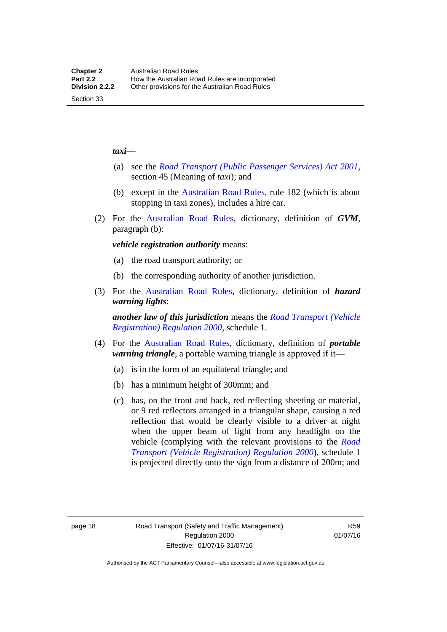#### *taxi*—

Section 33

- (a) see the *[Road Transport \(Public Passenger Services\) Act 2001](http://www.legislation.act.gov.au/a/2001-62)*, section 45 (Meaning of *taxi*); and
- (b) except in the [Australian Road Rules,](http://www.legislation.act.gov.au//ni/db_37271/default.asp) rule 182 (which is about stopping in taxi zones), includes a hire car.
- (2) For the [Australian Road Rules](http://www.legislation.act.gov.au//ni/db_37271/default.asp), dictionary, definition of *GVM*, paragraph (b):

*vehicle registration authority* means:

- (a) the road transport authority; or
- (b) the corresponding authority of another jurisdiction.
- (3) For the [Australian Road Rules](http://www.legislation.act.gov.au//ni/db_37271/default.asp), dictionary, definition of *hazard warning lights*:

*another law of this jurisdiction* means the *[Road Transport \(Vehicle](http://www.legislation.act.gov.au/sl/2000-12)  [Registration\) Regulation 2000](http://www.legislation.act.gov.au/sl/2000-12)*, schedule 1.

- (4) For the [Australian Road Rules](http://www.legislation.act.gov.au//ni/db_37271/default.asp), dictionary, definition of *portable warning triangle*, a portable warning triangle is approved if it—
	- (a) is in the form of an equilateral triangle; and
	- (b) has a minimum height of 300mm; and
	- (c) has, on the front and back, red reflecting sheeting or material, or 9 red reflectors arranged in a triangular shape, causing a red reflection that would be clearly visible to a driver at night when the upper beam of light from any headlight on the vehicle (complying with the relevant provisions to the *[Road](http://www.legislation.act.gov.au/sl/2000-12)  [Transport \(Vehicle Registration\) Regulation 2000](http://www.legislation.act.gov.au/sl/2000-12)*), schedule 1 is projected directly onto the sign from a distance of 200m; and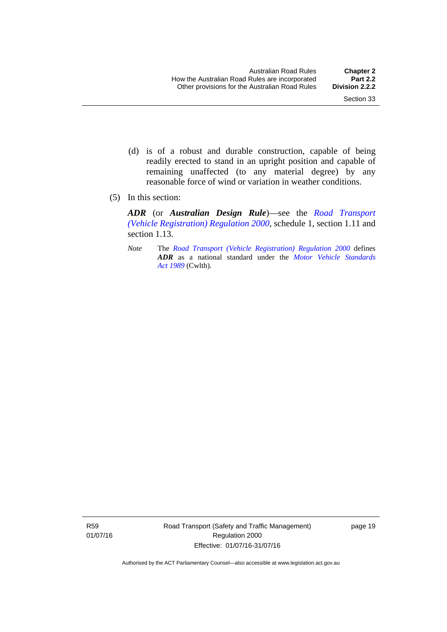- (d) is of a robust and durable construction, capable of being readily erected to stand in an upright position and capable of remaining unaffected (to any material degree) by any reasonable force of wind or variation in weather conditions.
- (5) In this section:

*ADR* (or *Australian Design Rule*)—see the *[Road Transport](http://www.legislation.act.gov.au/sl/2000-12)  [\(Vehicle Registration\) Regulation 2000](http://www.legislation.act.gov.au/sl/2000-12)*, schedule 1, section 1.11 and section 1.13.

*Note* The *[Road Transport \(Vehicle Registration\) Regulation 2000](http://www.legislation.act.gov.au/sl/2000-12)* defines *ADR* as a national standard under the *[Motor Vehicle Standards](http://www.comlaw.gov.au/Series/C2004A03813)  [Act 1989](http://www.comlaw.gov.au/Series/C2004A03813)* (Cwlth).

R59 01/07/16 Road Transport (Safety and Traffic Management) Regulation 2000 Effective: 01/07/16-31/07/16

page 19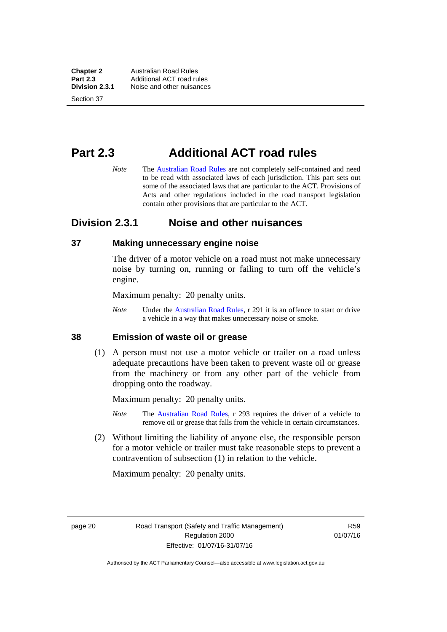**Chapter 2 Australian Road Rules**<br>**Part 2.3 Additional ACT road rules Part 2.3** Additional ACT road rules<br>**Division 2.3.1** Noise and other nuisances **Division 2.3.1** Noise and other nuisances

Section 37

# **Part 2.3 Additional ACT road rules**

*Note* The [Australian Road Rules](http://www.legislation.act.gov.au//ni/db_37271/default.asp) are not completely self-contained and need to be read with associated laws of each jurisdiction. This part sets out some of the associated laws that are particular to the ACT. Provisions of Acts and other regulations included in the road transport legislation contain other provisions that are particular to the ACT.

## **Division 2.3.1 Noise and other nuisances**

#### **37 Making unnecessary engine noise**

The driver of a motor vehicle on a road must not make unnecessary noise by turning on, running or failing to turn off the vehicle's engine.

Maximum penalty: 20 penalty units.

*Note* Under the [Australian Road Rules,](http://www.legislation.act.gov.au//ni/db_37271/default.asp) r 291 it is an offence to start or drive a vehicle in a way that makes unnecessary noise or smoke.

#### **38 Emission of waste oil or grease**

 (1) A person must not use a motor vehicle or trailer on a road unless adequate precautions have been taken to prevent waste oil or grease from the machinery or from any other part of the vehicle from dropping onto the roadway.

Maximum penalty: 20 penalty units.

- *Note* The [Australian Road Rules,](http://www.legislation.act.gov.au//ni/db_37271/default.asp) r 293 requires the driver of a vehicle to remove oil or grease that falls from the vehicle in certain circumstances.
- (2) Without limiting the liability of anyone else, the responsible person for a motor vehicle or trailer must take reasonable steps to prevent a contravention of subsection (1) in relation to the vehicle.

Maximum penalty: 20 penalty units.

page 20 Road Transport (Safety and Traffic Management) Regulation 2000 Effective: 01/07/16-31/07/16

R59 01/07/16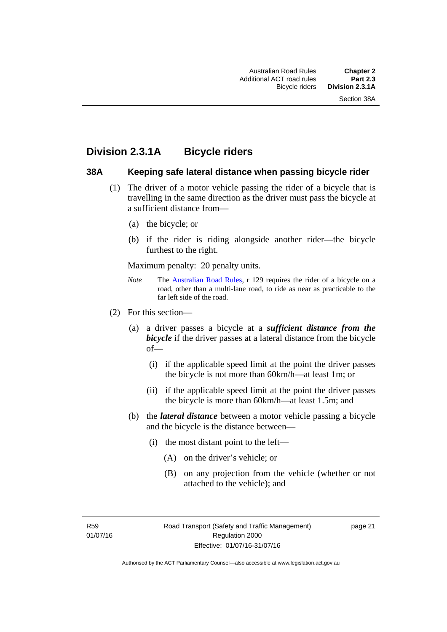# **Division 2.3.1A Bicycle riders**

#### **38A Keeping safe lateral distance when passing bicycle rider**

- (1) The driver of a motor vehicle passing the rider of a bicycle that is travelling in the same direction as the driver must pass the bicycle at a sufficient distance from—
	- (a) the bicycle; or
	- (b) if the rider is riding alongside another rider—the bicycle furthest to the right.

Maximum penalty: 20 penalty units.

- *Note* **The [Australian Road Rules](http://www.legislation.act.gov.au//ni/db_37271/default.asp), r 129 requires the rider of a bicycle on a** road, other than a multi-lane road, to ride as near as practicable to the far left side of the road.
- (2) For this section—
	- (a) a driver passes a bicycle at a *sufficient distance from the bicycle* if the driver passes at a lateral distance from the bicycle of—
		- (i) if the applicable speed limit at the point the driver passes the bicycle is not more than 60km/h—at least 1m; or
		- (ii) if the applicable speed limit at the point the driver passes the bicycle is more than 60km/h—at least 1.5m; and
	- (b) the *lateral distance* between a motor vehicle passing a bicycle and the bicycle is the distance between—
		- (i) the most distant point to the left—
			- (A) on the driver's vehicle; or
			- (B) on any projection from the vehicle (whether or not attached to the vehicle); and

R59 01/07/16 page 21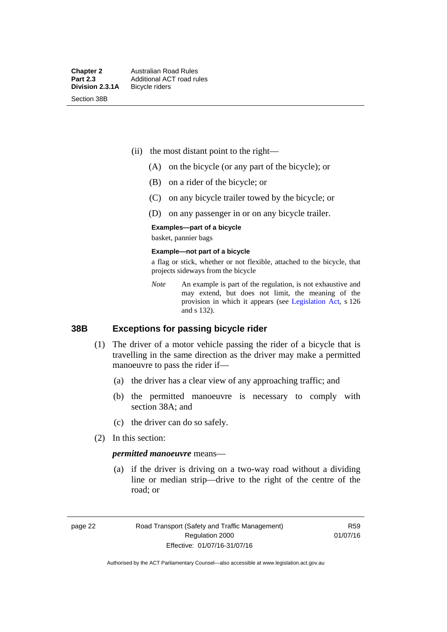Section 38B

- (ii) the most distant point to the right—
	- (A) on the bicycle (or any part of the bicycle); or
	- (B) on a rider of the bicycle; or
	- (C) on any bicycle trailer towed by the bicycle; or
	- (D) on any passenger in or on any bicycle trailer.

#### **Examples—part of a bicycle**

basket, pannier bags

#### **Example—not part of a bicycle**

a flag or stick, whether or not flexible, attached to the bicycle, that projects sideways from the bicycle

*Note* An example is part of the regulation, is not exhaustive and may extend, but does not limit, the meaning of the provision in which it appears (see [Legislation Act](http://www.legislation.act.gov.au/a/2001-14), s 126 and s 132).

#### **38B Exceptions for passing bicycle rider**

- (1) The driver of a motor vehicle passing the rider of a bicycle that is travelling in the same direction as the driver may make a permitted manoeuvre to pass the rider if—
	- (a) the driver has a clear view of any approaching traffic; and
	- (b) the permitted manoeuvre is necessary to comply with section 38A; and
	- (c) the driver can do so safely.
- (2) In this section:

#### *permitted manoeuvre* means—

 (a) if the driver is driving on a two-way road without a dividing line or median strip—drive to the right of the centre of the road; or

page 22 Road Transport (Safety and Traffic Management) Regulation 2000 Effective: 01/07/16-31/07/16

R59 01/07/16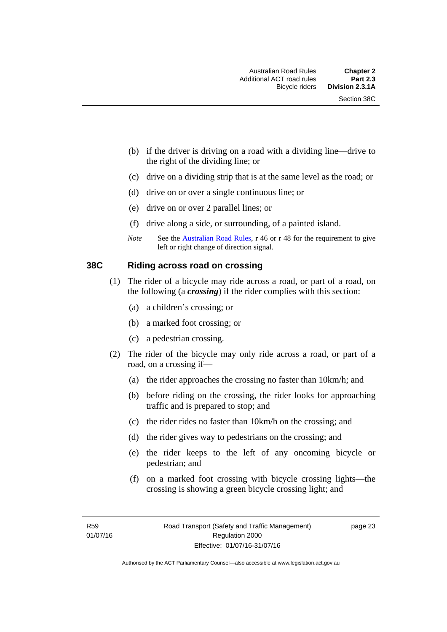- (b) if the driver is driving on a road with a dividing line—drive to the right of the dividing line; or
- (c) drive on a dividing strip that is at the same level as the road; or
- (d) drive on or over a single continuous line; or
- (e) drive on or over 2 parallel lines; or
- (f) drive along a side, or surrounding, of a painted island.
- *Note* See the [Australian Road Rules,](http://www.legislation.act.gov.au//ni/db_37271/default.asp) r 46 or r 48 for the requirement to give left or right change of direction signal.

#### **38C Riding across road on crossing**

- (1) The rider of a bicycle may ride across a road, or part of a road, on the following (a *crossing*) if the rider complies with this section:
	- (a) a children's crossing; or
	- (b) a marked foot crossing; or
	- (c) a pedestrian crossing.
- (2) The rider of the bicycle may only ride across a road, or part of a road, on a crossing if—
	- (a) the rider approaches the crossing no faster than 10km/h; and
	- (b) before riding on the crossing, the rider looks for approaching traffic and is prepared to stop; and
	- (c) the rider rides no faster than 10km/h on the crossing; and
	- (d) the rider gives way to pedestrians on the crossing; and
	- (e) the rider keeps to the left of any oncoming bicycle or pedestrian; and
	- (f) on a marked foot crossing with bicycle crossing lights—the crossing is showing a green bicycle crossing light; and

page 23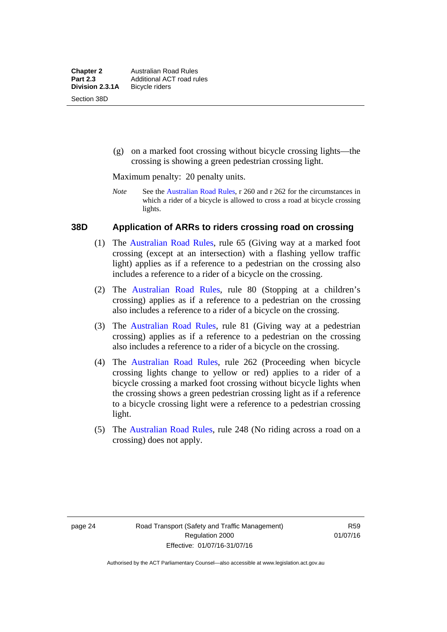(g) on a marked foot crossing without bicycle crossing lights—the crossing is showing a green pedestrian crossing light.

Maximum penalty: 20 penalty units.

*Note* See the [Australian Road Rules](http://www.legislation.act.gov.au//ni/db_37271/default.asp), r 260 and r 262 for the circumstances in which a rider of a bicycle is allowed to cross a road at bicycle crossing lights.

#### **38D Application of ARRs to riders crossing road on crossing**

- (1) The [Australian Road Rules,](http://www.legislation.act.gov.au//ni/db_37271/default.asp) rule 65 (Giving way at a marked foot crossing (except at an intersection) with a flashing yellow traffic light) applies as if a reference to a pedestrian on the crossing also includes a reference to a rider of a bicycle on the crossing.
- (2) The [Australian Road Rules](http://www.legislation.act.gov.au//ni/db_37271/default.asp), rule 80 (Stopping at a children's crossing) applies as if a reference to a pedestrian on the crossing also includes a reference to a rider of a bicycle on the crossing.
- (3) The [Australian Road Rules,](http://www.legislation.act.gov.au//ni/db_37271/default.asp) rule 81 (Giving way at a pedestrian crossing) applies as if a reference to a pedestrian on the crossing also includes a reference to a rider of a bicycle on the crossing.
- (4) The [Australian Road Rules](http://www.legislation.act.gov.au//ni/db_37271/default.asp), rule 262 (Proceeding when bicycle crossing lights change to yellow or red) applies to a rider of a bicycle crossing a marked foot crossing without bicycle lights when the crossing shows a green pedestrian crossing light as if a reference to a bicycle crossing light were a reference to a pedestrian crossing light.
- (5) The [Australian Road Rules](http://www.legislation.act.gov.au//ni/db_37271/default.asp), rule 248 (No riding across a road on a crossing) does not apply.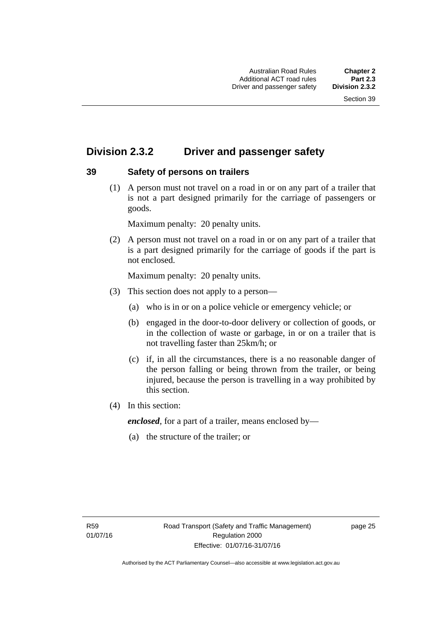# **Division 2.3.2 Driver and passenger safety**

## **39 Safety of persons on trailers**

 (1) A person must not travel on a road in or on any part of a trailer that is not a part designed primarily for the carriage of passengers or goods.

Maximum penalty: 20 penalty units.

 (2) A person must not travel on a road in or on any part of a trailer that is a part designed primarily for the carriage of goods if the part is not enclosed.

Maximum penalty: 20 penalty units.

- (3) This section does not apply to a person—
	- (a) who is in or on a police vehicle or emergency vehicle; or
	- (b) engaged in the door-to-door delivery or collection of goods, or in the collection of waste or garbage, in or on a trailer that is not travelling faster than 25km/h; or
	- (c) if, in all the circumstances, there is a no reasonable danger of the person falling or being thrown from the trailer, or being injured, because the person is travelling in a way prohibited by this section.
- (4) In this section:

*enclosed*, for a part of a trailer, means enclosed by—

(a) the structure of the trailer; or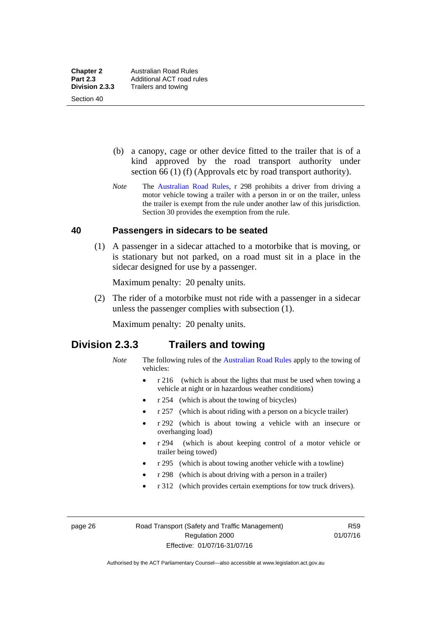Section 40

 (b) a canopy, cage or other device fitted to the trailer that is of a kind approved by the road transport authority under section 66 (1) (f) (Approvals etc by road transport authority).

*Note* The [Australian Road Rules](http://www.legislation.act.gov.au//ni/db_37271/default.asp), r 298 prohibits a driver from driving a motor vehicle towing a trailer with a person in or on the trailer, unless the trailer is exempt from the rule under another law of this jurisdiction. Section 30 provides the exemption from the rule.

#### **40 Passengers in sidecars to be seated**

 (1) A passenger in a sidecar attached to a motorbike that is moving, or is stationary but not parked, on a road must sit in a place in the sidecar designed for use by a passenger.

Maximum penalty: 20 penalty units.

 (2) The rider of a motorbike must not ride with a passenger in a sidecar unless the passenger complies with subsection (1).

Maximum penalty: 20 penalty units.

## **Division 2.3.3 Trailers and towing**

- *Note* The following rules of the [Australian Road Rules](http://www.legislation.act.gov.au//ni/db_37271/default.asp) apply to the towing of vehicles:
	- r 216 (which is about the lights that must be used when towing a vehicle at night or in hazardous weather conditions)
	- r 254 (which is about the towing of bicycles)
	- r 257 (which is about riding with a person on a bicycle trailer)
	- r 292 (which is about towing a vehicle with an insecure or overhanging load)
	- r 294 (which is about keeping control of a motor vehicle or trailer being towed)
	- r 295 (which is about towing another vehicle with a towline)
	- r 298 (which is about driving with a person in a trailer)
	- r 312 (which provides certain exemptions for tow truck drivers).

page 26 Road Transport (Safety and Traffic Management) Regulation 2000 Effective: 01/07/16-31/07/16

R59 01/07/16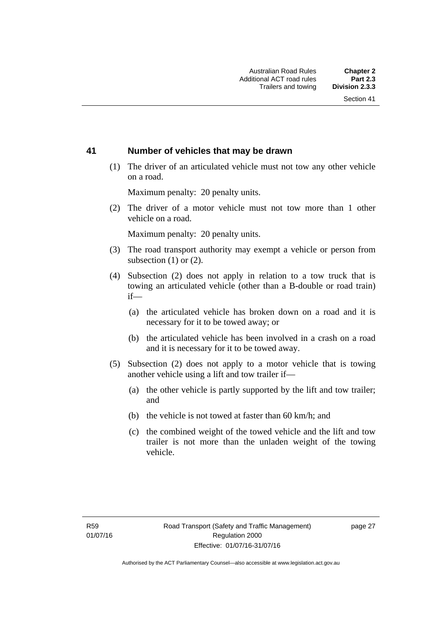### **41 Number of vehicles that may be drawn**

 (1) The driver of an articulated vehicle must not tow any other vehicle on a road.

Maximum penalty: 20 penalty units.

 (2) The driver of a motor vehicle must not tow more than 1 other vehicle on a road.

Maximum penalty: 20 penalty units.

- (3) The road transport authority may exempt a vehicle or person from subsection (1) or (2).
- (4) Subsection (2) does not apply in relation to a tow truck that is towing an articulated vehicle (other than a B-double or road train) if—
	- (a) the articulated vehicle has broken down on a road and it is necessary for it to be towed away; or
	- (b) the articulated vehicle has been involved in a crash on a road and it is necessary for it to be towed away.
- (5) Subsection (2) does not apply to a motor vehicle that is towing another vehicle using a lift and tow trailer if—
	- (a) the other vehicle is partly supported by the lift and tow trailer; and
	- (b) the vehicle is not towed at faster than 60 km/h; and
	- (c) the combined weight of the towed vehicle and the lift and tow trailer is not more than the unladen weight of the towing vehicle.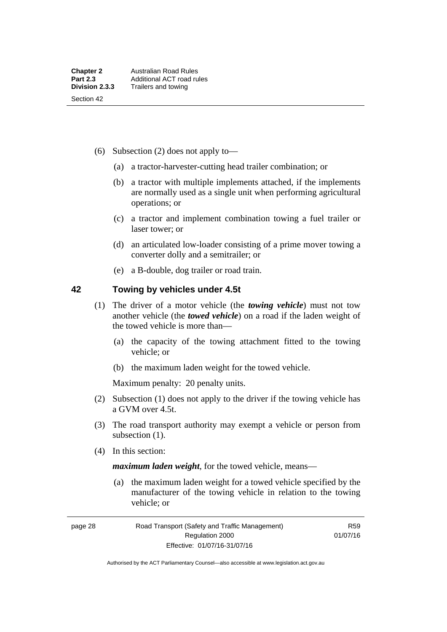- (6) Subsection (2) does not apply to—
	- (a) a tractor-harvester-cutting head trailer combination; or
	- (b) a tractor with multiple implements attached, if the implements are normally used as a single unit when performing agricultural operations; or
	- (c) a tractor and implement combination towing a fuel trailer or laser tower; or
	- (d) an articulated low-loader consisting of a prime mover towing a converter dolly and a semitrailer; or
	- (e) a B-double, dog trailer or road train.

#### **42 Towing by vehicles under 4.5t**

- (1) The driver of a motor vehicle (the *towing vehicle*) must not tow another vehicle (the *towed vehicle*) on a road if the laden weight of the towed vehicle is more than—
	- (a) the capacity of the towing attachment fitted to the towing vehicle; or
	- (b) the maximum laden weight for the towed vehicle.

Maximum penalty: 20 penalty units.

- (2) Subsection (1) does not apply to the driver if the towing vehicle has a GVM over 4.5t.
- (3) The road transport authority may exempt a vehicle or person from subsection  $(1)$ .
- (4) In this section:

*maximum laden weight*, for the towed vehicle, means—

 (a) the maximum laden weight for a towed vehicle specified by the manufacturer of the towing vehicle in relation to the towing vehicle; or

page 28 Road Transport (Safety and Traffic Management) Regulation 2000 Effective: 01/07/16-31/07/16

R59 01/07/16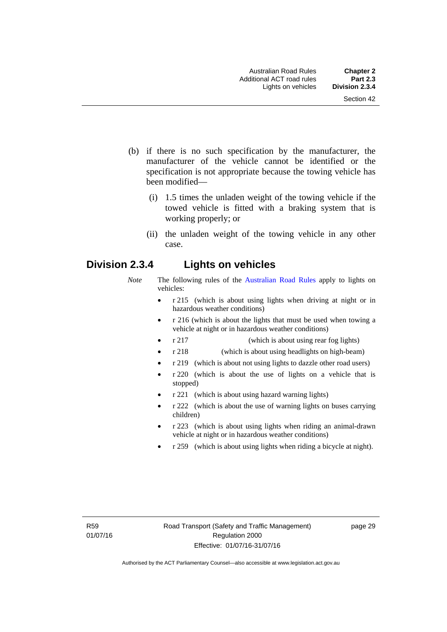- (b) if there is no such specification by the manufacturer, the manufacturer of the vehicle cannot be identified or the specification is not appropriate because the towing vehicle has been modified—
	- (i) 1.5 times the unladen weight of the towing vehicle if the towed vehicle is fitted with a braking system that is working properly; or
	- (ii) the unladen weight of the towing vehicle in any other case.

## **Division 2.3.4 Lights on vehicles**

- *Note* The following rules of the [Australian Road Rules](http://www.legislation.act.gov.au//ni/db_37271/default.asp) apply to lights on vehicles:
	- r 215 (which is about using lights when driving at night or in hazardous weather conditions)
	- r 216 (which is about the lights that must be used when towing a vehicle at night or in hazardous weather conditions)
	- r 217 (which is about using rear fog lights)
	- r 218 (which is about using headlights on high-beam)
	- r 219 (which is about not using lights to dazzle other road users)
	- r 220 (which is about the use of lights on a vehicle that is stopped)
	- r 221 (which is about using hazard warning lights)
	- r 222 (which is about the use of warning lights on buses carrying children)
	- r 223 (which is about using lights when riding an animal-drawn vehicle at night or in hazardous weather conditions)
	- r 259 (which is about using lights when riding a bicycle at night).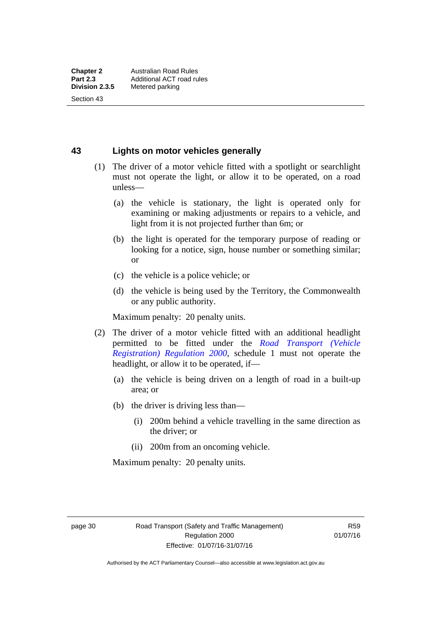Section 43

## **43 Lights on motor vehicles generally**

- (1) The driver of a motor vehicle fitted with a spotlight or searchlight must not operate the light, or allow it to be operated, on a road unless—
	- (a) the vehicle is stationary, the light is operated only for examining or making adjustments or repairs to a vehicle, and light from it is not projected further than 6m; or
	- (b) the light is operated for the temporary purpose of reading or looking for a notice, sign, house number or something similar; or
	- (c) the vehicle is a police vehicle; or
	- (d) the vehicle is being used by the Territory, the Commonwealth or any public authority.

Maximum penalty: 20 penalty units.

- (2) The driver of a motor vehicle fitted with an additional headlight permitted to be fitted under the *[Road Transport \(Vehicle](http://www.legislation.act.gov.au/sl/2000-12)  [Registration\) Regulation 2000](http://www.legislation.act.gov.au/sl/2000-12)*, schedule 1 must not operate the headlight, or allow it to be operated, if—
	- (a) the vehicle is being driven on a length of road in a built-up area; or
	- (b) the driver is driving less than—
		- (i) 200m behind a vehicle travelling in the same direction as the driver; or
		- (ii) 200m from an oncoming vehicle.

Maximum penalty: 20 penalty units.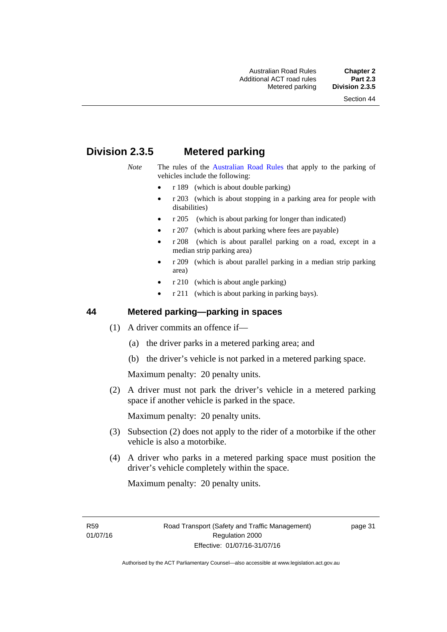# **Division 2.3.5 Metered parking**

- *Note* The rules of the [Australian Road Rules](http://www.legislation.act.gov.au//ni/db_37271/default.asp) that apply to the parking of vehicles include the following:
	- r 189 (which is about double parking)
	- r 203 (which is about stopping in a parking area for people with disabilities)
	- r 205 (which is about parking for longer than indicated)
	- r 207 (which is about parking where fees are payable)
	- r 208 (which is about parallel parking on a road, except in a median strip parking area)
	- r 209 (which is about parallel parking in a median strip parking area)
	- r 210 (which is about angle parking)
	- r 211 (which is about parking in parking bays).

#### **44 Metered parking—parking in spaces**

- (1) A driver commits an offence if—
	- (a) the driver parks in a metered parking area; and
	- (b) the driver's vehicle is not parked in a metered parking space.

Maximum penalty: 20 penalty units.

 (2) A driver must not park the driver's vehicle in a metered parking space if another vehicle is parked in the space.

Maximum penalty: 20 penalty units.

- (3) Subsection (2) does not apply to the rider of a motorbike if the other vehicle is also a motorbike.
- (4) A driver who parks in a metered parking space must position the driver's vehicle completely within the space.

Maximum penalty: 20 penalty units.

R59 01/07/16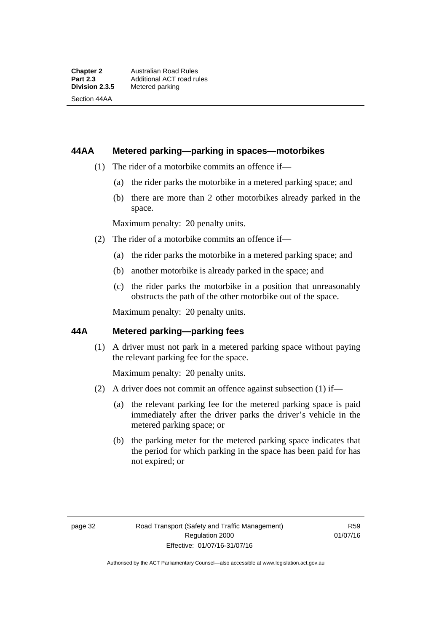Section 44AA

#### **44AA Metered parking—parking in spaces—motorbikes**

- (1) The rider of a motorbike commits an offence if—
	- (a) the rider parks the motorbike in a metered parking space; and
	- (b) there are more than 2 other motorbikes already parked in the space.

Maximum penalty: 20 penalty units.

- (2) The rider of a motorbike commits an offence if—
	- (a) the rider parks the motorbike in a metered parking space; and
	- (b) another motorbike is already parked in the space; and
	- (c) the rider parks the motorbike in a position that unreasonably obstructs the path of the other motorbike out of the space.

Maximum penalty: 20 penalty units.

#### **44A Metered parking—parking fees**

(1) A driver must not park in a metered parking space without paying the relevant parking fee for the space.

Maximum penalty: 20 penalty units.

- (2) A driver does not commit an offence against subsection (1) if—
	- (a) the relevant parking fee for the metered parking space is paid immediately after the driver parks the driver's vehicle in the metered parking space; or
	- (b) the parking meter for the metered parking space indicates that the period for which parking in the space has been paid for has not expired; or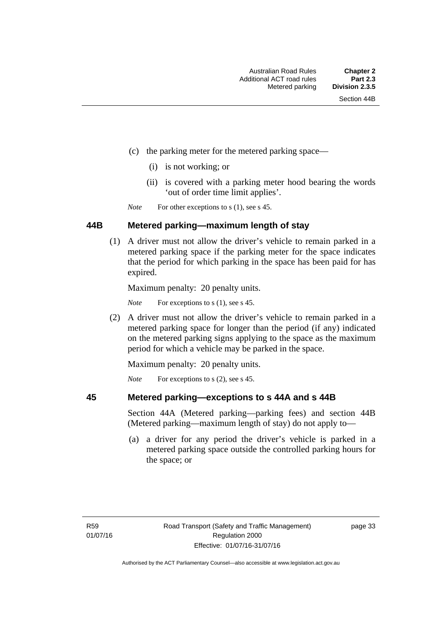- (c) the parking meter for the metered parking space—
	- (i) is not working; or
	- (ii) is covered with a parking meter hood bearing the words 'out of order time limit applies'.

*Note* For other exceptions to s (1), see s 45.

#### **44B Metered parking—maximum length of stay**

 (1) A driver must not allow the driver's vehicle to remain parked in a metered parking space if the parking meter for the space indicates that the period for which parking in the space has been paid for has expired.

Maximum penalty: 20 penalty units.

*Note* For exceptions to s (1), see s 45.

 (2) A driver must not allow the driver's vehicle to remain parked in a metered parking space for longer than the period (if any) indicated on the metered parking signs applying to the space as the maximum period for which a vehicle may be parked in the space.

Maximum penalty: 20 penalty units.

*Note* For exceptions to s (2), see s 45.

**45 Metered parking—exceptions to s 44A and s 44B** 

# Section 44A (Metered parking—parking fees) and section 44B

(Metered parking—maximum length of stay) do not apply to—

 (a) a driver for any period the driver's vehicle is parked in a metered parking space outside the controlled parking hours for the space; or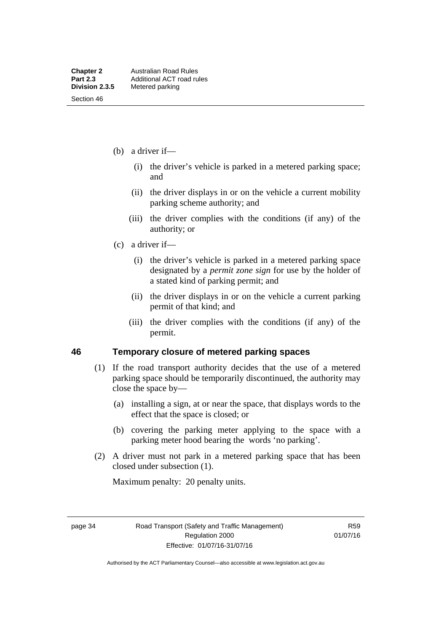Section 46

- (b) a driver if—
	- (i) the driver's vehicle is parked in a metered parking space; and
	- (ii) the driver displays in or on the vehicle a current mobility parking scheme authority; and
	- (iii) the driver complies with the conditions (if any) of the authority; or
- (c) a driver if—
	- (i) the driver's vehicle is parked in a metered parking space designated by a *permit zone sign* for use by the holder of a stated kind of parking permit; and
	- (ii) the driver displays in or on the vehicle a current parking permit of that kind; and
	- (iii) the driver complies with the conditions (if any) of the permit.

#### **46 Temporary closure of metered parking spaces**

- (1) If the road transport authority decides that the use of a metered parking space should be temporarily discontinued, the authority may close the space by—
	- (a) installing a sign, at or near the space, that displays words to the effect that the space is closed; or
	- (b) covering the parking meter applying to the space with a parking meter hood bearing the words 'no parking'.
- (2) A driver must not park in a metered parking space that has been closed under subsection (1).

Maximum penalty: 20 penalty units.

page 34 Road Transport (Safety and Traffic Management) Regulation 2000 Effective: 01/07/16-31/07/16

R59 01/07/16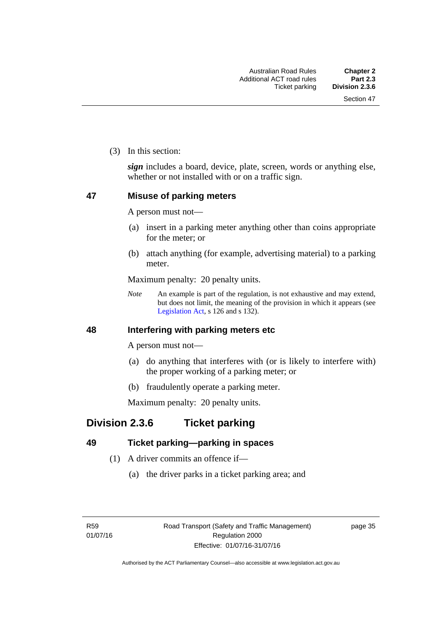(3) In this section:

*sign* includes a board, device, plate, screen, words or anything else, whether or not installed with or on a traffic sign.

### **47 Misuse of parking meters**

A person must not—

- (a) insert in a parking meter anything other than coins appropriate for the meter; or
- (b) attach anything (for example, advertising material) to a parking meter.

Maximum penalty: 20 penalty units.

*Note* An example is part of the regulation, is not exhaustive and may extend, but does not limit, the meaning of the provision in which it appears (see [Legislation Act,](http://www.legislation.act.gov.au/a/2001-14) s 126 and s 132).

#### **48 Interfering with parking meters etc**

A person must not—

- (a) do anything that interferes with (or is likely to interfere with) the proper working of a parking meter; or
- (b) fraudulently operate a parking meter.

Maximum penalty: 20 penalty units.

# **Division 2.3.6 Ticket parking**

## **49 Ticket parking—parking in spaces**

- (1) A driver commits an offence if—
	- (a) the driver parks in a ticket parking area; and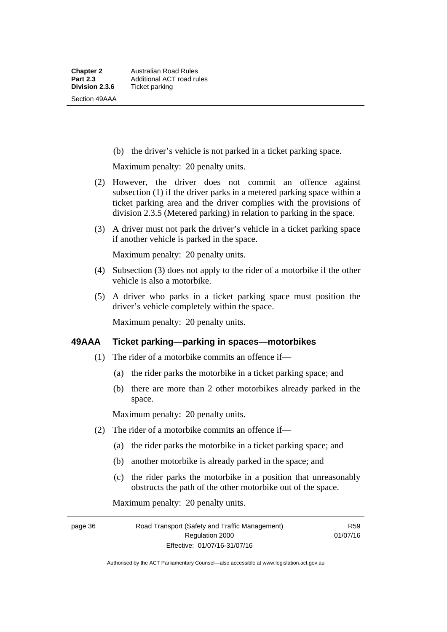(b) the driver's vehicle is not parked in a ticket parking space.

Maximum penalty: 20 penalty units.

- (2) However, the driver does not commit an offence against subsection (1) if the driver parks in a metered parking space within a ticket parking area and the driver complies with the provisions of division 2.3.5 (Metered parking) in relation to parking in the space.
- (3) A driver must not park the driver's vehicle in a ticket parking space if another vehicle is parked in the space.

Maximum penalty: 20 penalty units.

- (4) Subsection (3) does not apply to the rider of a motorbike if the other vehicle is also a motorbike.
- (5) A driver who parks in a ticket parking space must position the driver's vehicle completely within the space.

Maximum penalty: 20 penalty units.

#### **49AAA Ticket parking—parking in spaces—motorbikes**

- (1) The rider of a motorbike commits an offence if—
	- (a) the rider parks the motorbike in a ticket parking space; and
	- (b) there are more than 2 other motorbikes already parked in the space.

Maximum penalty: 20 penalty units.

- (2) The rider of a motorbike commits an offence if—
	- (a) the rider parks the motorbike in a ticket parking space; and
	- (b) another motorbike is already parked in the space; and
	- (c) the rider parks the motorbike in a position that unreasonably obstructs the path of the other motorbike out of the space.

Maximum penalty: 20 penalty units.

page 36 Road Transport (Safety and Traffic Management) Regulation 2000 Effective: 01/07/16-31/07/16

R59 01/07/16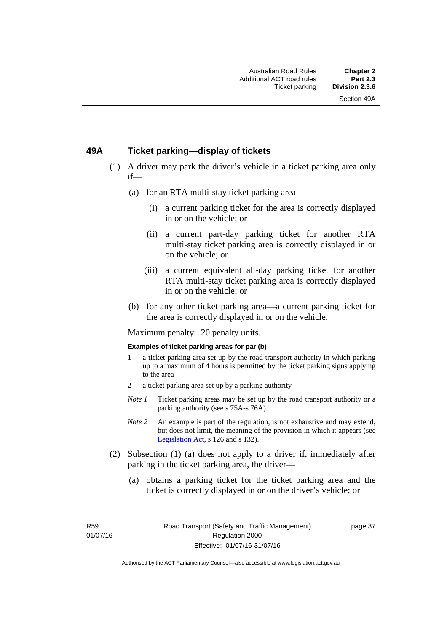#### **49A Ticket parking—display of tickets**

- (1) A driver may park the driver's vehicle in a ticket parking area only if—
	- (a) for an RTA multi-stay ticket parking area—
		- (i) a current parking ticket for the area is correctly displayed in or on the vehicle; or
		- (ii) a current part-day parking ticket for another RTA multi-stay ticket parking area is correctly displayed in or on the vehicle; or
		- (iii) a current equivalent all-day parking ticket for another RTA multi-stay ticket parking area is correctly displayed in or on the vehicle; or
	- (b) for any other ticket parking area—a current parking ticket for the area is correctly displayed in or on the vehicle.

Maximum penalty: 20 penalty units.

#### **Examples of ticket parking areas for par (b)**

- 1 a ticket parking area set up by the road transport authority in which parking up to a maximum of 4 hours is permitted by the ticket parking signs applying to the area
- 2 a ticket parking area set up by a parking authority
- *Note 1* Ticket parking areas may be set up by the road transport authority or a parking authority (see s 75A-s 76A).
- *Note 2* An example is part of the regulation, is not exhaustive and may extend, but does not limit, the meaning of the provision in which it appears (see [Legislation Act,](http://www.legislation.act.gov.au/a/2001-14) s 126 and s 132).
- (2) Subsection (1) (a) does not apply to a driver if, immediately after parking in the ticket parking area, the driver—
	- (a) obtains a parking ticket for the ticket parking area and the ticket is correctly displayed in or on the driver's vehicle; or

R59 01/07/16 page 37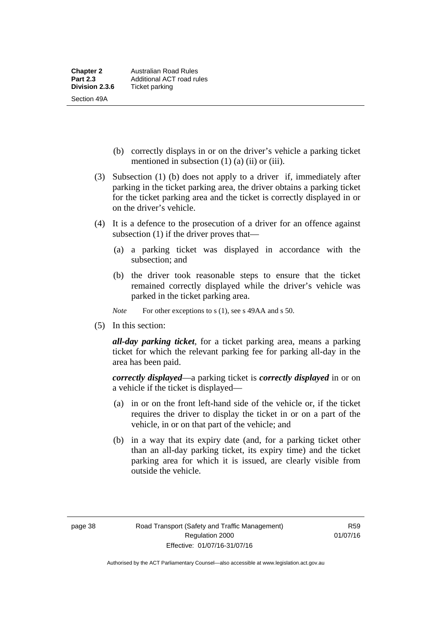- (b) correctly displays in or on the driver's vehicle a parking ticket mentioned in subsection  $(1)$   $(a)$   $(ii)$  or  $(iii)$ .
- (3) Subsection (1) (b) does not apply to a driver if, immediately after parking in the ticket parking area, the driver obtains a parking ticket for the ticket parking area and the ticket is correctly displayed in or on the driver's vehicle.
- (4) It is a defence to the prosecution of a driver for an offence against subsection (1) if the driver proves that—
	- (a) a parking ticket was displayed in accordance with the subsection; and
	- (b) the driver took reasonable steps to ensure that the ticket remained correctly displayed while the driver's vehicle was parked in the ticket parking area.
	- *Note* For other exceptions to s (1), see s 49AA and s 50.
- (5) In this section:

*all-day parking ticket*, for a ticket parking area, means a parking ticket for which the relevant parking fee for parking all-day in the area has been paid.

*correctly displayed*—a parking ticket is *correctly displayed* in or on a vehicle if the ticket is displayed—

- (a) in or on the front left-hand side of the vehicle or, if the ticket requires the driver to display the ticket in or on a part of the vehicle, in or on that part of the vehicle; and
- (b) in a way that its expiry date (and, for a parking ticket other than an all-day parking ticket, its expiry time) and the ticket parking area for which it is issued, are clearly visible from outside the vehicle.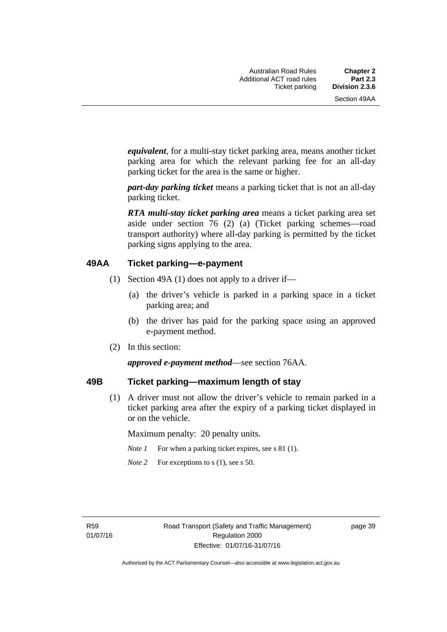*equivalent*, for a multi-stay ticket parking area, means another ticket parking area for which the relevant parking fee for an all-day parking ticket for the area is the same or higher.

*part-day parking ticket* means a parking ticket that is not an all-day parking ticket.

*RTA multi-stay ticket parking area* means a ticket parking area set aside under section 76 (2) (a) (Ticket parking schemes—road transport authority) where all-day parking is permitted by the ticket parking signs applying to the area.

#### **49AA Ticket parking—e-payment**

- (1) Section 49A (1) does not apply to a driver if—
	- (a) the driver's vehicle is parked in a parking space in a ticket parking area; and
	- (b) the driver has paid for the parking space using an approved e-payment method.
- (2) In this section:

#### *approved e-payment method*—see section 76AA.

#### **49B Ticket parking—maximum length of stay**

(1) A driver must not allow the driver's vehicle to remain parked in a ticket parking area after the expiry of a parking ticket displayed in or on the vehicle.

Maximum penalty: 20 penalty units.

- *Note 1* For when a parking ticket expires, see s 81 (1).
- *Note* 2 For exceptions to s (1), see s 50.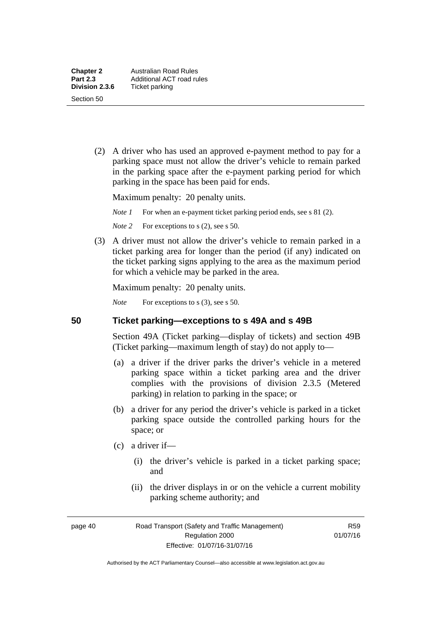(2) A driver who has used an approved e-payment method to pay for a parking space must not allow the driver's vehicle to remain parked in the parking space after the e-payment parking period for which parking in the space has been paid for ends.

Maximum penalty: 20 penalty units.

*Note 1* For when an e-payment ticket parking period ends, see s 81 (2).

*Note* 2 For exceptions to s (2), see s 50.

 (3) A driver must not allow the driver's vehicle to remain parked in a ticket parking area for longer than the period (if any) indicated on the ticket parking signs applying to the area as the maximum period for which a vehicle may be parked in the area.

Maximum penalty: 20 penalty units.

*Note* For exceptions to s (3), see s 50.

#### **50 Ticket parking—exceptions to s 49A and s 49B**

Section 49A (Ticket parking—display of tickets) and section 49B (Ticket parking—maximum length of stay) do not apply to—

- (a) a driver if the driver parks the driver's vehicle in a metered parking space within a ticket parking area and the driver complies with the provisions of division 2.3.5 (Metered parking) in relation to parking in the space; or
- (b) a driver for any period the driver's vehicle is parked in a ticket parking space outside the controlled parking hours for the space; or
- (c) a driver if—
	- (i) the driver's vehicle is parked in a ticket parking space; and
	- (ii) the driver displays in or on the vehicle a current mobility parking scheme authority; and

page 40 Road Transport (Safety and Traffic Management) Regulation 2000 Effective: 01/07/16-31/07/16

R59 01/07/16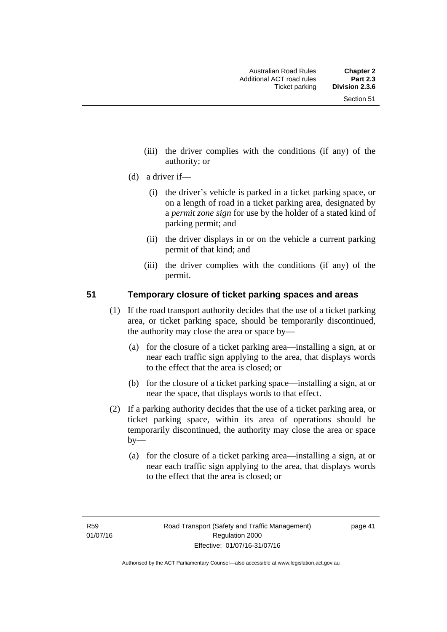- (iii) the driver complies with the conditions (if any) of the authority; or
- (d) a driver if—
	- (i) the driver's vehicle is parked in a ticket parking space, or on a length of road in a ticket parking area, designated by a *permit zone sign* for use by the holder of a stated kind of parking permit; and
	- (ii) the driver displays in or on the vehicle a current parking permit of that kind; and
	- (iii) the driver complies with the conditions (if any) of the permit.

#### **51 Temporary closure of ticket parking spaces and areas**

- (1) If the road transport authority decides that the use of a ticket parking area, or ticket parking space, should be temporarily discontinued, the authority may close the area or space by—
	- (a) for the closure of a ticket parking area—installing a sign, at or near each traffic sign applying to the area, that displays words to the effect that the area is closed; or
	- (b) for the closure of a ticket parking space—installing a sign, at or near the space, that displays words to that effect.
- (2) If a parking authority decides that the use of a ticket parking area, or ticket parking space, within its area of operations should be temporarily discontinued, the authority may close the area or space  $by-$ 
	- (a) for the closure of a ticket parking area—installing a sign, at or near each traffic sign applying to the area, that displays words to the effect that the area is closed; or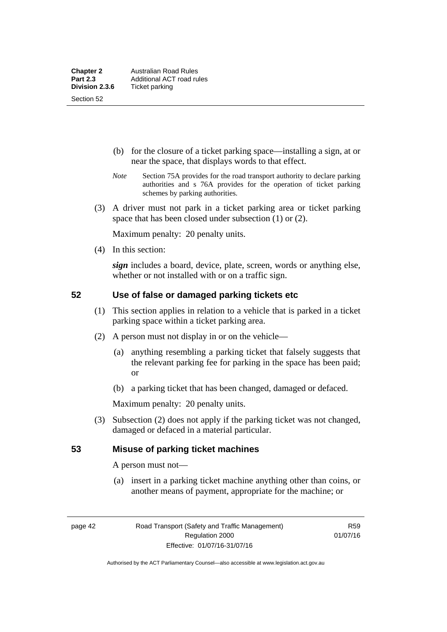Section 52

- (b) for the closure of a ticket parking space—installing a sign, at or near the space, that displays words to that effect.
- *Note* Section 75A provides for the road transport authority to declare parking authorities and s 76A provides for the operation of ticket parking schemes by parking authorities.
- (3) A driver must not park in a ticket parking area or ticket parking space that has been closed under subsection (1) or (2).

Maximum penalty: 20 penalty units.

(4) In this section:

*sign* includes a board, device, plate, screen, words or anything else, whether or not installed with or on a traffic sign.

## **52 Use of false or damaged parking tickets etc**

- (1) This section applies in relation to a vehicle that is parked in a ticket parking space within a ticket parking area.
- (2) A person must not display in or on the vehicle—
	- (a) anything resembling a parking ticket that falsely suggests that the relevant parking fee for parking in the space has been paid; or
	- (b) a parking ticket that has been changed, damaged or defaced.

Maximum penalty: 20 penalty units.

 (3) Subsection (2) does not apply if the parking ticket was not changed, damaged or defaced in a material particular.

#### **53 Misuse of parking ticket machines**

A person must not—

(a) insert in a parking ticket machine anything other than coins, or another means of payment, appropriate for the machine; or

page 42 Road Transport (Safety and Traffic Management) Regulation 2000 Effective: 01/07/16-31/07/16

R59 01/07/16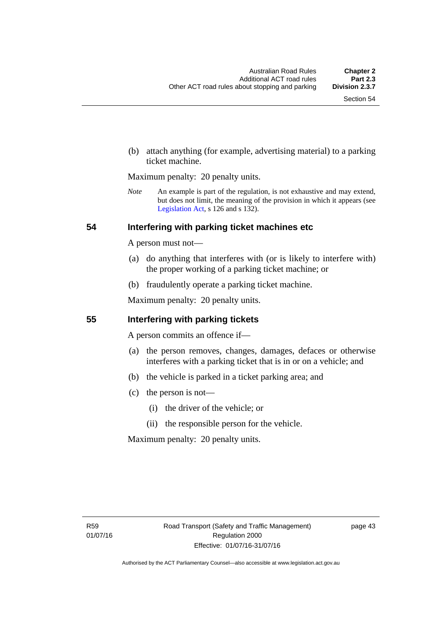(b) attach anything (for example, advertising material) to a parking ticket machine.

Maximum penalty: 20 penalty units.

*Note* An example is part of the regulation, is not exhaustive and may extend, but does not limit, the meaning of the provision in which it appears (see [Legislation Act,](http://www.legislation.act.gov.au/a/2001-14) s 126 and s 132).

#### **54 Interfering with parking ticket machines etc**

A person must not—

- (a) do anything that interferes with (or is likely to interfere with) the proper working of a parking ticket machine; or
- (b) fraudulently operate a parking ticket machine.

Maximum penalty: 20 penalty units.

#### **55 Interfering with parking tickets**

A person commits an offence if—

- (a) the person removes, changes, damages, defaces or otherwise interferes with a parking ticket that is in or on a vehicle; and
- (b) the vehicle is parked in a ticket parking area; and
- (c) the person is not—
	- (i) the driver of the vehicle; or
	- (ii) the responsible person for the vehicle.

Maximum penalty: 20 penalty units.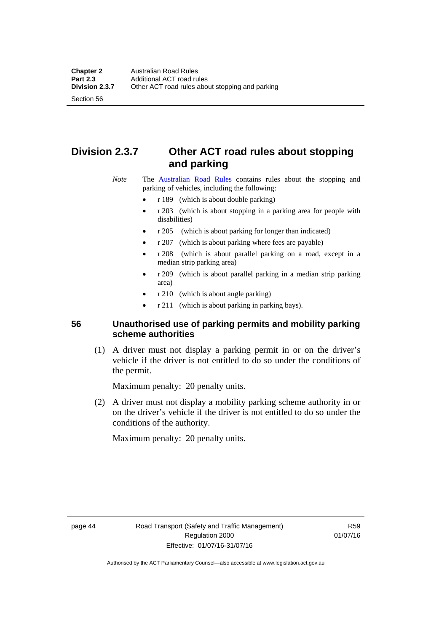Section 56

# **Division 2.3.7 Other ACT road rules about stopping and parking**

*Note* The [Australian Road Rules](http://www.legislation.act.gov.au//ni/db_37271/default.asp) contains rules about the stopping and parking of vehicles, including the following:

- r 189 (which is about double parking)
- r 203 (which is about stopping in a parking area for people with disabilities)
- r 205 (which is about parking for longer than indicated)
- r 207 (which is about parking where fees are payable)
- r 208 (which is about parallel parking on a road, except in a median strip parking area)
- r 209 (which is about parallel parking in a median strip parking area)
- r 210 (which is about angle parking)
- r 211 (which is about parking in parking bays).

## **56 Unauthorised use of parking permits and mobility parking scheme authorities**

 (1) A driver must not display a parking permit in or on the driver's vehicle if the driver is not entitled to do so under the conditions of the permit.

Maximum penalty: 20 penalty units.

 (2) A driver must not display a mobility parking scheme authority in or on the driver's vehicle if the driver is not entitled to do so under the conditions of the authority.

Maximum penalty: 20 penalty units.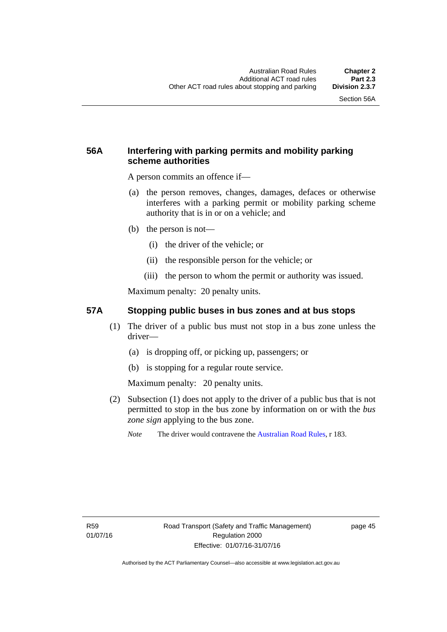## **56A Interfering with parking permits and mobility parking scheme authorities**

A person commits an offence if—

- (a) the person removes, changes, damages, defaces or otherwise interferes with a parking permit or mobility parking scheme authority that is in or on a vehicle; and
- (b) the person is not—
	- (i) the driver of the vehicle; or
	- (ii) the responsible person for the vehicle; or
	- (iii) the person to whom the permit or authority was issued.

Maximum penalty: 20 penalty units.

#### **57A Stopping public buses in bus zones and at bus stops**

- (1) The driver of a public bus must not stop in a bus zone unless the driver—
	- (a) is dropping off, or picking up, passengers; or
	- (b) is stopping for a regular route service.

Maximum penalty: 20 penalty units.

- (2) Subsection (1) does not apply to the driver of a public bus that is not permitted to stop in the bus zone by information on or with the *bus zone sign* applying to the bus zone.
	- *Note* The driver would contravene the [Australian Road Rules,](http://www.legislation.act.gov.au//ni/db_37271/default.asp) r 183.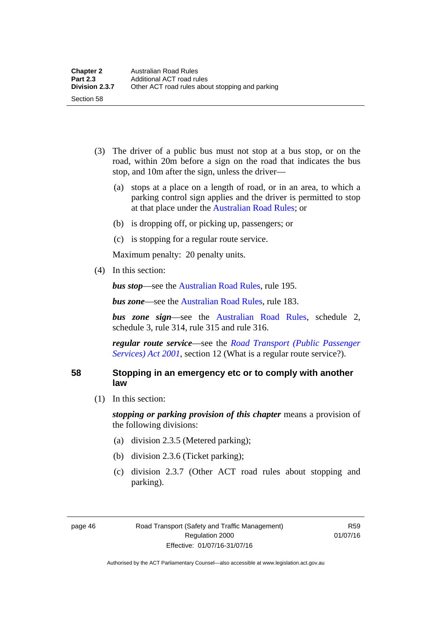- (3) The driver of a public bus must not stop at a bus stop, or on the road, within 20m before a sign on the road that indicates the bus stop, and 10m after the sign, unless the driver—
	- (a) stops at a place on a length of road, or in an area, to which a parking control sign applies and the driver is permitted to stop at that place under the [Australian Road Rules;](http://www.legislation.act.gov.au//ni/db_37271/default.asp) or
	- (b) is dropping off, or picking up, passengers; or
	- (c) is stopping for a regular route service.

Maximum penalty: 20 penalty units.

(4) In this section:

Section 58

*bus stop***—see the Australian Road Rules**, rule 195.

*bus zone***—see the Australian Road Rules**, rule 183.

*bus zone sign*—see the [Australian Road Rules,](http://www.legislation.act.gov.au//ni/db_37271/default.asp) schedule 2, schedule 3, rule 314, rule 315 and rule 316.

*regular route service*—see the *[Road Transport \(Public Passenger](http://www.legislation.act.gov.au/a/2001-62)  Services*) *Act 2001*, section 12 (What is a regular route service?).

#### **58 Stopping in an emergency etc or to comply with another law**

(1) In this section:

*stopping or parking provision of this chapter* means a provision of the following divisions:

- (a) division 2.3.5 (Metered parking);
- (b) division 2.3.6 (Ticket parking);
- (c) division 2.3.7 (Other ACT road rules about stopping and parking).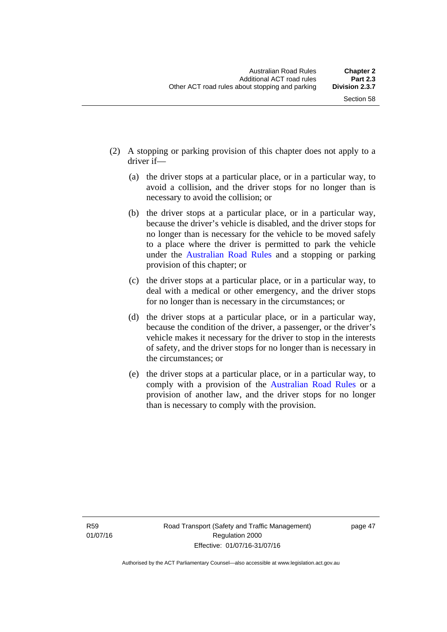- (2) A stopping or parking provision of this chapter does not apply to a driver if—
	- (a) the driver stops at a particular place, or in a particular way, to avoid a collision, and the driver stops for no longer than is necessary to avoid the collision; or
	- (b) the driver stops at a particular place, or in a particular way, because the driver's vehicle is disabled, and the driver stops for no longer than is necessary for the vehicle to be moved safely to a place where the driver is permitted to park the vehicle under the [Australian Road Rules](http://www.legislation.act.gov.au//ni/db_37271/default.asp) and a stopping or parking provision of this chapter; or
	- (c) the driver stops at a particular place, or in a particular way, to deal with a medical or other emergency, and the driver stops for no longer than is necessary in the circumstances; or
	- (d) the driver stops at a particular place, or in a particular way, because the condition of the driver, a passenger, or the driver's vehicle makes it necessary for the driver to stop in the interests of safety, and the driver stops for no longer than is necessary in the circumstances; or
	- (e) the driver stops at a particular place, or in a particular way, to comply with a provision of the [Australian Road Rules](http://www.legislation.act.gov.au//ni/db_37271/default.asp) or a provision of another law, and the driver stops for no longer than is necessary to comply with the provision.

R59 01/07/16 page 47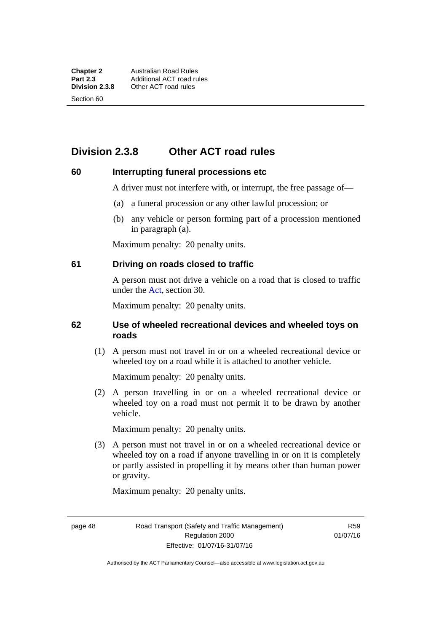Section 60

# **Division 2.3.8 Other ACT road rules**

#### **60 Interrupting funeral processions etc**

A driver must not interfere with, or interrupt, the free passage of—

- (a) a funeral procession or any other lawful procession; or
- (b) any vehicle or person forming part of a procession mentioned in paragraph (a).

Maximum penalty: 20 penalty units.

#### **61 Driving on roads closed to traffic**

A person must not drive a vehicle on a road that is closed to traffic under the [Act](http://www.legislation.act.gov.au/a/1999-80/default.asp), section 30.

Maximum penalty: 20 penalty units.

#### **62 Use of wheeled recreational devices and wheeled toys on roads**

 (1) A person must not travel in or on a wheeled recreational device or wheeled toy on a road while it is attached to another vehicle.

Maximum penalty: 20 penalty units.

 (2) A person travelling in or on a wheeled recreational device or wheeled toy on a road must not permit it to be drawn by another vehicle.

Maximum penalty: 20 penalty units.

 (3) A person must not travel in or on a wheeled recreational device or wheeled toy on a road if anyone travelling in or on it is completely or partly assisted in propelling it by means other than human power or gravity.

Maximum penalty: 20 penalty units.

page 48 Road Transport (Safety and Traffic Management) Regulation 2000 Effective: 01/07/16-31/07/16

R59 01/07/16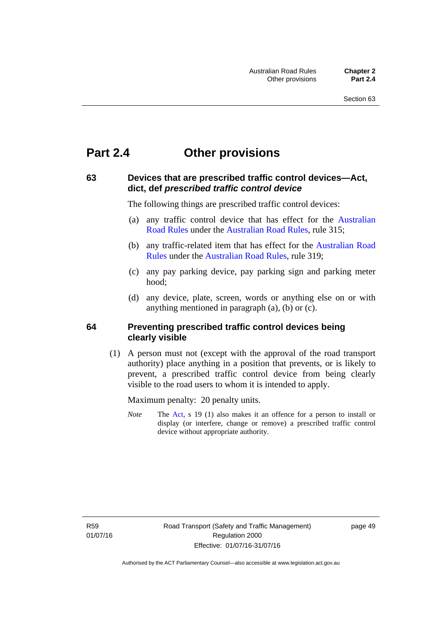# **Part 2.4 Other provisions**

### **63 Devices that are prescribed traffic control devices—Act, dict, def** *prescribed traffic control device*

The following things are prescribed traffic control devices:

- (a) any traffic control device that has effect for the [Australian](http://www.legislation.act.gov.au//ni/db_37271/default.asp)  [Road Rules](http://www.legislation.act.gov.au//ni/db_37271/default.asp) under the [Australian Road Rules](http://www.legislation.act.gov.au//ni/db_37271/default.asp), rule 315;
- (b) any traffic-related item that has effect for the [Australian Road](http://www.legislation.act.gov.au//ni/db_37271/default.asp)  [Rules](http://www.legislation.act.gov.au//ni/db_37271/default.asp) under the [Australian Road Rules](http://www.legislation.act.gov.au//ni/db_37271/default.asp), rule 319;
- (c) any pay parking device, pay parking sign and parking meter hood;
- (d) any device, plate, screen, words or anything else on or with anything mentioned in paragraph (a), (b) or (c).

#### **64 Preventing prescribed traffic control devices being clearly visible**

 (1) A person must not (except with the approval of the road transport authority) place anything in a position that prevents, or is likely to prevent, a prescribed traffic control device from being clearly visible to the road users to whom it is intended to apply.

Maximum penalty: 20 penalty units.

*Note* The [Act](http://www.legislation.act.gov.au/a/1999-80/default.asp), s 19 (1) also makes it an offence for a person to install or display (or interfere, change or remove) a prescribed traffic control device without appropriate authority.

R59 01/07/16 page 49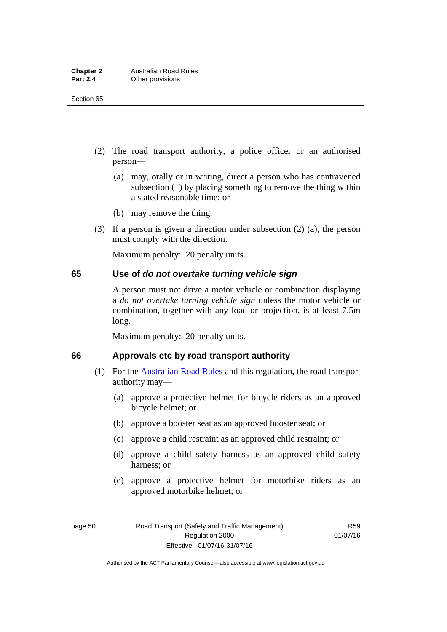- (2) The road transport authority, a police officer or an authorised person—
	- (a) may, orally or in writing, direct a person who has contravened subsection (1) by placing something to remove the thing within a stated reasonable time; or
	- (b) may remove the thing.
- (3) If a person is given a direction under subsection (2) (a), the person must comply with the direction.

Maximum penalty: 20 penalty units.

#### **65 Use of** *do not overtake turning vehicle sign*

A person must not drive a motor vehicle or combination displaying a *do not overtake turning vehicle sign* unless the motor vehicle or combination, together with any load or projection, is at least 7.5m long.

Maximum penalty: 20 penalty units.

#### **66 Approvals etc by road transport authority**

- (1) For the [Australian Road Rules](http://www.legislation.act.gov.au//ni/db_37271/default.asp) and this regulation, the road transport authority may—
	- (a) approve a protective helmet for bicycle riders as an approved bicycle helmet; or
	- (b) approve a booster seat as an approved booster seat; or
	- (c) approve a child restraint as an approved child restraint; or
	- (d) approve a child safety harness as an approved child safety harness; or
	- (e) approve a protective helmet for motorbike riders as an approved motorbike helmet; or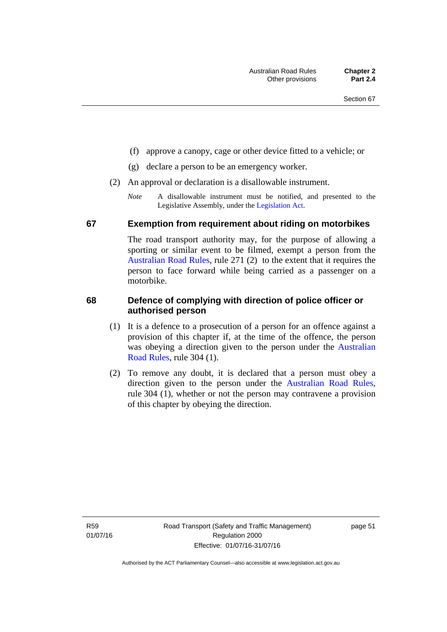- (f) approve a canopy, cage or other device fitted to a vehicle; or
- (g) declare a person to be an emergency worker.
- (2) An approval or declaration is a disallowable instrument.
	- *Note* A disallowable instrument must be notified, and presented to the Legislative Assembly, under the [Legislation Act.](http://www.legislation.act.gov.au/a/2001-14)

#### **67 Exemption from requirement about riding on motorbikes**

The road transport authority may, for the purpose of allowing a sporting or similar event to be filmed, exempt a person from the [Australian Road Rules](http://www.legislation.act.gov.au//ni/db_37271/default.asp), rule 271 (2) to the extent that it requires the person to face forward while being carried as a passenger on a motorbike.

#### **68 Defence of complying with direction of police officer or authorised person**

- (1) It is a defence to a prosecution of a person for an offence against a provision of this chapter if, at the time of the offence, the person was obeying a direction given to the person under the [Australian](http://www.legislation.act.gov.au//ni/db_37271/default.asp)  [Road Rules,](http://www.legislation.act.gov.au//ni/db_37271/default.asp) rule 304 (1).
- (2) To remove any doubt, it is declared that a person must obey a direction given to the person under the [Australian Road Rules](http://www.legislation.act.gov.au//ni/db_37271/default.asp), rule 304 (1), whether or not the person may contravene a provision of this chapter by obeying the direction.

R59 01/07/16 page 51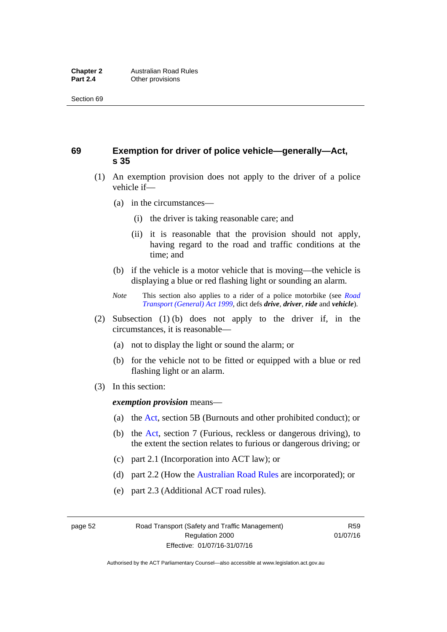## **69 Exemption for driver of police vehicle—generally—Act, s 35**

- (1) An exemption provision does not apply to the driver of a police vehicle if—
	- (a) in the circumstances—
		- (i) the driver is taking reasonable care; and
		- (ii) it is reasonable that the provision should not apply, having regard to the road and traffic conditions at the time; and
	- (b) if the vehicle is a motor vehicle that is moving—the vehicle is displaying a blue or red flashing light or sounding an alarm.
	- *Note* This section also applies to a rider of a police motorbike (see *[Road](http://www.legislation.act.gov.au/a/1999-77)  [Transport \(General\) Act 1999](http://www.legislation.act.gov.au/a/1999-77)*, dict defs *drive*, *driver*, *ride* and *vehicle*).
- (2) Subsection (1) (b) does not apply to the driver if, in the circumstances, it is reasonable—
	- (a) not to display the light or sound the alarm; or
	- (b) for the vehicle not to be fitted or equipped with a blue or red flashing light or an alarm.
- (3) In this section:

*exemption provision* means—

- (a) the [Act,](http://www.legislation.act.gov.au/a/1999-80/default.asp) section 5B (Burnouts and other prohibited conduct); or
- (b) the [Act](http://www.legislation.act.gov.au/a/1999-80/default.asp), section 7 (Furious, reckless or dangerous driving), to the extent the section relates to furious or dangerous driving; or
- (c) part 2.1 (Incorporation into ACT law); or
- (d) part 2.2 (How the [Australian Road Rules](http://www.legislation.act.gov.au//ni/db_37271/default.asp) are incorporated); or
- (e) part 2.3 (Additional ACT road rules).

page 52 Road Transport (Safety and Traffic Management) Regulation 2000 Effective: 01/07/16-31/07/16

R59 01/07/16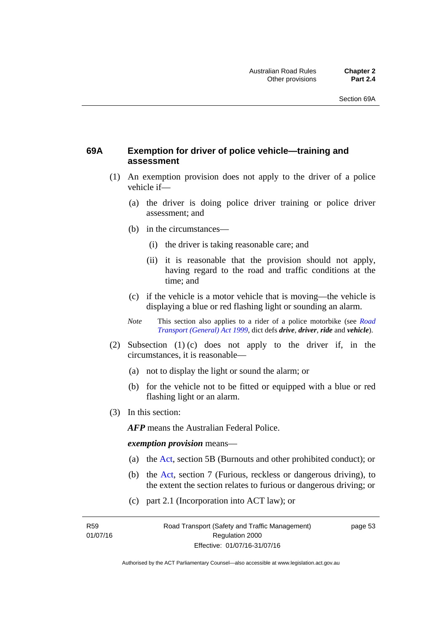## **69A Exemption for driver of police vehicle—training and assessment**

- (1) An exemption provision does not apply to the driver of a police vehicle if—
	- (a) the driver is doing police driver training or police driver assessment; and
	- (b) in the circumstances—
		- (i) the driver is taking reasonable care; and
		- (ii) it is reasonable that the provision should not apply, having regard to the road and traffic conditions at the time; and
	- (c) if the vehicle is a motor vehicle that is moving—the vehicle is displaying a blue or red flashing light or sounding an alarm.
	- *Note* This section also applies to a rider of a police motorbike (see *[Road](http://www.legislation.act.gov.au/a/1999-77)  [Transport \(General\) Act 1999](http://www.legislation.act.gov.au/a/1999-77)*, dict defs *drive*, *driver*, *ride* and *vehicle*).
- (2) Subsection (1) (c) does not apply to the driver if, in the circumstances, it is reasonable—
	- (a) not to display the light or sound the alarm; or
	- (b) for the vehicle not to be fitted or equipped with a blue or red flashing light or an alarm.
- (3) In this section:

*AFP* means the Australian Federal Police.

#### *exemption provision* means—

- (a) the [Act](http://www.legislation.act.gov.au/a/1999-80/default.asp), section 5B (Burnouts and other prohibited conduct); or
- (b) the [Act](http://www.legislation.act.gov.au/a/1999-80/default.asp), section 7 (Furious, reckless or dangerous driving), to the extent the section relates to furious or dangerous driving; or
- (c) part 2.1 (Incorporation into ACT law); or

R59 01/07/16 page 53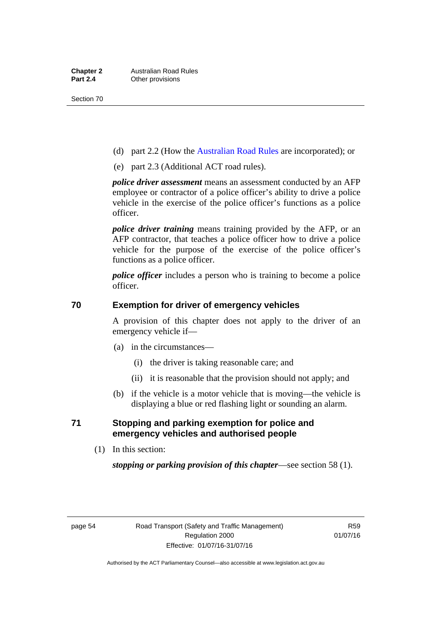- (d) part 2.2 (How the [Australian Road Rules](http://www.legislation.act.gov.au//ni/db_37271/default.asp) are incorporated); or
- (e) part 2.3 (Additional ACT road rules).

*police driver assessment* means an assessment conducted by an AFP employee or contractor of a police officer's ability to drive a police vehicle in the exercise of the police officer's functions as a police officer.

*police driver training* means training provided by the AFP, or an AFP contractor, that teaches a police officer how to drive a police vehicle for the purpose of the exercise of the police officer's functions as a police officer.

*police officer* includes a person who is training to become a police officer.

### **70 Exemption for driver of emergency vehicles**

A provision of this chapter does not apply to the driver of an emergency vehicle if—

- (a) in the circumstances—
	- (i) the driver is taking reasonable care; and
	- (ii) it is reasonable that the provision should not apply; and
- (b) if the vehicle is a motor vehicle that is moving—the vehicle is displaying a blue or red flashing light or sounding an alarm.

### **71 Stopping and parking exemption for police and emergency vehicles and authorised people**

(1) In this section:

*stopping or parking provision of this chapter*—see section 58 (1).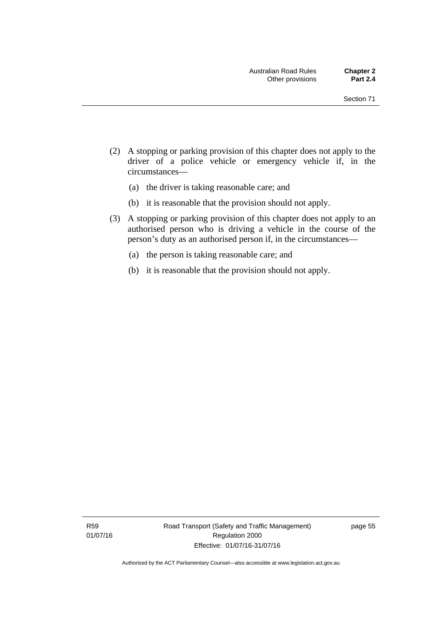- (2) A stopping or parking provision of this chapter does not apply to the driver of a police vehicle or emergency vehicle if, in the circumstances—
	- (a) the driver is taking reasonable care; and
	- (b) it is reasonable that the provision should not apply.
- (3) A stopping or parking provision of this chapter does not apply to an authorised person who is driving a vehicle in the course of the person's duty as an authorised person if, in the circumstances—
	- (a) the person is taking reasonable care; and
	- (b) it is reasonable that the provision should not apply.

page 55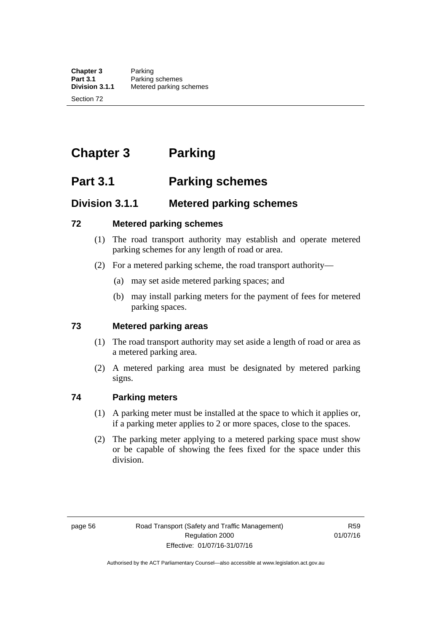# **Chapter 3 Parking**

# **Part 3.1 Parking schemes**

# **Division 3.1.1 Metered parking schemes**

# **72 Metered parking schemes**

- (1) The road transport authority may establish and operate metered parking schemes for any length of road or area.
- (2) For a metered parking scheme, the road transport authority—
	- (a) may set aside metered parking spaces; and
	- (b) may install parking meters for the payment of fees for metered parking spaces.

# **73 Metered parking areas**

- (1) The road transport authority may set aside a length of road or area as a metered parking area.
- (2) A metered parking area must be designated by metered parking signs.

# **74 Parking meters**

- (1) A parking meter must be installed at the space to which it applies or, if a parking meter applies to 2 or more spaces, close to the spaces.
- (2) The parking meter applying to a metered parking space must show or be capable of showing the fees fixed for the space under this division.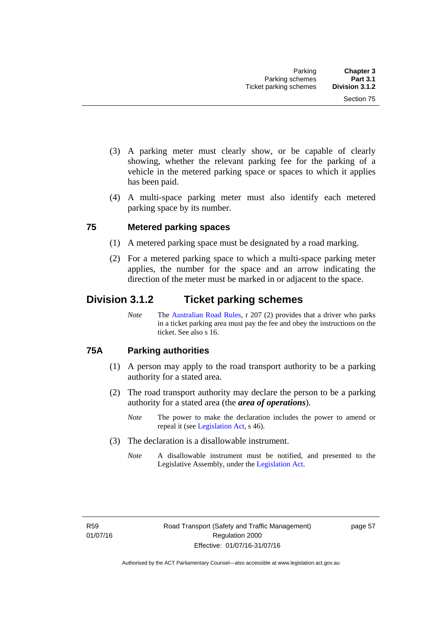- (3) A parking meter must clearly show, or be capable of clearly showing, whether the relevant parking fee for the parking of a vehicle in the metered parking space or spaces to which it applies has been paid.
- (4) A multi-space parking meter must also identify each metered parking space by its number.

# **75 Metered parking spaces**

- (1) A metered parking space must be designated by a road marking.
- (2) For a metered parking space to which a multi-space parking meter applies, the number for the space and an arrow indicating the direction of the meter must be marked in or adjacent to the space.

# **Division 3.1.2 Ticket parking schemes**

*Note* The [Australian Road Rules](http://www.legislation.act.gov.au//ni/db_37271/default.asp), r 207 (2) provides that a driver who parks in a ticket parking area must pay the fee and obey the instructions on the ticket. See also s 16.

# **75A Parking authorities**

- (1) A person may apply to the road transport authority to be a parking authority for a stated area.
- (2) The road transport authority may declare the person to be a parking authority for a stated area (the *area of operations*).
	- *Note* The power to make the declaration includes the power to amend or repeal it (see [Legislation Act,](http://www.legislation.act.gov.au/a/2001-14) s 46).
- (3) The declaration is a disallowable instrument.
	- *Note* A disallowable instrument must be notified, and presented to the Legislative Assembly, under the [Legislation Act.](http://www.legislation.act.gov.au/a/2001-14)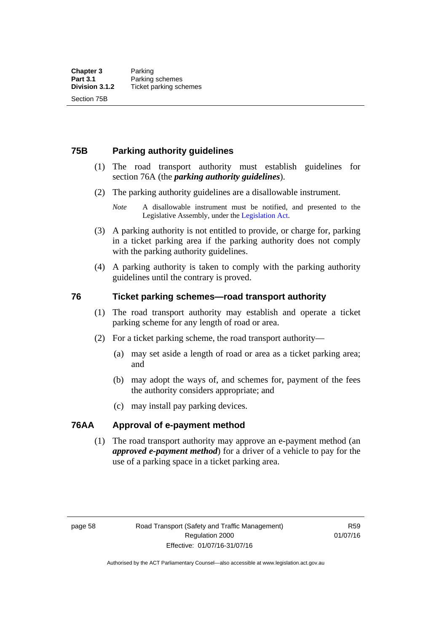# **75B Parking authority guidelines**

- (1) The road transport authority must establish guidelines for section 76A (the *parking authority guidelines*).
- (2) The parking authority guidelines are a disallowable instrument.
	- *Note* A disallowable instrument must be notified, and presented to the Legislative Assembly, under the [Legislation Act.](http://www.legislation.act.gov.au/a/2001-14)
- (3) A parking authority is not entitled to provide, or charge for, parking in a ticket parking area if the parking authority does not comply with the parking authority guidelines.
- (4) A parking authority is taken to comply with the parking authority guidelines until the contrary is proved.

#### **76 Ticket parking schemes—road transport authority**

- (1) The road transport authority may establish and operate a ticket parking scheme for any length of road or area.
- (2) For a ticket parking scheme, the road transport authority—
	- (a) may set aside a length of road or area as a ticket parking area; and
	- (b) may adopt the ways of, and schemes for, payment of the fees the authority considers appropriate; and
	- (c) may install pay parking devices.

# **76AA Approval of e-payment method**

(1) The road transport authority may approve an e-payment method (an *approved e-payment method*) for a driver of a vehicle to pay for the use of a parking space in a ticket parking area.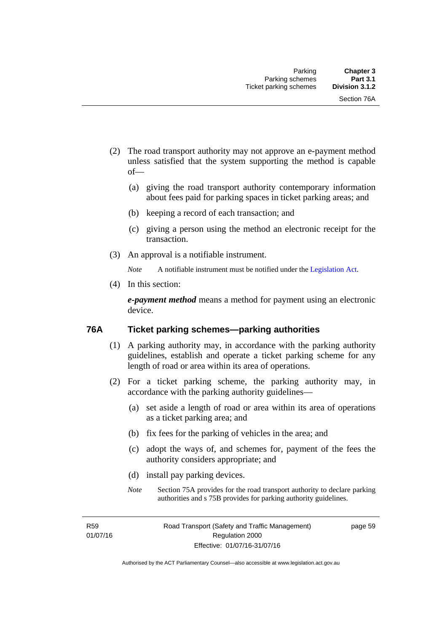- (2) The road transport authority may not approve an e-payment method unless satisfied that the system supporting the method is capable of—
	- (a) giving the road transport authority contemporary information about fees paid for parking spaces in ticket parking areas; and
	- (b) keeping a record of each transaction; and
	- (c) giving a person using the method an electronic receipt for the transaction.
- (3) An approval is a notifiable instrument.

*Note* A notifiable instrument must be notified under the [Legislation Act](http://www.legislation.act.gov.au/a/2001-14).

(4) In this section:

*e-payment method* means a method for payment using an electronic device.

#### **76A Ticket parking schemes—parking authorities**

- (1) A parking authority may, in accordance with the parking authority guidelines, establish and operate a ticket parking scheme for any length of road or area within its area of operations.
- (2) For a ticket parking scheme, the parking authority may, in accordance with the parking authority guidelines—
	- (a) set aside a length of road or area within its area of operations as a ticket parking area; and
	- (b) fix fees for the parking of vehicles in the area; and
	- (c) adopt the ways of, and schemes for, payment of the fees the authority considers appropriate; and
	- (d) install pay parking devices.
	- *Note* Section 75A provides for the road transport authority to declare parking authorities and s 75B provides for parking authority guidelines.

R59 01/07/16 page 59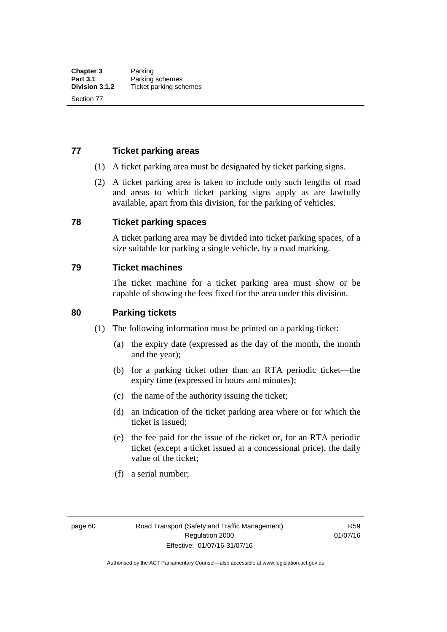## **77 Ticket parking areas**

- (1) A ticket parking area must be designated by ticket parking signs.
- (2) A ticket parking area is taken to include only such lengths of road and areas to which ticket parking signs apply as are lawfully available, apart from this division, for the parking of vehicles.

#### **78 Ticket parking spaces**

A ticket parking area may be divided into ticket parking spaces, of a size suitable for parking a single vehicle, by a road marking.

#### **79 Ticket machines**

The ticket machine for a ticket parking area must show or be capable of showing the fees fixed for the area under this division.

#### **80 Parking tickets**

- (1) The following information must be printed on a parking ticket:
	- (a) the expiry date (expressed as the day of the month, the month and the year);
	- (b) for a parking ticket other than an RTA periodic ticket—the expiry time (expressed in hours and minutes);
	- (c) the name of the authority issuing the ticket;
	- (d) an indication of the ticket parking area where or for which the ticket is issued;
	- (e) the fee paid for the issue of the ticket or, for an RTA periodic ticket (except a ticket issued at a concessional price), the daily value of the ticket;
	- (f) a serial number;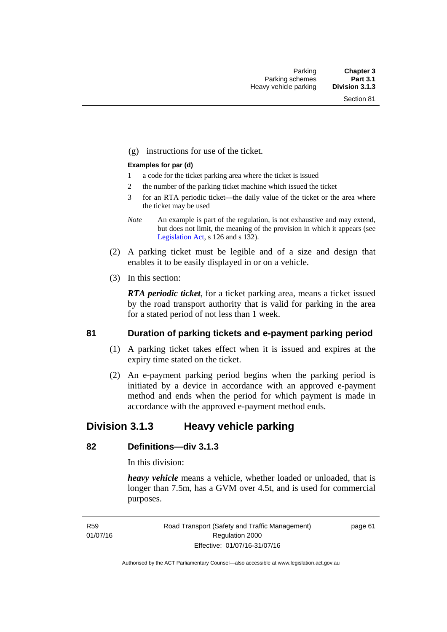(g) instructions for use of the ticket.

#### **Examples for par (d)**

- 1 a code for the ticket parking area where the ticket is issued
- 2 the number of the parking ticket machine which issued the ticket
- 3 for an RTA periodic ticket—the daily value of the ticket or the area where the ticket may be used
- *Note* An example is part of the regulation, is not exhaustive and may extend, but does not limit, the meaning of the provision in which it appears (see [Legislation Act,](http://www.legislation.act.gov.au/a/2001-14) s 126 and s 132).
- (2) A parking ticket must be legible and of a size and design that enables it to be easily displayed in or on a vehicle.
- (3) In this section:

*RTA periodic ticket*, for a ticket parking area, means a ticket issued by the road transport authority that is valid for parking in the area for a stated period of not less than 1 week.

#### **81 Duration of parking tickets and e-payment parking period**

- (1) A parking ticket takes effect when it is issued and expires at the expiry time stated on the ticket.
- (2) An e-payment parking period begins when the parking period is initiated by a device in accordance with an approved e-payment method and ends when the period for which payment is made in accordance with the approved e-payment method ends.

# **Division 3.1.3 Heavy vehicle parking**

# **82 Definitions—div 3.1.3**

In this division:

*heavy vehicle* means a vehicle, whether loaded or unloaded, that is longer than 7.5m, has a GVM over 4.5t, and is used for commercial purposes.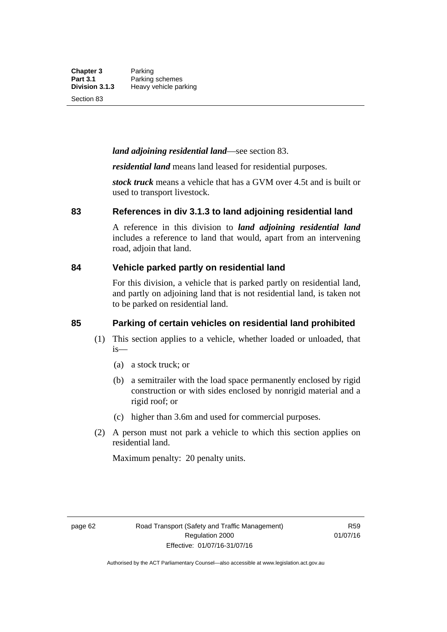Section 83

# *land adjoining residential land*—see section 83.

*residential land* means land leased for residential purposes.

*stock truck* means a vehicle that has a GVM over 4.5t and is built or used to transport livestock.

#### **83 References in div 3.1.3 to land adjoining residential land**

A reference in this division to *land adjoining residential land* includes a reference to land that would, apart from an intervening road, adjoin that land.

# **84 Vehicle parked partly on residential land**

For this division, a vehicle that is parked partly on residential land, and partly on adjoining land that is not residential land, is taken not to be parked on residential land.

# **85 Parking of certain vehicles on residential land prohibited**

- (1) This section applies to a vehicle, whether loaded or unloaded, that is—
	- (a) a stock truck; or
	- (b) a semitrailer with the load space permanently enclosed by rigid construction or with sides enclosed by nonrigid material and a rigid roof; or
	- (c) higher than 3.6m and used for commercial purposes.
- (2) A person must not park a vehicle to which this section applies on residential land.

Maximum penalty: 20 penalty units.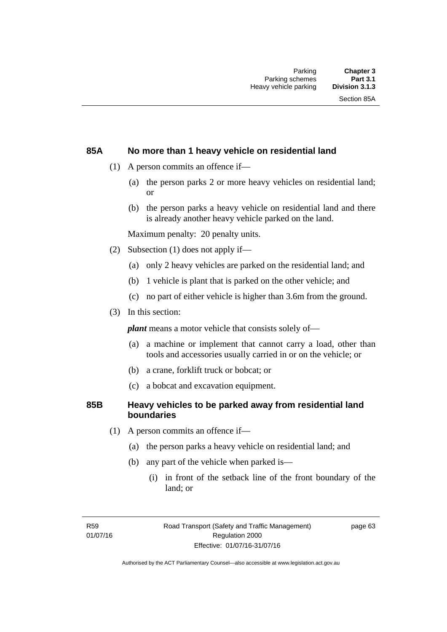#### **85A No more than 1 heavy vehicle on residential land**

- (1) A person commits an offence if—
	- (a) the person parks 2 or more heavy vehicles on residential land; or
	- (b) the person parks a heavy vehicle on residential land and there is already another heavy vehicle parked on the land.

Maximum penalty: 20 penalty units.

- (2) Subsection (1) does not apply if—
	- (a) only 2 heavy vehicles are parked on the residential land; and
	- (b) 1 vehicle is plant that is parked on the other vehicle; and
	- (c) no part of either vehicle is higher than 3.6m from the ground.
- (3) In this section:

*plant* means a motor vehicle that consists solely of—

- (a) a machine or implement that cannot carry a load, other than tools and accessories usually carried in or on the vehicle; or
- (b) a crane, forklift truck or bobcat; or
- (c) a bobcat and excavation equipment.

#### **85B Heavy vehicles to be parked away from residential land boundaries**

- (1) A person commits an offence if—
	- (a) the person parks a heavy vehicle on residential land; and
	- (b) any part of the vehicle when parked is—
		- (i) in front of the setback line of the front boundary of the land; or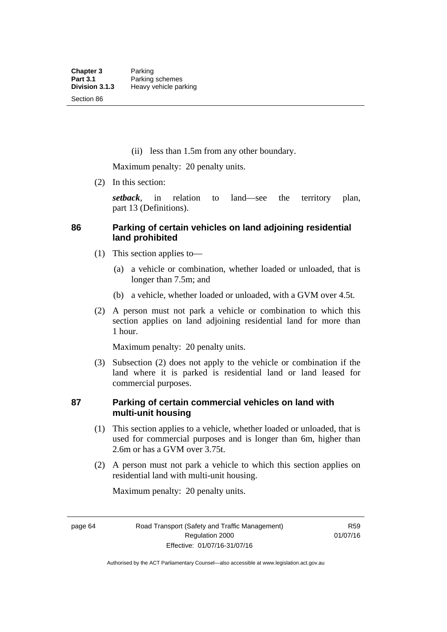(ii) less than 1.5m from any other boundary.

Maximum penalty: 20 penalty units.

(2) In this section:

*setback*, in relation to land—see the territory plan, part 13 (Definitions).

## **86 Parking of certain vehicles on land adjoining residential land prohibited**

- (1) This section applies to—
	- (a) a vehicle or combination, whether loaded or unloaded, that is longer than 7.5m; and
	- (b) a vehicle, whether loaded or unloaded, with a GVM over 4.5t.
- (2) A person must not park a vehicle or combination to which this section applies on land adjoining residential land for more than 1 hour.

Maximum penalty: 20 penalty units.

 (3) Subsection (2) does not apply to the vehicle or combination if the land where it is parked is residential land or land leased for commercial purposes.

#### **87 Parking of certain commercial vehicles on land with multi-unit housing**

- (1) This section applies to a vehicle, whether loaded or unloaded, that is used for commercial purposes and is longer than 6m, higher than 2.6m or has a GVM over 3.75t.
- (2) A person must not park a vehicle to which this section applies on residential land with multi-unit housing.

Maximum penalty: 20 penalty units.

page 64 Road Transport (Safety and Traffic Management) Regulation 2000 Effective: 01/07/16-31/07/16

R59 01/07/16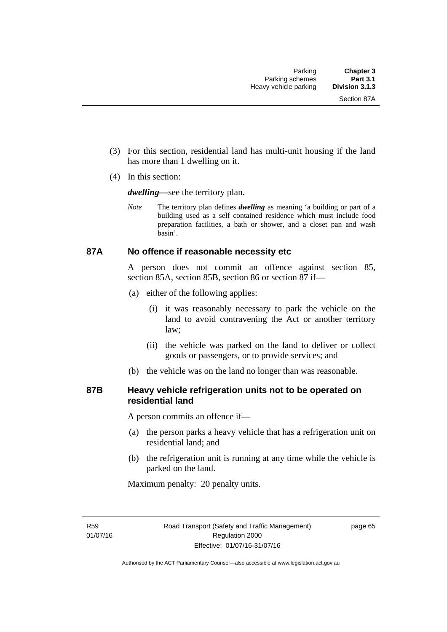- (3) For this section, residential land has multi-unit housing if the land has more than 1 dwelling on it.
- (4) In this section:

*dwelling—*see the territory plan.

*Note* The territory plan defines *dwelling* as meaning 'a building or part of a building used as a self contained residence which must include food preparation facilities, a bath or shower, and a closet pan and wash basin'.

#### **87A No offence if reasonable necessity etc**

A person does not commit an offence against section 85, section 85A, section 85B, section 86 or section 87 if—

- (a) either of the following applies:
	- (i) it was reasonably necessary to park the vehicle on the land to avoid contravening the Act or another territory law;
	- (ii) the vehicle was parked on the land to deliver or collect goods or passengers, or to provide services; and
- (b) the vehicle was on the land no longer than was reasonable.

### **87B Heavy vehicle refrigeration units not to be operated on residential land**

A person commits an offence if—

- (a) the person parks a heavy vehicle that has a refrigeration unit on residential land; and
- (b) the refrigeration unit is running at any time while the vehicle is parked on the land.

Maximum penalty: 20 penalty units.

R59 01/07/16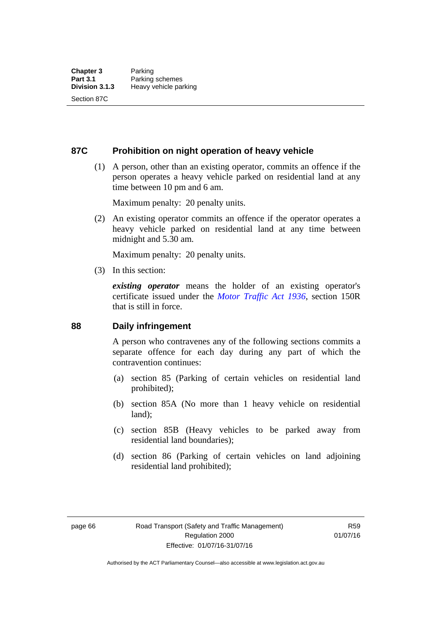**87C Prohibition on night operation of heavy vehicle** 

 (1) A person, other than an existing operator, commits an offence if the person operates a heavy vehicle parked on residential land at any time between 10 pm and 6 am.

Maximum penalty: 20 penalty units.

 (2) An existing operator commits an offence if the operator operates a heavy vehicle parked on residential land at any time between midnight and 5.30 am.

Maximum penalty: 20 penalty units.

(3) In this section:

*existing operator* means the holder of an existing operator's certificate issued under the *[Motor Traffic Act 1936](http://www.legislation.act.gov.au/a/1936-45)*, section 150R that is still in force.

#### **88 Daily infringement**

A person who contravenes any of the following sections commits a separate offence for each day during any part of which the contravention continues:

- (a) section 85 (Parking of certain vehicles on residential land prohibited);
- (b) section 85A (No more than 1 heavy vehicle on residential land);
- (c) section 85B (Heavy vehicles to be parked away from residential land boundaries);
- (d) section 86 (Parking of certain vehicles on land adjoining residential land prohibited);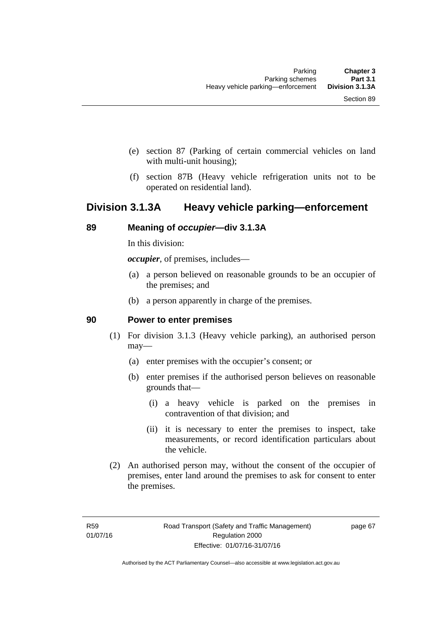- (e) section 87 (Parking of certain commercial vehicles on land with multi-unit housing);
- (f) section 87B (Heavy vehicle refrigeration units not to be operated on residential land).

# **Division 3.1.3A Heavy vehicle parking—enforcement**

#### **89 Meaning of** *occupier***—div 3.1.3A**

In this division:

*occupier*, of premises, includes—

- (a) a person believed on reasonable grounds to be an occupier of the premises; and
- (b) a person apparently in charge of the premises.

#### **90 Power to enter premises**

- (1) For division 3.1.3 (Heavy vehicle parking), an authorised person may—
	- (a) enter premises with the occupier's consent; or
	- (b) enter premises if the authorised person believes on reasonable grounds that—
		- (i) a heavy vehicle is parked on the premises in contravention of that division; and
		- (ii) it is necessary to enter the premises to inspect, take measurements, or record identification particulars about the vehicle.
- (2) An authorised person may, without the consent of the occupier of premises, enter land around the premises to ask for consent to enter the premises.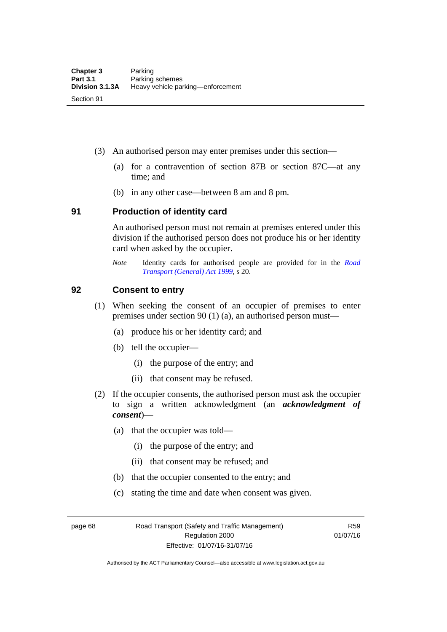- (3) An authorised person may enter premises under this section––
	- (a) for a contravention of section 87B or section 87C––at any time; and
	- (b) in any other case––between 8 am and 8 pm.

#### **91 Production of identity card**

An authorised person must not remain at premises entered under this division if the authorised person does not produce his or her identity card when asked by the occupier.

*Note* Identity cards for authorised people are provided for in the *[Road](http://www.legislation.act.gov.au/a/1999-77)  [Transport \(General\) Act 1999](http://www.legislation.act.gov.au/a/1999-77)*, s 20.

#### **92 Consent to entry**

- (1) When seeking the consent of an occupier of premises to enter premises under section 90 (1) (a), an authorised person must—
	- (a) produce his or her identity card; and
	- (b) tell the occupier—
		- (i) the purpose of the entry; and
		- (ii) that consent may be refused.
- (2) If the occupier consents, the authorised person must ask the occupier to sign a written acknowledgment (an *acknowledgment of consent*)—
	- (a) that the occupier was told—
		- (i) the purpose of the entry; and
		- (ii) that consent may be refused; and
	- (b) that the occupier consented to the entry; and
	- (c) stating the time and date when consent was given.

page 68 Road Transport (Safety and Traffic Management) Regulation 2000 Effective: 01/07/16-31/07/16

R59 01/07/16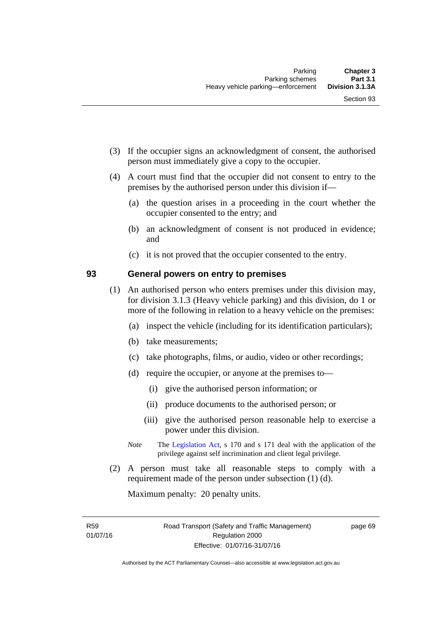- (3) If the occupier signs an acknowledgment of consent, the authorised person must immediately give a copy to the occupier.
- (4) A court must find that the occupier did not consent to entry to the premises by the authorised person under this division if—
	- (a) the question arises in a proceeding in the court whether the occupier consented to the entry; and
	- (b) an acknowledgment of consent is not produced in evidence; and
	- (c) it is not proved that the occupier consented to the entry.

#### **93 General powers on entry to premises**

- (1) An authorised person who enters premises under this division may, for division 3.1.3 (Heavy vehicle parking) and this division, do 1 or more of the following in relation to a heavy vehicle on the premises:
	- (a) inspect the vehicle (including for its identification particulars);
	- (b) take measurements;
	- (c) take photographs, films, or audio, video or other recordings;
	- (d) require the occupier, or anyone at the premises to—
		- (i) give the authorised person information; or
		- (ii) produce documents to the authorised person; or
		- (iii) give the authorised person reasonable help to exercise a power under this division.
	- *Note* The [Legislation Act,](http://www.legislation.act.gov.au/a/2001-14) s 170 and s 171 deal with the application of the privilege against self incrimination and client legal privilege.
- (2) A person must take all reasonable steps to comply with a requirement made of the person under subsection (1) (d).

Maximum penalty: 20 penalty units.

R59 01/07/16 page 69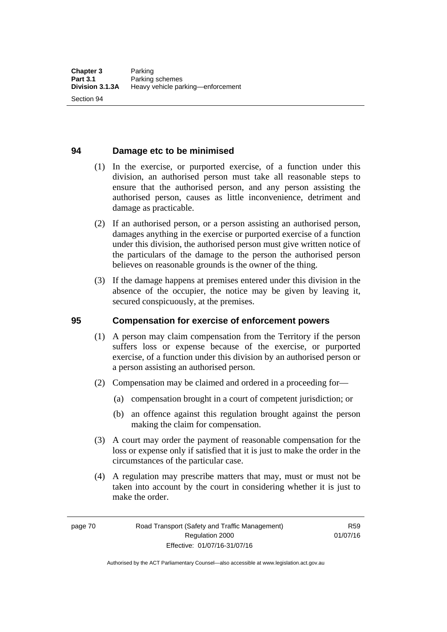Section 94

# **94 Damage etc to be minimised**

- (1) In the exercise, or purported exercise, of a function under this division, an authorised person must take all reasonable steps to ensure that the authorised person, and any person assisting the authorised person, causes as little inconvenience, detriment and damage as practicable.
- (2) If an authorised person, or a person assisting an authorised person, damages anything in the exercise or purported exercise of a function under this division, the authorised person must give written notice of the particulars of the damage to the person the authorised person believes on reasonable grounds is the owner of the thing.
- (3) If the damage happens at premises entered under this division in the absence of the occupier, the notice may be given by leaving it, secured conspicuously, at the premises.

# **95 Compensation for exercise of enforcement powers**

- (1) A person may claim compensation from the Territory if the person suffers loss or expense because of the exercise, or purported exercise, of a function under this division by an authorised person or a person assisting an authorised person.
- (2) Compensation may be claimed and ordered in a proceeding for—
	- (a) compensation brought in a court of competent jurisdiction; or
	- (b) an offence against this regulation brought against the person making the claim for compensation.
- (3) A court may order the payment of reasonable compensation for the loss or expense only if satisfied that it is just to make the order in the circumstances of the particular case.
- (4) A regulation may prescribe matters that may, must or must not be taken into account by the court in considering whether it is just to make the order.

page 70 Road Transport (Safety and Traffic Management) Regulation 2000 Effective: 01/07/16-31/07/16

R59 01/07/16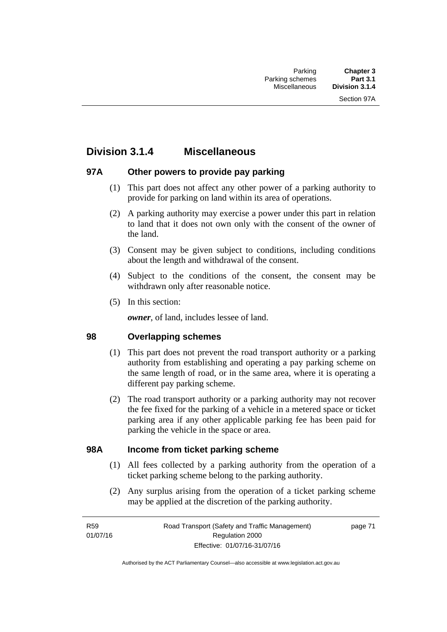# **Division 3.1.4 Miscellaneous**

# **97A Other powers to provide pay parking**

- (1) This part does not affect any other power of a parking authority to provide for parking on land within its area of operations.
- (2) A parking authority may exercise a power under this part in relation to land that it does not own only with the consent of the owner of the land.
- (3) Consent may be given subject to conditions, including conditions about the length and withdrawal of the consent.
- (4) Subject to the conditions of the consent, the consent may be withdrawn only after reasonable notice.
- (5) In this section:

*owner*, of land, includes lessee of land.

# **98 Overlapping schemes**

- (1) This part does not prevent the road transport authority or a parking authority from establishing and operating a pay parking scheme on the same length of road, or in the same area, where it is operating a different pay parking scheme.
- (2) The road transport authority or a parking authority may not recover the fee fixed for the parking of a vehicle in a metered space or ticket parking area if any other applicable parking fee has been paid for parking the vehicle in the space or area.

#### **98A Income from ticket parking scheme**

- (1) All fees collected by a parking authority from the operation of a ticket parking scheme belong to the parking authority.
- (2) Any surplus arising from the operation of a ticket parking scheme may be applied at the discretion of the parking authority.

page 71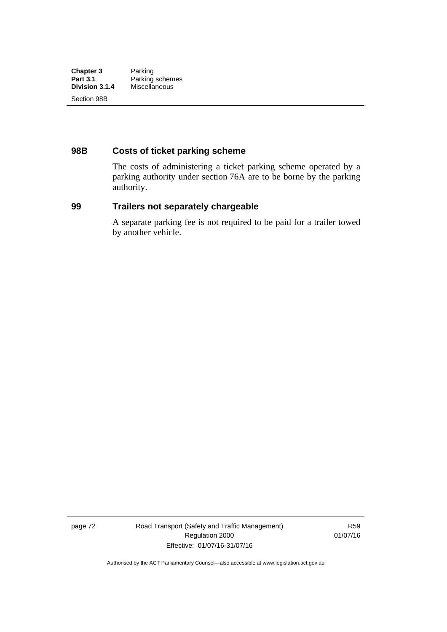# **98B Costs of ticket parking scheme**

The costs of administering a ticket parking scheme operated by a parking authority under section 76A are to be borne by the parking authority.

# **99 Trailers not separately chargeable**

A separate parking fee is not required to be paid for a trailer towed by another vehicle.

page 72 Road Transport (Safety and Traffic Management) Regulation 2000 Effective: 01/07/16-31/07/16

R59 01/07/16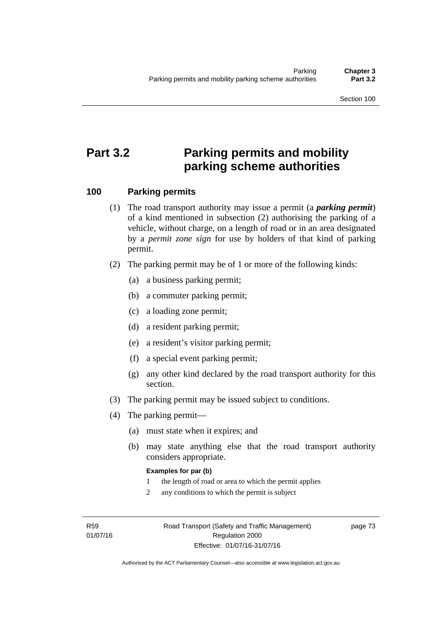Section 100

# **Part 3.2 Parking permits and mobility parking scheme authorities**

# **100 Parking permits**

- (1) The road transport authority may issue a permit (a *parking permit*) of a kind mentioned in subsection (2) authorising the parking of a vehicle, without charge, on a length of road or in an area designated by a *permit zone sign* for use by holders of that kind of parking permit.
- (2) The parking permit may be of 1 or more of the following kinds:
	- (a) a business parking permit;
	- (b) a commuter parking permit;
	- (c) a loading zone permit;
	- (d) a resident parking permit;
	- (e) a resident's visitor parking permit;
	- (f) a special event parking permit;
	- (g) any other kind declared by the road transport authority for this section.
- (3) The parking permit may be issued subject to conditions.
- (4) The parking permit—
	- (a) must state when it expires; and
	- (b) may state anything else that the road transport authority considers appropriate.

#### **Examples for par (b)**

- 1 the length of road or area to which the permit applies
- 2 any conditions to which the permit is subject

R59 01/07/16 page 73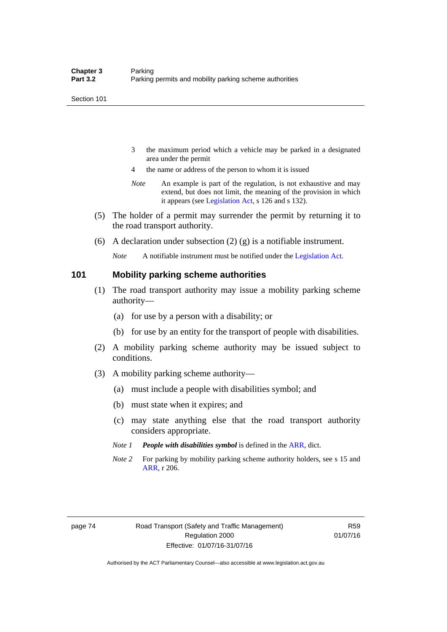- 3 the maximum period which a vehicle may be parked in a designated area under the permit
- 4 the name or address of the person to whom it is issued
- *Note* An example is part of the regulation, is not exhaustive and may extend, but does not limit, the meaning of the provision in which it appears (see [Legislation Act,](http://www.legislation.act.gov.au/a/2001-14) s 126 and s 132).
- (5) The holder of a permit may surrender the permit by returning it to the road transport authority.
- (6) A declaration under subsection (2) (g) is a notifiable instrument.

*Note* A notifiable instrument must be notified under the [Legislation Act](http://www.legislation.act.gov.au/a/2001-14).

#### **101 Mobility parking scheme authorities**

- (1) The road transport authority may issue a mobility parking scheme authority—
	- (a) for use by a person with a disability; or
	- (b) for use by an entity for the transport of people with disabilities.
- (2) A mobility parking scheme authority may be issued subject to conditions.
- (3) A mobility parking scheme authority—
	- (a) must include a people with disabilities symbol; and
	- (b) must state when it expires; and
	- (c) may state anything else that the road transport authority considers appropriate.
	- *Note 1 People with disabilities symbol* is defined in the [ARR](http://www.legislation.act.gov.au//ni/db_37271/default.asp), dict.
	- *Note 2* For parking by mobility parking scheme authority holders, see s 15 and [ARR,](http://www.legislation.act.gov.au//ni/db_37271/default.asp) r 206.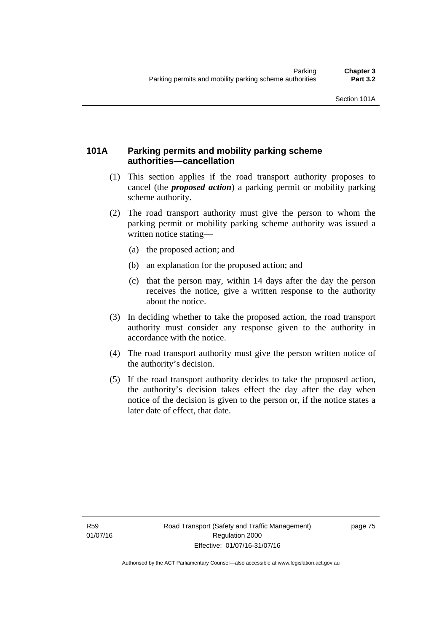# **101A Parking permits and mobility parking scheme authorities—cancellation**

- (1) This section applies if the road transport authority proposes to cancel (the *proposed action*) a parking permit or mobility parking scheme authority.
- (2) The road transport authority must give the person to whom the parking permit or mobility parking scheme authority was issued a written notice stating—
	- (a) the proposed action; and
	- (b) an explanation for the proposed action; and
	- (c) that the person may, within 14 days after the day the person receives the notice, give a written response to the authority about the notice.
- (3) In deciding whether to take the proposed action, the road transport authority must consider any response given to the authority in accordance with the notice.
- (4) The road transport authority must give the person written notice of the authority's decision.
- (5) If the road transport authority decides to take the proposed action, the authority's decision takes effect the day after the day when notice of the decision is given to the person or, if the notice states a later date of effect, that date.

page 75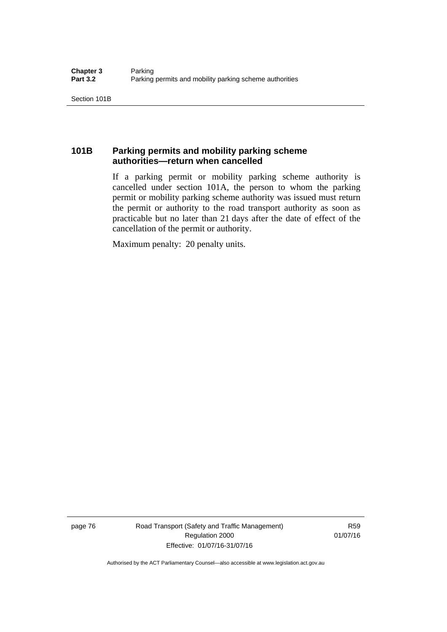# **101B Parking permits and mobility parking scheme authorities—return when cancelled**

If a parking permit or mobility parking scheme authority is cancelled under section 101A, the person to whom the parking permit or mobility parking scheme authority was issued must return the permit or authority to the road transport authority as soon as practicable but no later than 21 days after the date of effect of the cancellation of the permit or authority.

Maximum penalty: 20 penalty units.

page 76 Road Transport (Safety and Traffic Management) Regulation 2000 Effective: 01/07/16-31/07/16

R59 01/07/16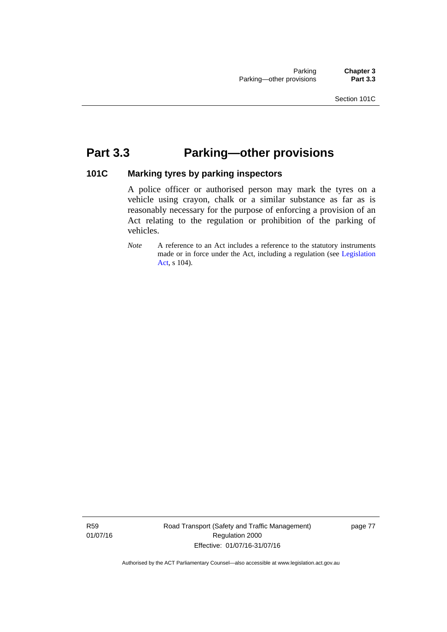# **Part 3.3 Parking—other provisions**

# **101C Marking tyres by parking inspectors**

A police officer or authorised person may mark the tyres on a vehicle using crayon, chalk or a similar substance as far as is reasonably necessary for the purpose of enforcing a provision of an Act relating to the regulation or prohibition of the parking of vehicles.

*Note* A reference to an Act includes a reference to the statutory instruments made or in force under the Act, including a regulation (see [Legislation](http://www.legislation.act.gov.au/a/2001-14)  [Act,](http://www.legislation.act.gov.au/a/2001-14) s 104).

R59 01/07/16 Road Transport (Safety and Traffic Management) Regulation 2000 Effective: 01/07/16-31/07/16

page 77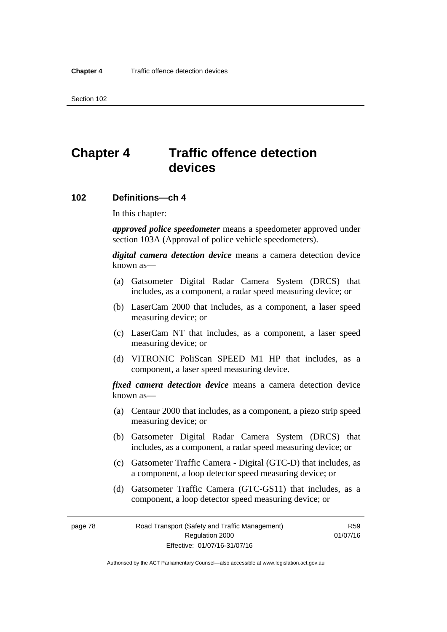# **Chapter 4 Traffic offence detection devices**

#### **102 Definitions—ch 4**

In this chapter:

*approved police speedometer* means a speedometer approved under section 103A (Approval of police vehicle speedometers).

*digital camera detection device* means a camera detection device known as—

- (a) Gatsometer Digital Radar Camera System (DRCS) that includes, as a component, a radar speed measuring device; or
- (b) LaserCam 2000 that includes, as a component, a laser speed measuring device; or
- (c) LaserCam NT that includes, as a component, a laser speed measuring device; or
- (d) VITRONIC PoliScan SPEED M1 HP that includes, as a component, a laser speed measuring device.

*fixed camera detection device* means a camera detection device known as—

- (a) Centaur 2000 that includes, as a component, a piezo strip speed measuring device; or
- (b) Gatsometer Digital Radar Camera System (DRCS) that includes, as a component, a radar speed measuring device; or
- (c) Gatsometer Traffic Camera Digital (GTC-D) that includes, as a component, a loop detector speed measuring device; or
- (d) Gatsometer Traffic Camera (GTC-GS11) that includes, as a component, a loop detector speed measuring device; or

page 78 Road Transport (Safety and Traffic Management) Regulation 2000 Effective: 01/07/16-31/07/16

R59 01/07/16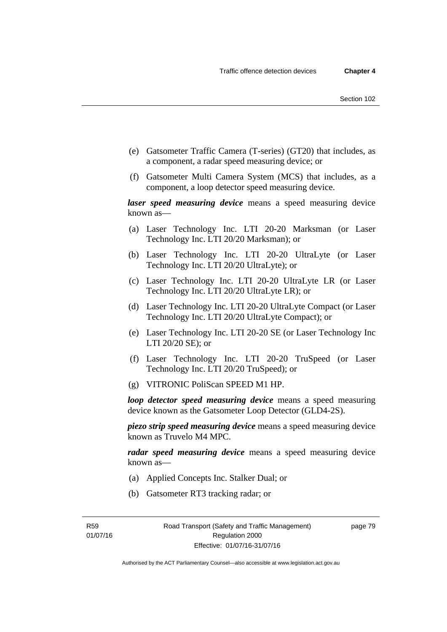- (e) Gatsometer Traffic Camera (T-series) (GT20) that includes, as a component, a radar speed measuring device; or
- (f) Gatsometer Multi Camera System (MCS) that includes, as a component, a loop detector speed measuring device.

*laser speed measuring device* means a speed measuring device known as—

- (a) Laser Technology Inc. LTI 20-20 Marksman (or Laser Technology Inc. LTI 20/20 Marksman); or
- (b) Laser Technology Inc. LTI 20-20 UltraLyte (or Laser Technology Inc. LTI 20/20 UltraLyte); or
- (c) Laser Technology Inc. LTI 20-20 UltraLyte LR (or Laser Technology Inc. LTI 20/20 UltraLyte LR); or
- (d) Laser Technology Inc. LTI 20-20 UltraLyte Compact (or Laser Technology Inc. LTI 20/20 UltraLyte Compact); or
- (e) Laser Technology Inc. LTI 20-20 SE (or Laser Technology Inc LTI 20/20 SE); or
- (f) Laser Technology Inc. LTI 20-20 TruSpeed (or Laser Technology Inc. LTI 20/20 TruSpeed); or
- (g) VITRONIC PoliScan SPEED M1 HP.

*loop detector speed measuring device* means a speed measuring device known as the Gatsometer Loop Detector (GLD4-2S).

*piezo strip speed measuring device* means a speed measuring device known as Truvelo M4 MPC.

*radar speed measuring device* means a speed measuring device known as—

- (a) Applied Concepts Inc. Stalker Dual; or
- (b) Gatsometer RT3 tracking radar; or

R59 01/07/16 page 79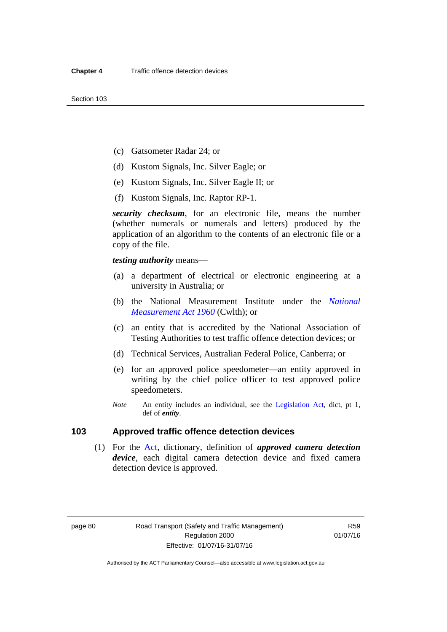- (c) Gatsometer Radar 24; or
- (d) Kustom Signals, Inc. Silver Eagle; or
- (e) Kustom Signals, Inc. Silver Eagle II; or
- (f) Kustom Signals, Inc. Raptor RP-1.

*security checksum*, for an electronic file, means the number (whether numerals or numerals and letters) produced by the application of an algorithm to the contents of an electronic file or a copy of the file.

*testing authority* means—

- (a) a department of electrical or electronic engineering at a university in Australia; or
- (b) the National Measurement Institute under the *[National](http://www.comlaw.gov.au/Series/C2004A07405)  [Measurement Act 1960](http://www.comlaw.gov.au/Series/C2004A07405)* (Cwlth); or
- (c) an entity that is accredited by the National Association of Testing Authorities to test traffic offence detection devices; or
- (d) Technical Services, Australian Federal Police, Canberra; or
- (e) for an approved police speedometer—an entity approved in writing by the chief police officer to test approved police speedometers.
- *Note* An entity includes an individual, see the [Legislation Act](http://www.legislation.act.gov.au/a/2001-14), dict, pt 1, def of *entity*.

# **103 Approved traffic offence detection devices**

 (1) For the [Act](http://www.legislation.act.gov.au/a/1999-80/default.asp), dictionary, definition of *approved camera detection device*, each digital camera detection device and fixed camera detection device is approved.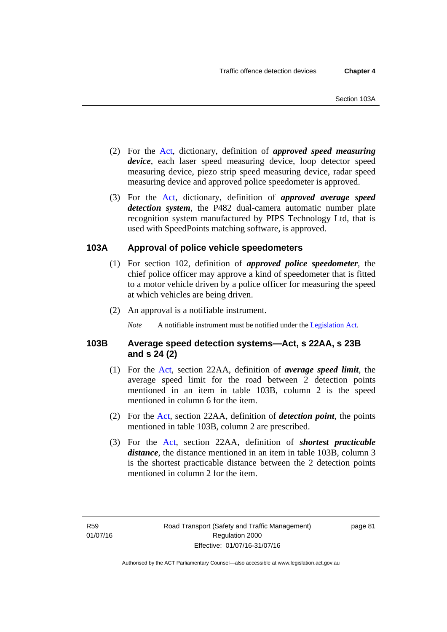- (2) For the [Act,](http://www.legislation.act.gov.au/a/1999-80/default.asp) dictionary, definition of *approved speed measuring device*, each laser speed measuring device, loop detector speed measuring device, piezo strip speed measuring device, radar speed measuring device and approved police speedometer is approved.
- (3) For the [Act](http://www.legislation.act.gov.au/a/1999-80/default.asp), dictionary, definition of *approved average speed detection system*, the P482 dual-camera automatic number plate recognition system manufactured by PIPS Technology Ltd, that is used with SpeedPoints matching software, is approved.

# **103A Approval of police vehicle speedometers**

- (1) For section 102, definition of *approved police speedometer*, the chief police officer may approve a kind of speedometer that is fitted to a motor vehicle driven by a police officer for measuring the speed at which vehicles are being driven.
- (2) An approval is a notifiable instrument.

*Note* A notifiable instrument must be notified under the [Legislation Act](http://www.legislation.act.gov.au/a/2001-14).

# **103B Average speed detection systems—Act, s 22AA, s 23B and s 24 (2)**

- (1) For the [Act,](http://www.legislation.act.gov.au/a/1999-80/default.asp) section 22AA, definition of *average speed limit*, the average speed limit for the road between 2 detection points mentioned in an item in table 103B, column 2 is the speed mentioned in column 6 for the item.
- (2) For the [Act](http://www.legislation.act.gov.au/a/1999-80/default.asp), section 22AA, definition of *detection point*, the points mentioned in table 103B, column 2 are prescribed.
- (3) For the [Act](http://www.legislation.act.gov.au/a/1999-80/default.asp), section 22AA, definition of *shortest practicable distance*, the distance mentioned in an item in table 103B, column 3 is the shortest practicable distance between the 2 detection points mentioned in column 2 for the item.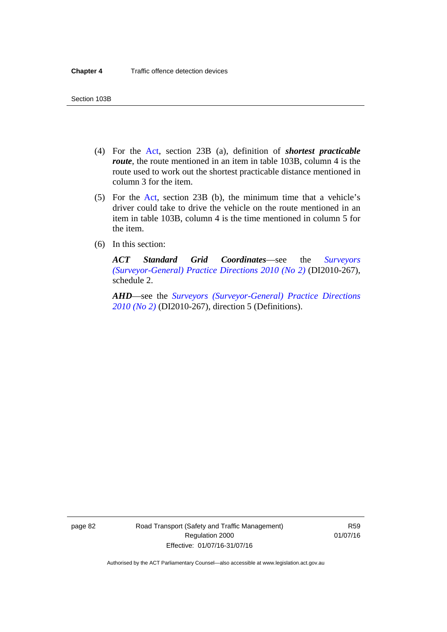- (4) For the [Act,](http://www.legislation.act.gov.au/a/1999-80/default.asp) section 23B (a), definition of *shortest practicable route*, the route mentioned in an item in table 103B, column 4 is the route used to work out the shortest practicable distance mentioned in column 3 for the item.
- (5) For the [Act](http://www.legislation.act.gov.au/a/1999-80/default.asp), section 23B (b), the minimum time that a vehicle's driver could take to drive the vehicle on the route mentioned in an item in table 103B, column 4 is the time mentioned in column 5 for the item.
- (6) In this section:

*ACT Standard Grid Coordinates*—see the *[Surveyors](http://www.legislation.act.gov.au/di/2010-267/default.asp)  [\(Surveyor-General\) Practice Directions 2010 \(No 2\)](http://www.legislation.act.gov.au/di/2010-267/default.asp)* (DI2010-267), schedule 2.

*AHD*—see the *[Surveyors \(Surveyor-General\) Practice Directions](http://www.legislation.act.gov.au/di/2010-267/default.asp)  [2010 \(No 2\)](http://www.legislation.act.gov.au/di/2010-267/default.asp)* (DI2010-267), direction 5 (Definitions).

page 82 Road Transport (Safety and Traffic Management) Regulation 2000 Effective: 01/07/16-31/07/16

R59 01/07/16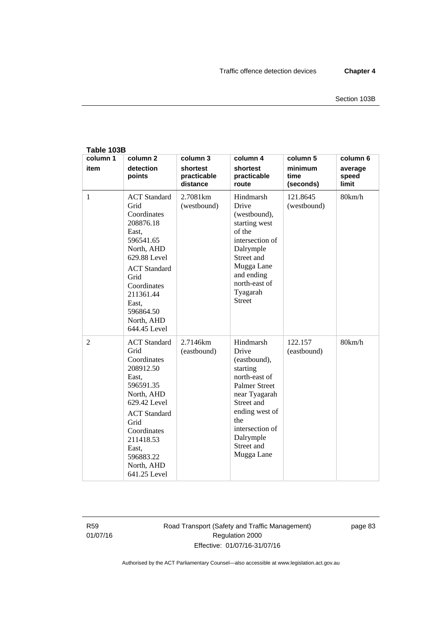| Table 103B       |                                                                                                                                                                                                                            |                                                 |                                                                                                                                                                                                             |                                          |                                              |  |  |  |  |
|------------------|----------------------------------------------------------------------------------------------------------------------------------------------------------------------------------------------------------------------------|-------------------------------------------------|-------------------------------------------------------------------------------------------------------------------------------------------------------------------------------------------------------------|------------------------------------------|----------------------------------------------|--|--|--|--|
| column 1<br>item | column <sub>2</sub><br>detection<br>points                                                                                                                                                                                 | column 3<br>shortest<br>practicable<br>distance | column 4<br>shortest<br>practicable<br>route                                                                                                                                                                | column 5<br>minimum<br>time<br>(seconds) | column 6<br>average<br>speed<br><b>limit</b> |  |  |  |  |
| $\mathbf{1}$     | <b>ACT</b> Standard<br>Grid<br>Coordinates<br>208876.18<br>East,<br>596541.65<br>North, AHD<br>629.88 Level<br><b>ACT</b> Standard<br>Grid<br>Coordinates<br>211361.44<br>East,<br>596864.50<br>North, AHD<br>644.45 Level | 2.7081km<br>(westbound)                         | Hindmarsh<br>Drive<br>(westbound),<br>starting west<br>of the<br>intersection of<br>Dalrymple<br>Street and<br>Mugga Lane<br>and ending<br>north-east of<br>Tyagarah<br><b>Street</b>                       | 121.8645<br>(westbound)                  | 80km/h                                       |  |  |  |  |
| $\overline{2}$   | <b>ACT</b> Standard<br>Grid<br>Coordinates<br>208912.50<br>East,<br>596591.35<br>North, AHD<br>629.42 Level<br><b>ACT</b> Standard<br>Grid<br>Coordinates<br>211418.53<br>East,<br>596883.22<br>North, AHD<br>641.25 Level | 2.7146km<br>(eastbound)                         | Hindmarsh<br>Drive<br>(eastbound),<br>starting<br>north-east of<br><b>Palmer Street</b><br>near Tyagarah<br>Street and<br>ending west of<br>the<br>intersection of<br>Dalrymple<br>Street and<br>Mugga Lane | 122.157<br>(eastbound)                   | 80km/h                                       |  |  |  |  |

R59 01/07/16 Road Transport (Safety and Traffic Management) Regulation 2000 Effective: 01/07/16-31/07/16

page 83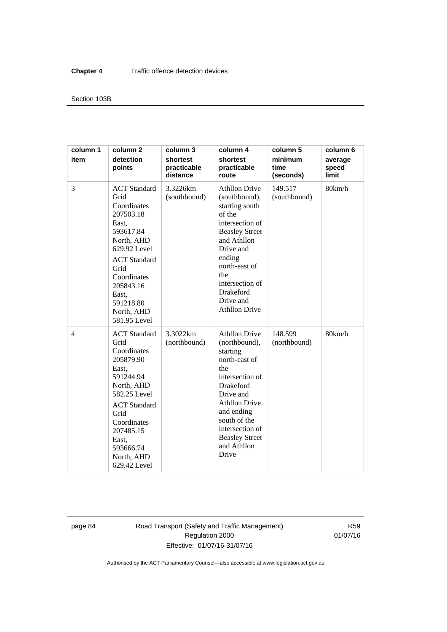#### Section 103B

| column 1<br>item | column <sub>2</sub><br>detection<br>points                                                                                                                                                                                 | column 3<br>shortest<br>practicable<br>distance | column 4<br>shortest<br>practicable<br>route                                                                                                                                                                                                            | column 5<br>minimum<br>time<br>(seconds) | column 6<br>average<br>speed<br>limit |
|------------------|----------------------------------------------------------------------------------------------------------------------------------------------------------------------------------------------------------------------------|-------------------------------------------------|---------------------------------------------------------------------------------------------------------------------------------------------------------------------------------------------------------------------------------------------------------|------------------------------------------|---------------------------------------|
| 3                | <b>ACT</b> Standard<br>Grid<br>Coordinates<br>207503.18<br>East,<br>593617.84<br>North, AHD<br>629.92 Level<br><b>ACT</b> Standard<br>Grid<br>Coordinates<br>205843.16<br>East.<br>591218.80<br>North, AHD<br>581.95 Level | 3.3226km<br>(southbound)                        | <b>Athllon Drive</b><br>(southbound),<br>starting south<br>of the<br>intersection of<br><b>Beasley Street</b><br>and Athllon<br>Drive and<br>ending<br>north-east of<br>the<br>intersection of<br>Drakeford<br>Drive and<br><b>Athllon Drive</b>        | 149.517<br>(southbound)                  | 80km/h                                |
| 4                | <b>ACT</b> Standard<br>Grid<br>Coordinates<br>205879.90<br>East.<br>591244.94<br>North, AHD<br>582.25 Level<br><b>ACT</b> Standard<br>Grid<br>Coordinates<br>207485.15<br>East,<br>593666.74<br>North, AHD<br>629.42 Level | 3.3022km<br>(northbound)                        | <b>Athllon Drive</b><br>(northbound),<br>starting<br>north-east of<br>the<br>intersection of<br><b>Drakeford</b><br>Drive and<br><b>Athllon Drive</b><br>and ending<br>south of the<br>intersection of<br><b>Beasley Street</b><br>and Athllon<br>Drive | 148.599<br>(northbound)                  | 80km/h                                |

page 84 Road Transport (Safety and Traffic Management) Regulation 2000 Effective: 01/07/16-31/07/16

R59 01/07/16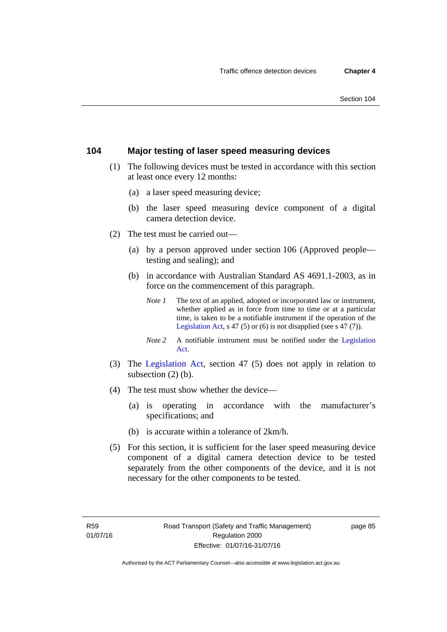# **104 Major testing of laser speed measuring devices**

- (1) The following devices must be tested in accordance with this section at least once every 12 months:
	- (a) a laser speed measuring device;
	- (b) the laser speed measuring device component of a digital camera detection device.
- (2) The test must be carried out—
	- (a) by a person approved under section 106 (Approved people testing and sealing); and
	- (b) in accordance with Australian Standard AS 4691.1-2003, as in force on the commencement of this paragraph.
		- *Note 1* The text of an applied, adopted or incorporated law or instrument, whether applied as in force from time to time or at a particular time, is taken to be a notifiable instrument if the operation of the [Legislation Act,](http://www.legislation.act.gov.au/a/2001-14) s 47 (5) or (6) is not disapplied (see s 47 (7)).
		- *Note 2* A notifiable instrument must be notified under the [Legislation](http://www.legislation.act.gov.au/a/2001-14)  [Act.](http://www.legislation.act.gov.au/a/2001-14)
- (3) The [Legislation Act,](http://www.legislation.act.gov.au/a/2001-14) section 47 (5) does not apply in relation to subsection (2) (b).
- (4) The test must show whether the device—
	- (a) is operating in accordance with the manufacturer's specifications; and
	- (b) is accurate within a tolerance of 2km/h.
- (5) For this section, it is sufficient for the laser speed measuring device component of a digital camera detection device to be tested separately from the other components of the device, and it is not necessary for the other components to be tested.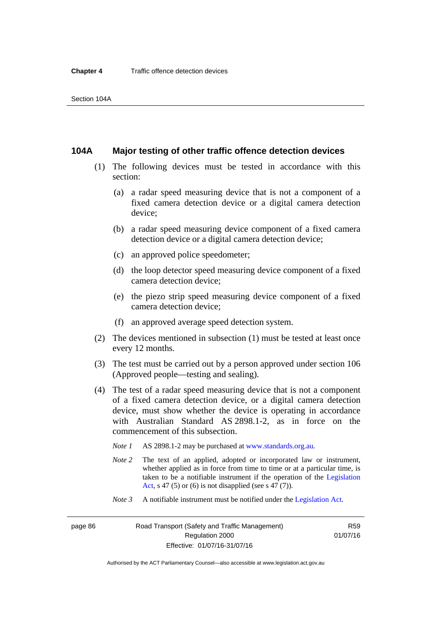#### **104A Major testing of other traffic offence detection devices**

- (1) The following devices must be tested in accordance with this section:
	- (a) a radar speed measuring device that is not a component of a fixed camera detection device or a digital camera detection device;
	- (b) a radar speed measuring device component of a fixed camera detection device or a digital camera detection device;
	- (c) an approved police speedometer;
	- (d) the loop detector speed measuring device component of a fixed camera detection device;
	- (e) the piezo strip speed measuring device component of a fixed camera detection device;
	- (f) an approved average speed detection system.
- (2) The devices mentioned in subsection (1) must be tested at least once every 12 months.
- (3) The test must be carried out by a person approved under section 106 (Approved people—testing and sealing).
- (4) The test of a radar speed measuring device that is not a component of a fixed camera detection device, or a digital camera detection device, must show whether the device is operating in accordance with Australian Standard AS 2898.1-2, as in force on the commencement of this subsection.
	- *Note 1* AS 2898.1-2 may be purchased at [www.standards.org.au](http://www.standards.org.au/Pages/default.aspx)*.*
	- *Note* 2 The text of an applied, adopted or incorporated law or instrument, whether applied as in force from time to time or at a particular time, is taken to be a notifiable instrument if the operation of the [Legislation](http://www.legislation.act.gov.au/a/2001-14)  [Act](http://www.legislation.act.gov.au/a/2001-14), s 47 (5) or (6) is not disapplied (see s 47 (7)).
	- *Note 3* A notifiable instrument must be notified under the [Legislation Act](http://www.legislation.act.gov.au/a/2001-14).

page 86 Road Transport (Safety and Traffic Management) Regulation 2000 Effective: 01/07/16-31/07/16

R59 01/07/16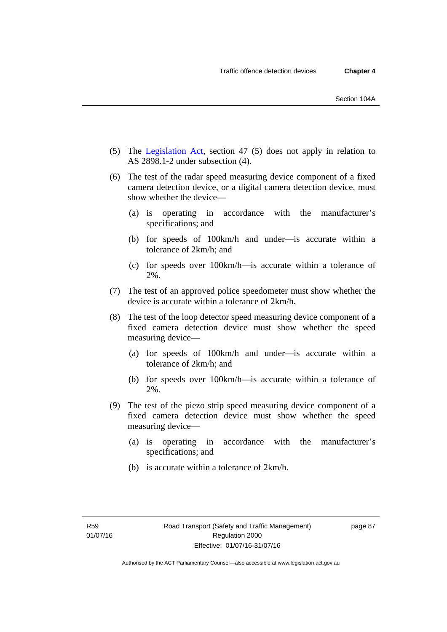- (5) The [Legislation Act,](http://www.legislation.act.gov.au/a/2001-14) section 47 (5) does not apply in relation to AS 2898.1-2 under subsection (4).
- (6) The test of the radar speed measuring device component of a fixed camera detection device, or a digital camera detection device, must show whether the device—
	- (a) is operating in accordance with the manufacturer's specifications; and
	- (b) for speeds of 100km/h and under—is accurate within a tolerance of 2km/h; and
	- (c) for speeds over 100km/h—is accurate within a tolerance of 2%.
- (7) The test of an approved police speedometer must show whether the device is accurate within a tolerance of 2km/h.
- (8) The test of the loop detector speed measuring device component of a fixed camera detection device must show whether the speed measuring device—
	- (a) for speeds of 100km/h and under—is accurate within a tolerance of 2km/h; and
	- (b) for speeds over 100km/h—is accurate within a tolerance of 2%.
- (9) The test of the piezo strip speed measuring device component of a fixed camera detection device must show whether the speed measuring device—
	- (a) is operating in accordance with the manufacturer's specifications; and
	- (b) is accurate within a tolerance of 2km/h.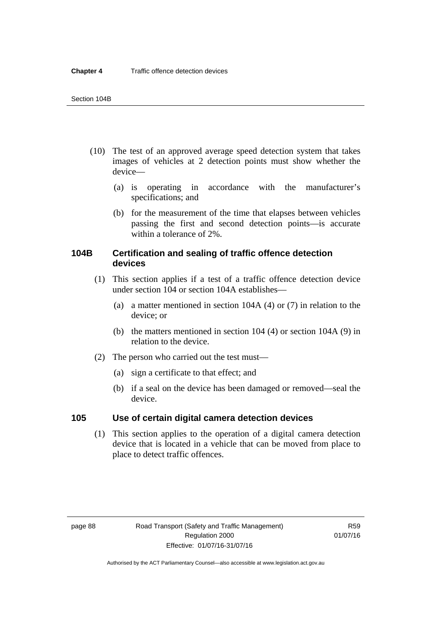- (10) The test of an approved average speed detection system that takes images of vehicles at 2 detection points must show whether the device—
	- (a) is operating in accordance with the manufacturer's specifications; and
	- (b) for the measurement of the time that elapses between vehicles passing the first and second detection points—is accurate within a tolerance of 2%.

# **104B Certification and sealing of traffic offence detection devices**

- (1) This section applies if a test of a traffic offence detection device under section 104 or section 104A establishes—
	- (a) a matter mentioned in section 104A (4) or (7) in relation to the device; or
	- (b) the matters mentioned in section 104 (4) or section 104A (9) in relation to the device.
- (2) The person who carried out the test must—
	- (a) sign a certificate to that effect; and
	- (b) if a seal on the device has been damaged or removed—seal the device.

#### **105 Use of certain digital camera detection devices**

(1) This section applies to the operation of a digital camera detection device that is located in a vehicle that can be moved from place to place to detect traffic offences.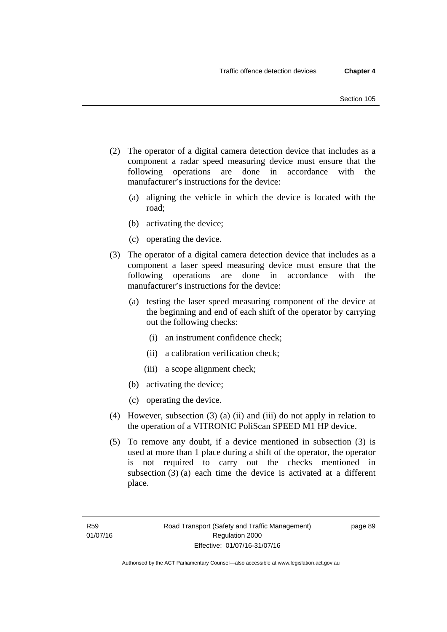- (2) The operator of a digital camera detection device that includes as a component a radar speed measuring device must ensure that the following operations are done in accordance with the manufacturer's instructions for the device:
	- (a) aligning the vehicle in which the device is located with the road;
	- (b) activating the device;
	- (c) operating the device.
- (3) The operator of a digital camera detection device that includes as a component a laser speed measuring device must ensure that the following operations are done in accordance with the manufacturer's instructions for the device:
	- (a) testing the laser speed measuring component of the device at the beginning and end of each shift of the operator by carrying out the following checks:
		- (i) an instrument confidence check;
		- (ii) a calibration verification check;
		- (iii) a scope alignment check;
	- (b) activating the device;
	- (c) operating the device.
- (4) However, subsection (3) (a) (ii) and (iii) do not apply in relation to the operation of a VITRONIC PoliScan SPEED M1 HP device.
- (5) To remove any doubt, if a device mentioned in subsection (3) is used at more than 1 place during a shift of the operator, the operator is not required to carry out the checks mentioned in subsection (3) (a) each time the device is activated at a different place.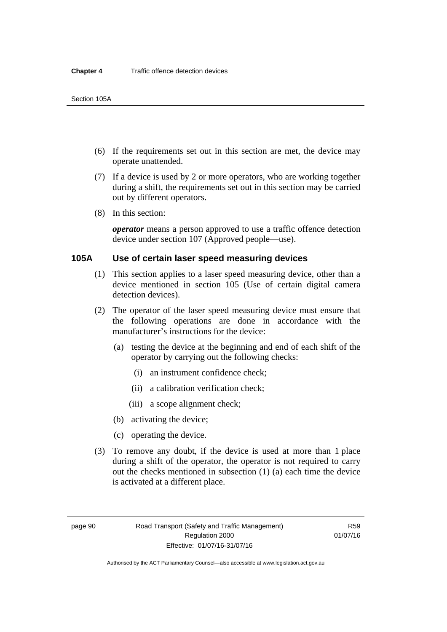- (6) If the requirements set out in this section are met, the device may operate unattended.
- (7) If a device is used by 2 or more operators, who are working together during a shift, the requirements set out in this section may be carried out by different operators.
- (8) In this section:

*operator* means a person approved to use a traffic offence detection device under section 107 (Approved people—use).

#### **105A Use of certain laser speed measuring devices**

- (1) This section applies to a laser speed measuring device, other than a device mentioned in section 105 (Use of certain digital camera detection devices).
- (2) The operator of the laser speed measuring device must ensure that the following operations are done in accordance with the manufacturer's instructions for the device:
	- (a) testing the device at the beginning and end of each shift of the operator by carrying out the following checks:
		- (i) an instrument confidence check;
		- (ii) a calibration verification check;
		- (iii) a scope alignment check;
	- (b) activating the device;
	- (c) operating the device.
- (3) To remove any doubt, if the device is used at more than 1 place during a shift of the operator, the operator is not required to carry out the checks mentioned in subsection (1) (a) each time the device is activated at a different place.

page 90 Road Transport (Safety and Traffic Management) Regulation 2000 Effective: 01/07/16-31/07/16

R59 01/07/16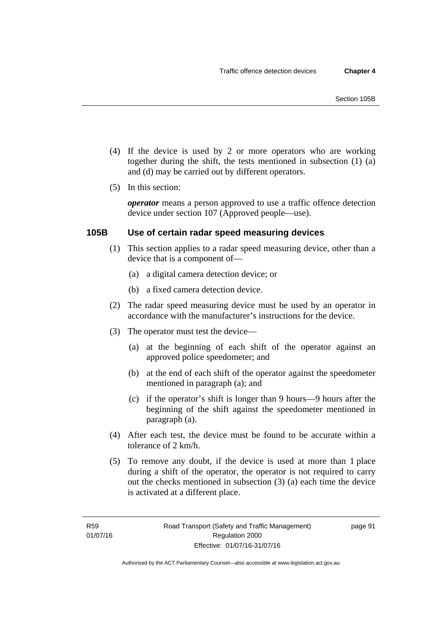- (4) If the device is used by 2 or more operators who are working together during the shift, the tests mentioned in subsection (1) (a) and (d) may be carried out by different operators.
- (5) In this section:

*operator* means a person approved to use a traffic offence detection device under section 107 (Approved people—use).

#### **105B Use of certain radar speed measuring devices**

- (1) This section applies to a radar speed measuring device, other than a device that is a component of—
	- (a) a digital camera detection device; or
	- (b) a fixed camera detection device.
- (2) The radar speed measuring device must be used by an operator in accordance with the manufacturer's instructions for the device.
- (3) The operator must test the device—
	- (a) at the beginning of each shift of the operator against an approved police speedometer; and
	- (b) at the end of each shift of the operator against the speedometer mentioned in paragraph (a); and
	- (c) if the operator's shift is longer than 9 hours—9 hours after the beginning of the shift against the speedometer mentioned in paragraph (a).
- (4) After each test, the device must be found to be accurate within a tolerance of 2 km/h.
- (5) To remove any doubt, if the device is used at more than 1 place during a shift of the operator, the operator is not required to carry out the checks mentioned in subsection (3) (a) each time the device is activated at a different place.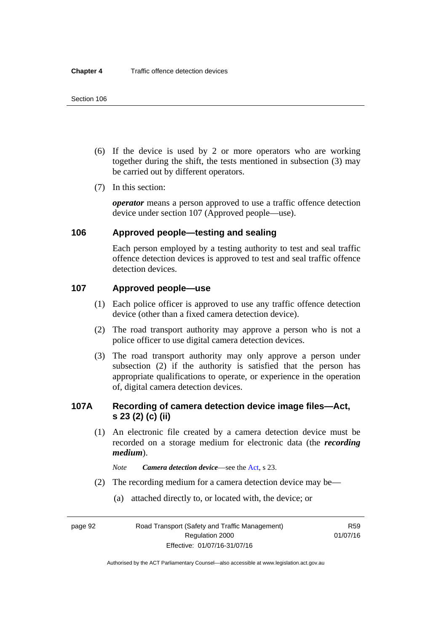- (6) If the device is used by 2 or more operators who are working together during the shift, the tests mentioned in subsection (3) may be carried out by different operators.
- (7) In this section:

*operator* means a person approved to use a traffic offence detection device under section 107 (Approved people—use).

# **106 Approved people—testing and sealing**

Each person employed by a testing authority to test and seal traffic offence detection devices is approved to test and seal traffic offence detection devices.

# **107 Approved people—use**

- (1) Each police officer is approved to use any traffic offence detection device (other than a fixed camera detection device).
- (2) The road transport authority may approve a person who is not a police officer to use digital camera detection devices.
- (3) The road transport authority may only approve a person under subsection (2) if the authority is satisfied that the person has appropriate qualifications to operate, or experience in the operation of, digital camera detection devices.

# **107A Recording of camera detection device image files—Act, s 23 (2) (c) (ii)**

- (1) An electronic file created by a camera detection device must be recorded on a storage medium for electronic data (the *recording medium*).
	- *Note Camera detection device*—see the [Act,](http://www.legislation.act.gov.au/a/1999-80/default.asp) s 23.
- (2) The recording medium for a camera detection device may be—
	- (a) attached directly to, or located with, the device; or

page 92 Road Transport (Safety and Traffic Management) Regulation 2000 Effective: 01/07/16-31/07/16

R59 01/07/16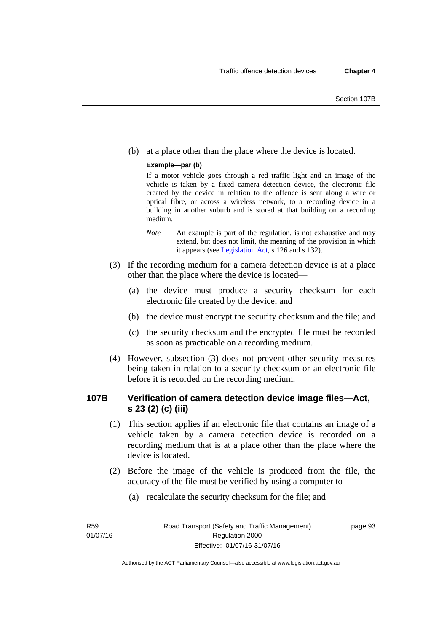(b) at a place other than the place where the device is located.

#### **Example—par (b)**

If a motor vehicle goes through a red traffic light and an image of the vehicle is taken by a fixed camera detection device, the electronic file created by the device in relation to the offence is sent along a wire or optical fibre, or across a wireless network, to a recording device in a building in another suburb and is stored at that building on a recording medium.

- *Note* An example is part of the regulation, is not exhaustive and may extend, but does not limit, the meaning of the provision in which it appears (see [Legislation Act,](http://www.legislation.act.gov.au/a/2001-14) s 126 and s 132).
- (3) If the recording medium for a camera detection device is at a place other than the place where the device is located—
	- (a) the device must produce a security checksum for each electronic file created by the device; and
	- (b) the device must encrypt the security checksum and the file; and
	- (c) the security checksum and the encrypted file must be recorded as soon as practicable on a recording medium.
- (4) However, subsection (3) does not prevent other security measures being taken in relation to a security checksum or an electronic file before it is recorded on the recording medium.

# **107B Verification of camera detection device image files—Act, s 23 (2) (c) (iii)**

- (1) This section applies if an electronic file that contains an image of a vehicle taken by a camera detection device is recorded on a recording medium that is at a place other than the place where the device is located.
- (2) Before the image of the vehicle is produced from the file, the accuracy of the file must be verified by using a computer to—
	- (a) recalculate the security checksum for the file; and

R59 01/07/16 page 93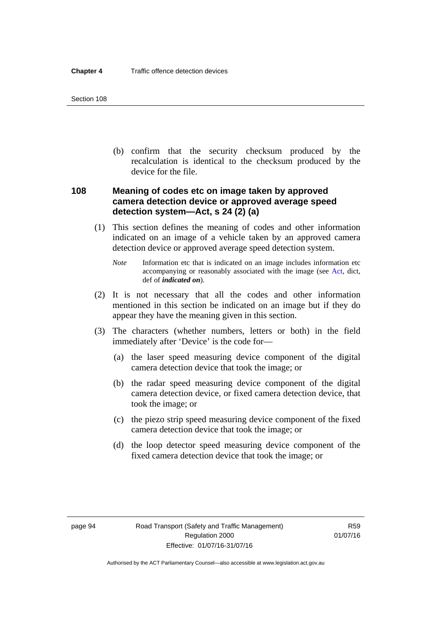(b) confirm that the security checksum produced by the recalculation is identical to the checksum produced by the device for the file.

# **108 Meaning of codes etc on image taken by approved camera detection device or approved average speed detection system—Act, s 24 (2) (a)**

- (1) This section defines the meaning of codes and other information indicated on an image of a vehicle taken by an approved camera detection device or approved average speed detection system.
	- *Note* Information etc that is indicated on an image includes information etc accompanying or reasonably associated with the image (see [Act](http://www.legislation.act.gov.au/a/1999-80/default.asp), dict, def of *indicated on*).
- (2) It is not necessary that all the codes and other information mentioned in this section be indicated on an image but if they do appear they have the meaning given in this section.
- (3) The characters (whether numbers, letters or both) in the field immediately after 'Device' is the code for—
	- (a) the laser speed measuring device component of the digital camera detection device that took the image; or
	- (b) the radar speed measuring device component of the digital camera detection device, or fixed camera detection device, that took the image; or
	- (c) the piezo strip speed measuring device component of the fixed camera detection device that took the image; or
	- (d) the loop detector speed measuring device component of the fixed camera detection device that took the image; or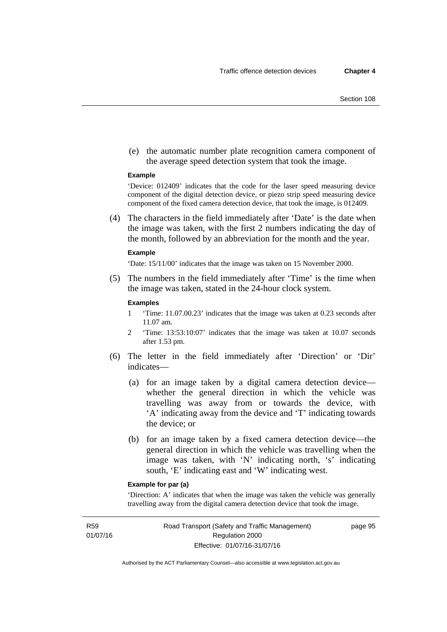(e) the automatic number plate recognition camera component of the average speed detection system that took the image.

#### **Example**

'Device: 012409' indicates that the code for the laser speed measuring device component of the digital detection device, or piezo strip speed measuring device component of the fixed camera detection device, that took the image, is 012409.

 (4) The characters in the field immediately after 'Date' is the date when the image was taken, with the first 2 numbers indicating the day of the month, followed by an abbreviation for the month and the year.

#### **Example**

'Date: 15/11/00' indicates that the image was taken on 15 November 2000.

 (5) The numbers in the field immediately after 'Time' is the time when the image was taken, stated in the 24-hour clock system.

#### **Examples**

- 1 'Time: 11.07.00.23' indicates that the image was taken at 0.23 seconds after 11.07 am.
- 2 'Time: 13:53:10:07' indicates that the image was taken at 10.07 seconds after 1.53 pm.
- (6) The letter in the field immediately after 'Direction' or 'Dir' indicates—
	- (a) for an image taken by a digital camera detection device whether the general direction in which the vehicle was travelling was away from or towards the device, with 'A' indicating away from the device and 'T' indicating towards the device; or
	- (b) for an image taken by a fixed camera detection device—the general direction in which the vehicle was travelling when the image was taken, with 'N' indicating north, 's' indicating south, 'E' indicating east and 'W' indicating west.

#### **Example for par (a)**

'Direction: A' indicates that when the image was taken the vehicle was generally travelling away from the digital camera detection device that took the image.

R59 01/07/16 page 95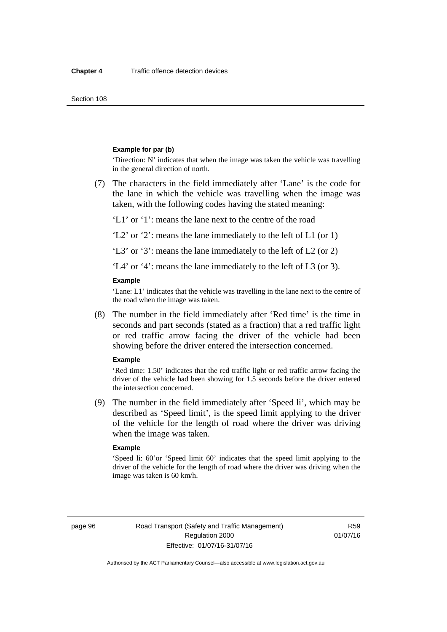#### **Example for par (b)**

'Direction: N' indicates that when the image was taken the vehicle was travelling in the general direction of north.

 (7) The characters in the field immediately after 'Lane' is the code for the lane in which the vehicle was travelling when the image was taken, with the following codes having the stated meaning:

'L1' or '1': means the lane next to the centre of the road

'L2' or '2': means the lane immediately to the left of L1 (or 1)

'L3' or '3': means the lane immediately to the left of L2 (or 2)

'L4' or '4': means the lane immediately to the left of L3 (or 3).

#### **Example**

'Lane: L1' indicates that the vehicle was travelling in the lane next to the centre of the road when the image was taken.

 (8) The number in the field immediately after 'Red time' is the time in seconds and part seconds (stated as a fraction) that a red traffic light or red traffic arrow facing the driver of the vehicle had been showing before the driver entered the intersection concerned.

#### **Example**

'Red time: 1.50' indicates that the red traffic light or red traffic arrow facing the driver of the vehicle had been showing for 1.5 seconds before the driver entered the intersection concerned.

 (9) The number in the field immediately after 'Speed li', which may be described as 'Speed limit', is the speed limit applying to the driver of the vehicle for the length of road where the driver was driving when the image was taken.

#### **Example**

'Speed li: 60'or 'Speed limit 60' indicates that the speed limit applying to the driver of the vehicle for the length of road where the driver was driving when the image was taken is 60 km/h.

page 96 Road Transport (Safety and Traffic Management) Regulation 2000 Effective: 01/07/16-31/07/16

R59 01/07/16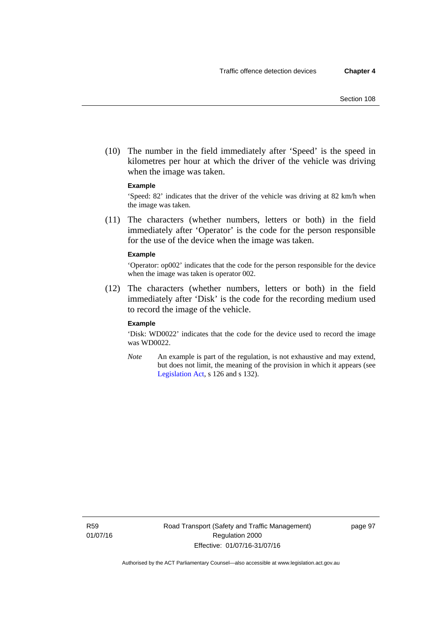(10) The number in the field immediately after 'Speed' is the speed in kilometres per hour at which the driver of the vehicle was driving when the image was taken.

#### **Example**

'Speed: 82' indicates that the driver of the vehicle was driving at 82 km/h when the image was taken.

 (11) The characters (whether numbers, letters or both) in the field immediately after 'Operator' is the code for the person responsible for the use of the device when the image was taken.

#### **Example**

'Operator: op002' indicates that the code for the person responsible for the device when the image was taken is operator 002.

 (12) The characters (whether numbers, letters or both) in the field immediately after 'Disk' is the code for the recording medium used to record the image of the vehicle.

#### **Example**

'Disk: WD0022' indicates that the code for the device used to record the image was WD0022.

*Note* An example is part of the regulation, is not exhaustive and may extend, but does not limit, the meaning of the provision in which it appears (see [Legislation Act,](http://www.legislation.act.gov.au/a/2001-14) s 126 and s 132).

R59 01/07/16 page 97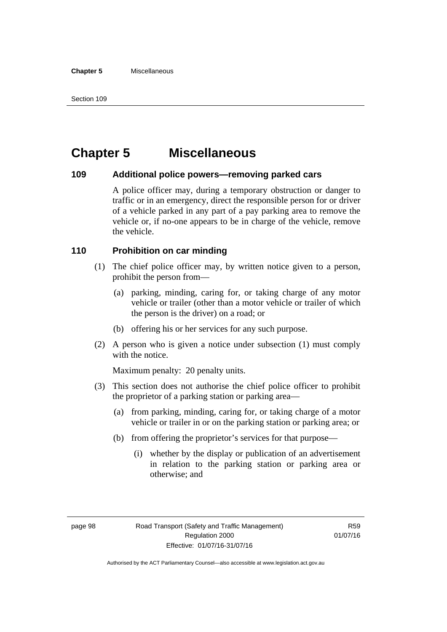# **Chapter 5 Miscellaneous**

### **109 Additional police powers—removing parked cars**

A police officer may, during a temporary obstruction or danger to traffic or in an emergency, direct the responsible person for or driver of a vehicle parked in any part of a pay parking area to remove the vehicle or, if no-one appears to be in charge of the vehicle, remove the vehicle.

# **110 Prohibition on car minding**

- (1) The chief police officer may, by written notice given to a person, prohibit the person from—
	- (a) parking, minding, caring for, or taking charge of any motor vehicle or trailer (other than a motor vehicle or trailer of which the person is the driver) on a road; or
	- (b) offering his or her services for any such purpose.
- (2) A person who is given a notice under subsection (1) must comply with the notice.

Maximum penalty: 20 penalty units.

- (3) This section does not authorise the chief police officer to prohibit the proprietor of a parking station or parking area—
	- (a) from parking, minding, caring for, or taking charge of a motor vehicle or trailer in or on the parking station or parking area; or
	- (b) from offering the proprietor's services for that purpose—
		- (i) whether by the display or publication of an advertisement in relation to the parking station or parking area or otherwise; and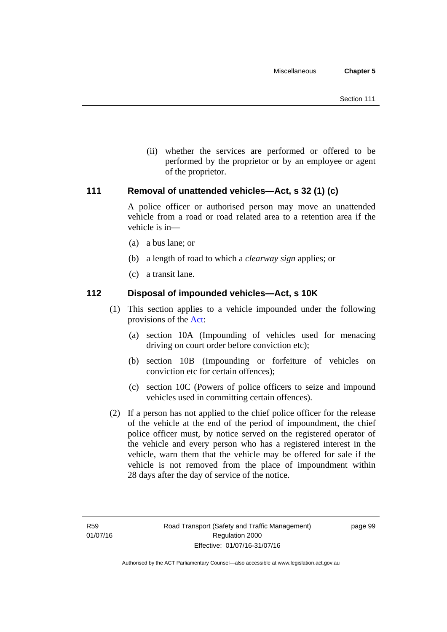(ii) whether the services are performed or offered to be performed by the proprietor or by an employee or agent of the proprietor.

# **111 Removal of unattended vehicles—Act, s 32 (1) (c)**

A police officer or authorised person may move an unattended vehicle from a road or road related area to a retention area if the vehicle is in—

- (a) a bus lane; or
- (b) a length of road to which a *clearway sign* applies; or
- (c) a transit lane.

## **112 Disposal of impounded vehicles—Act, s 10K**

- (1) This section applies to a vehicle impounded under the following provisions of the [Act](http://www.legislation.act.gov.au/a/1999-80/default.asp):
	- (a) section 10A (Impounding of vehicles used for menacing driving on court order before conviction etc);
	- (b) section 10B (Impounding or forfeiture of vehicles on conviction etc for certain offences);
	- (c) section 10C (Powers of police officers to seize and impound vehicles used in committing certain offences).
- (2) If a person has not applied to the chief police officer for the release of the vehicle at the end of the period of impoundment, the chief police officer must, by notice served on the registered operator of the vehicle and every person who has a registered interest in the vehicle, warn them that the vehicle may be offered for sale if the vehicle is not removed from the place of impoundment within 28 days after the day of service of the notice.

page 99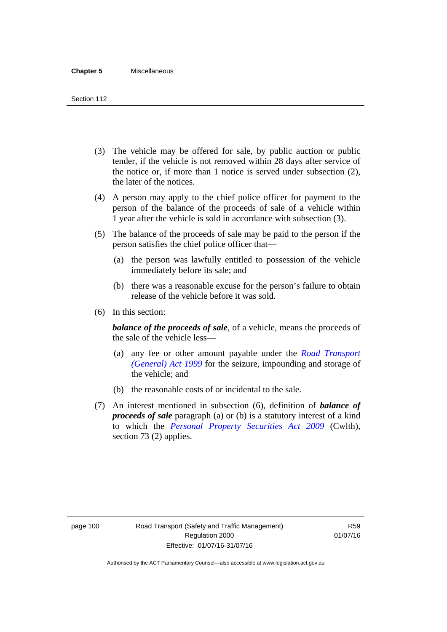- (3) The vehicle may be offered for sale, by public auction or public tender, if the vehicle is not removed within 28 days after service of the notice or, if more than 1 notice is served under subsection (2), the later of the notices.
- (4) A person may apply to the chief police officer for payment to the person of the balance of the proceeds of sale of a vehicle within 1 year after the vehicle is sold in accordance with subsection (3).
- (5) The balance of the proceeds of sale may be paid to the person if the person satisfies the chief police officer that—
	- (a) the person was lawfully entitled to possession of the vehicle immediately before its sale; and
	- (b) there was a reasonable excuse for the person's failure to obtain release of the vehicle before it was sold.
- (6) In this section:

*balance of the proceeds of sale*, of a vehicle, means the proceeds of the sale of the vehicle less—

- (a) any fee or other amount payable under the *[Road Transport](http://www.legislation.act.gov.au/a/1999-77)  [\(General\) Act 1999](http://www.legislation.act.gov.au/a/1999-77)* for the seizure, impounding and storage of the vehicle; and
- (b) the reasonable costs of or incidental to the sale.
- (7) An interest mentioned in subsection (6), definition of *balance of proceeds of sale* paragraph (a) or (b) is a statutory interest of a kind to which the *[Personal Property Securities Act 2009](http://www.comlaw.gov.au/Series/C2009A00130)* (Cwlth), section 73 (2) applies.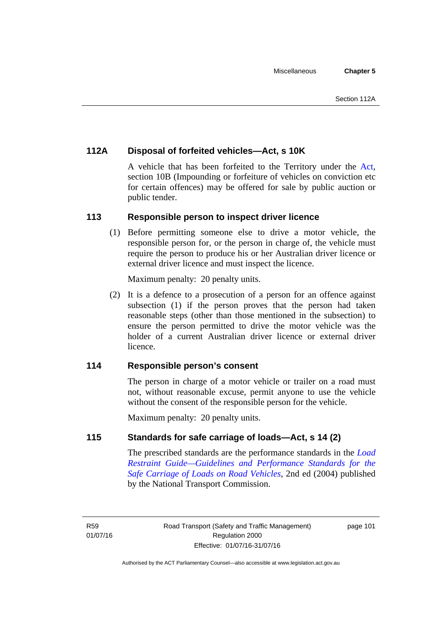# **112A Disposal of forfeited vehicles—Act, s 10K**

A vehicle that has been forfeited to the Territory under the [Act](http://www.legislation.act.gov.au/a/1999-80/default.asp), section 10B (Impounding or forfeiture of vehicles on conviction etc for certain offences) may be offered for sale by public auction or public tender.

# **113 Responsible person to inspect driver licence**

(1) Before permitting someone else to drive a motor vehicle, the responsible person for, or the person in charge of, the vehicle must require the person to produce his or her Australian driver licence or external driver licence and must inspect the licence.

Maximum penalty: 20 penalty units.

 (2) It is a defence to a prosecution of a person for an offence against subsection (1) if the person proves that the person had taken reasonable steps (other than those mentioned in the subsection) to ensure the person permitted to drive the motor vehicle was the holder of a current Australian driver licence or external driver licence.

# **114 Responsible person's consent**

The person in charge of a motor vehicle or trailer on a road must not, without reasonable excuse, permit anyone to use the vehicle without the consent of the responsible person for the vehicle.

Maximum penalty: 20 penalty units.

# **115 Standards for safe carriage of loads—Act, s 14 (2)**

The prescribed standards are the performance standards in the *[Load](http://www.ntc.gov.au/viewpage.aspx?documentid=862)  [Restraint Guide—Guidelines and Performance Standards for the](http://www.ntc.gov.au/viewpage.aspx?documentid=862)  [Safe Carriage of Loads on Road Vehicles](http://www.ntc.gov.au/viewpage.aspx?documentid=862)*, 2nd ed (2004) published by the National Transport Commission.

page 101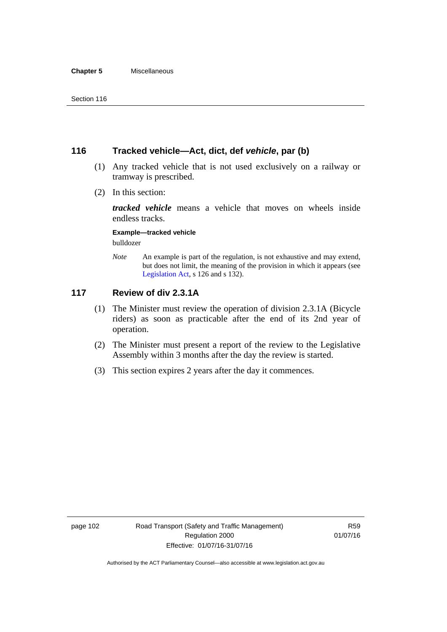# **116 Tracked vehicle—Act, dict, def** *vehicle***, par (b)**

- (1) Any tracked vehicle that is not used exclusively on a railway or tramway is prescribed.
- (2) In this section:

*tracked vehicle* means a vehicle that moves on wheels inside endless tracks.

#### **Example—tracked vehicle**

bulldozer

*Note* An example is part of the regulation, is not exhaustive and may extend, but does not limit, the meaning of the provision in which it appears (see [Legislation Act,](http://www.legislation.act.gov.au/a/2001-14) s 126 and s 132).

# **117 Review of div 2.3.1A**

- (1) The Minister must review the operation of division 2.3.1A (Bicycle riders) as soon as practicable after the end of its 2nd year of operation.
- (2) The Minister must present a report of the review to the Legislative Assembly within 3 months after the day the review is started.
- (3) This section expires 2 years after the day it commences.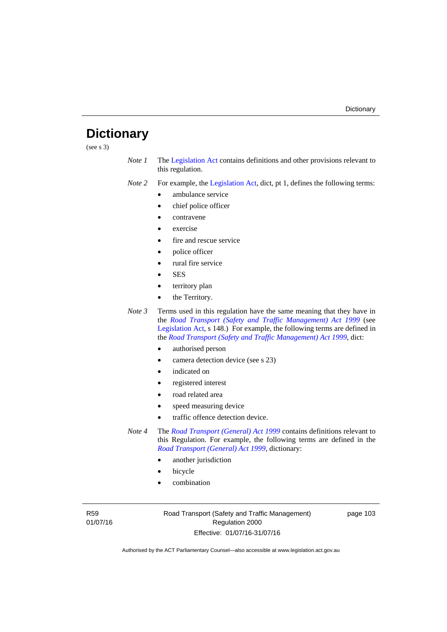# **Dictionary**

(see s 3)

*Note 1* The [Legislation Act](http://www.legislation.act.gov.au/a/2001-14) contains definitions and other provisions relevant to this regulation.

*Note 2* For example, the [Legislation Act,](http://www.legislation.act.gov.au/a/2001-14) dict, pt 1, defines the following terms:

- ambulance service
- chief police officer
- contravene
- exercise
- fire and rescue service
- police officer
- rural fire service
- SES
- territory plan
- the Territory.
- *Note 3* Terms used in this regulation have the same meaning that they have in the *[Road Transport \(Safety and Traffic Management\) Act 1999](http://www.legislation.act.gov.au/a/1999-80)* (see [Legislation Act,](http://www.legislation.act.gov.au/a/2001-14) s 148.) For example, the following terms are defined in the *[Road Transport \(Safety and Traffic Management\) Act 1999](http://www.legislation.act.gov.au/a/1999-80)*, dict:
	- authorised person
	- camera detection device (see s 23)
	- indicated on
	- registered interest
	- road related area
	- speed measuring device
	- traffic offence detection device.

*Note 4* The *[Road Transport \(General\) Act 1999](http://www.legislation.act.gov.au/a/1999-77)* contains definitions relevant to this Regulation. For example, the following terms are defined in the *[Road Transport \(General\) Act 1999](http://www.legislation.act.gov.au/a/1999-77)*, dictionary:

- another jurisdiction
- bicycle
- combination

R59 01/07/16 Road Transport (Safety and Traffic Management) Regulation 2000 Effective: 01/07/16-31/07/16

page 103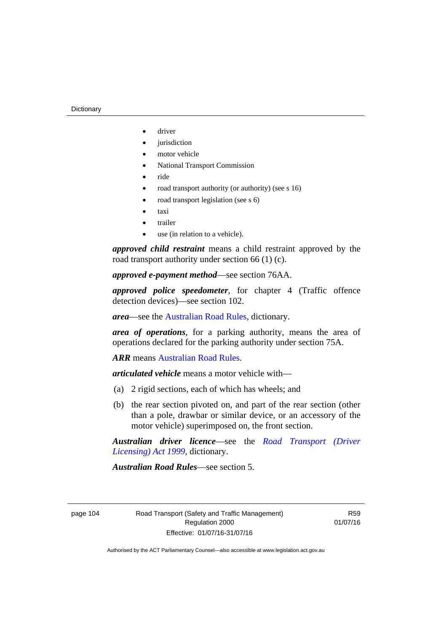- driver
- jurisdiction
- motor vehicle
- National Transport Commission
- ride
- road transport authority (or authority) (see s 16)
- road transport legislation (see s 6)
- taxi
- trailer
- use (in relation to a vehicle).

*approved child restraint* means a child restraint approved by the road transport authority under section 66 (1) (c).

*approved e-payment method*—see section 76AA.

*approved police speedometer*, for chapter 4 (Traffic offence detection devices)—see section 102.

*area*—see the [Australian Road Rules,](http://www.legislation.act.gov.au//ni/db_37271/default.asp) dictionary.

*area of operations*, for a parking authority, means the area of operations declared for the parking authority under section 75A.

*ARR* means [Australian Road Rules](http://www.legislation.act.gov.au//ni/db_37271/default.asp).

*articulated vehicle* means a motor vehicle with—

- (a) 2 rigid sections, each of which has wheels; and
- (b) the rear section pivoted on, and part of the rear section (other than a pole, drawbar or similar device, or an accessory of the motor vehicle) superimposed on, the front section.

*Australian driver licence*—see the *[Road Transport \(Driver](http://www.legislation.act.gov.au/a/1999-78)  [Licensing\) Act 1999](http://www.legislation.act.gov.au/a/1999-78)*, dictionary.

*Australian Road Rules*—see section 5.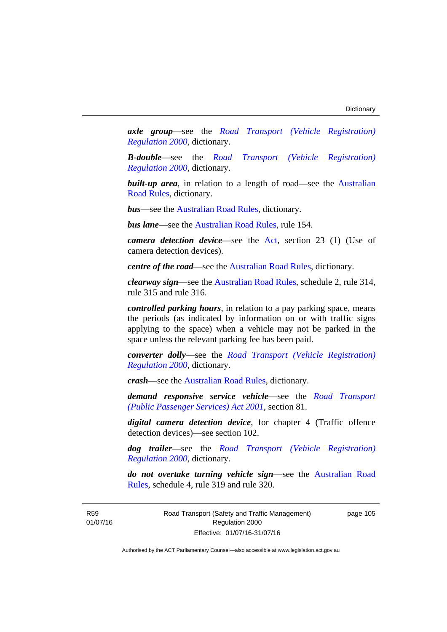*axle group*—see the *[Road Transport \(Vehicle Registration\)](http://www.legislation.act.gov.au/sl/2000-12)  [Regulation 2000](http://www.legislation.act.gov.au/sl/2000-12)*, dictionary.

*B-double*—see the *[Road Transport \(Vehicle Registration\)](http://www.legislation.act.gov.au/sl/2000-12)  [Regulation 2000](http://www.legislation.act.gov.au/sl/2000-12)*, dictionary.

**built-up area**, in relation to a length of road—see the Australian [Road Rules,](http://www.legislation.act.gov.au//ni/db_37271/default.asp) dictionary.

*bus*—see the [Australian Road Rules](http://www.legislation.act.gov.au//ni/db_37271/default.asp), dictionary.

*bus lane*—see the [Australian Road Rules](http://www.legislation.act.gov.au//ni/db_37271/default.asp), rule 154.

*camera detection device*—see the [Act,](http://www.legislation.act.gov.au/a/1999-80/default.asp) section 23 (1) (Use of camera detection devices).

*centre of the road*—see the [Australian Road Rules](http://www.legislation.act.gov.au//ni/db_37271/default.asp), dictionary.

*clearway sign*—see the [Australian Road Rules,](http://www.legislation.act.gov.au//ni/db_37271/default.asp) schedule 2, rule 314, rule 315 and rule 316.

*controlled parking hours*, in relation to a pay parking space, means the periods (as indicated by information on or with traffic signs applying to the space) when a vehicle may not be parked in the space unless the relevant parking fee has been paid.

*converter dolly*—see the *[Road Transport \(Vehicle Registration\)](http://www.legislation.act.gov.au/sl/2000-12)  [Regulation 2000](http://www.legislation.act.gov.au/sl/2000-12)*, dictionary.

*crash*—see the [Australian Road Rules](http://www.legislation.act.gov.au//ni/db_37271/default.asp), dictionary.

*demand responsive service vehicle*—see the *[Road Transport](http://www.legislation.act.gov.au/a/2001-62)  [\(Public Passenger Services\) Act 2001](http://www.legislation.act.gov.au/a/2001-62)*, section 81.

*digital camera detection device*, for chapter 4 (Traffic offence detection devices)—see section 102.

*dog trailer*—see the *[Road Transport \(Vehicle Registration\)](http://www.legislation.act.gov.au/sl/2000-12)  [Regulation 2000](http://www.legislation.act.gov.au/sl/2000-12)*, dictionary.

*do not overtake turning vehicle sign*—see the [Australian Road](http://www.legislation.act.gov.au//ni/db_37271/default.asp)  [Rules](http://www.legislation.act.gov.au//ni/db_37271/default.asp), schedule 4, rule 319 and rule 320.

R59 01/07/16 Road Transport (Safety and Traffic Management) Regulation 2000 Effective: 01/07/16-31/07/16

page 105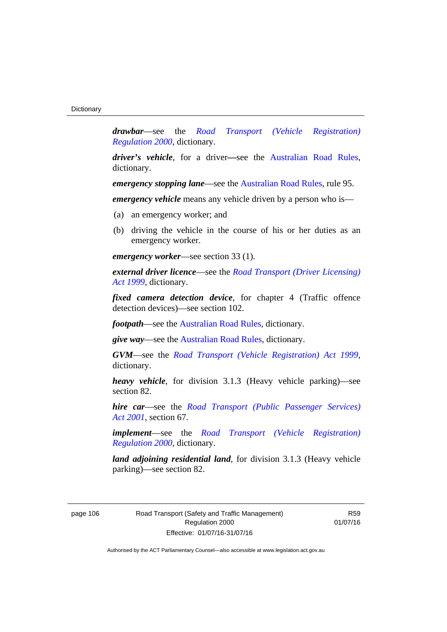*drawbar*—see the *[Road Transport \(Vehicle Registration\)](http://www.legislation.act.gov.au/sl/2000-12)  [Regulation 2000](http://www.legislation.act.gov.au/sl/2000-12)*, dictionary.

*driver's vehicle*, for a driver*—*see the [Australian Road Rules](http://www.legislation.act.gov.au//ni/db_37271/default.asp), dictionary.

*emergency stopping lane—see the [Australian Road Rules](http://www.legislation.act.gov.au//ni/db_37271/default.asp), rule 95.* 

*emergency vehicle* means any vehicle driven by a person who is—

- (a) an emergency worker; and
- (b) driving the vehicle in the course of his or her duties as an emergency worker.

*emergency worker*—see section 33 (1).

*external driver licence*—see the *[Road Transport \(Driver Licensing\)](http://www.legislation.act.gov.au/a/1999-78)  [Act 1999](http://www.legislation.act.gov.au/a/1999-78)*, dictionary.

*fixed camera detection device*, for chapter 4 (Traffic offence detection devices)—see section 102.

*footpath*—see the [Australian Road Rules](http://www.legislation.act.gov.au//ni/db_37271/default.asp), dictionary.

*give way*—see the [Australian Road Rules,](http://www.legislation.act.gov.au//ni/db_37271/default.asp) dictionary.

*GVM*—see the *[Road Transport \(Vehicle Registration\) Act 1999](http://www.legislation.act.gov.au/a/1999-81)*, dictionary.

*heavy vehicle*, for division 3.1.3 (Heavy vehicle parking)—see section 82.

*hire car*—see the *[Road Transport \(Public Passenger Services\)](http://www.legislation.act.gov.au/a/2001-62)  [Act 2001](http://www.legislation.act.gov.au/a/2001-62)*, section 67.

*implement*—see the *[Road Transport \(Vehicle Registration\)](http://www.legislation.act.gov.au/sl/2000-12)  [Regulation 2000](http://www.legislation.act.gov.au/sl/2000-12)*, dictionary.

*land adjoining residential land*, for division 3.1.3 (Heavy vehicle parking)—see section 82.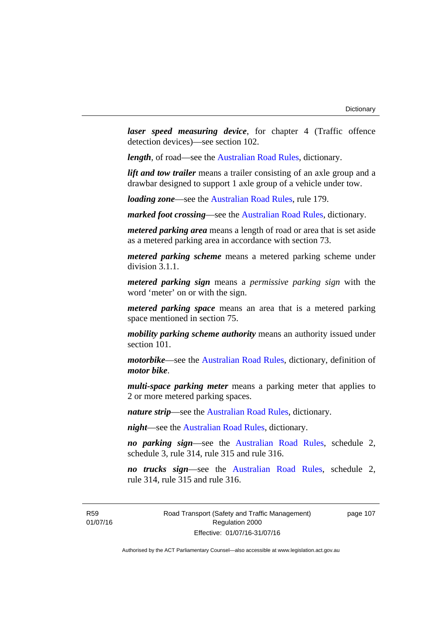*laser speed measuring device*, for chapter 4 (Traffic offence detection devices)—see section 102.

*length*, of road—see the [Australian Road Rules](http://www.legislation.act.gov.au//ni/db_37271/default.asp), dictionary.

*lift and tow trailer* means a trailer consisting of an axle group and a drawbar designed to support 1 axle group of a vehicle under tow.

*loading zone*—see the [Australian Road Rules,](http://www.legislation.act.gov.au//ni/db_37271/default.asp) rule 179.

*marked foot crossing*—see the [Australian Road Rules,](http://www.legislation.act.gov.au//ni/db_37271/default.asp) dictionary.

*metered parking area* means a length of road or area that is set aside as a metered parking area in accordance with section 73.

*metered parking scheme* means a metered parking scheme under division 3.1.1.

*metered parking sign* means a *permissive parking sign* with the word 'meter' on or with the sign.

*metered parking space* means an area that is a metered parking space mentioned in section 75.

*mobility parking scheme authority* means an authority issued under section 101.

*motorbike*—see the [Australian Road Rules,](http://www.legislation.act.gov.au//ni/db_37271/default.asp) dictionary, definition of *motor bike*.

*multi-space parking meter* means a parking meter that applies to 2 or more metered parking spaces.

*nature strip*—see the [Australian Road Rules](http://www.legislation.act.gov.au//ni/db_37271/default.asp), dictionary.

*night*—see the [Australian Road Rules,](http://www.legislation.act.gov.au//ni/db_37271/default.asp) dictionary.

*no parking sign*—see the [Australian Road Rules](http://www.legislation.act.gov.au//ni/db_37271/default.asp), schedule 2, schedule 3, rule 314, rule 315 and rule 316.

*no trucks sign*—see the [Australian Road Rules,](http://www.legislation.act.gov.au//ni/db_37271/default.asp) schedule 2, rule 314, rule 315 and rule 316.

R59 01/07/16 Road Transport (Safety and Traffic Management) Regulation 2000 Effective: 01/07/16-31/07/16

page 107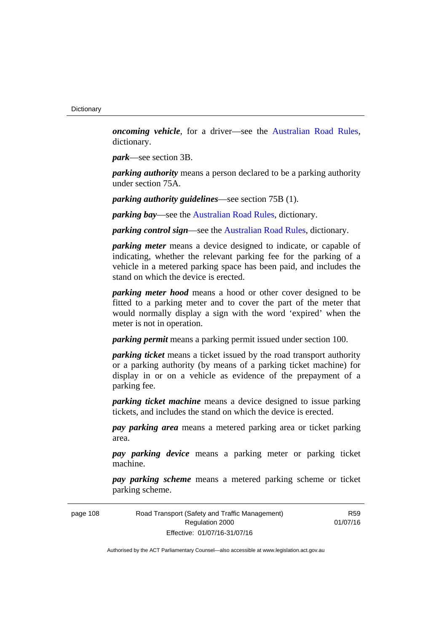*oncoming vehicle*, for a driver—see the [Australian Road Rules](http://www.legislation.act.gov.au//ni/db_37271/default.asp), dictionary.

*park*—see section 3B.

*parking authority* means a person declared to be a parking authority under section 75A.

*parking authority guidelines*—see section 75B (1).

*parking bay*—see the [Australian Road Rules,](http://www.legislation.act.gov.au//ni/db_37271/default.asp) dictionary.

*parking control sign*—see the [Australian Road Rules](http://www.legislation.act.gov.au//ni/db_37271/default.asp), dictionary.

*parking meter* means a device designed to indicate, or capable of indicating, whether the relevant parking fee for the parking of a vehicle in a metered parking space has been paid, and includes the stand on which the device is erected.

*parking meter hood* means a hood or other cover designed to be fitted to a parking meter and to cover the part of the meter that would normally display a sign with the word 'expired' when the meter is not in operation.

*parking permit* means a parking permit issued under section 100.

*parking ticket* means a ticket issued by the road transport authority or a parking authority (by means of a parking ticket machine) for display in or on a vehicle as evidence of the prepayment of a parking fee.

*parking ticket machine* means a device designed to issue parking tickets, and includes the stand on which the device is erected.

*pay parking area* means a metered parking area or ticket parking area.

*pay parking device* means a parking meter or parking ticket machine.

*pay parking scheme* means a metered parking scheme or ticket parking scheme.

page 108 Road Transport (Safety and Traffic Management) Regulation 2000 Effective: 01/07/16-31/07/16

R59 01/07/16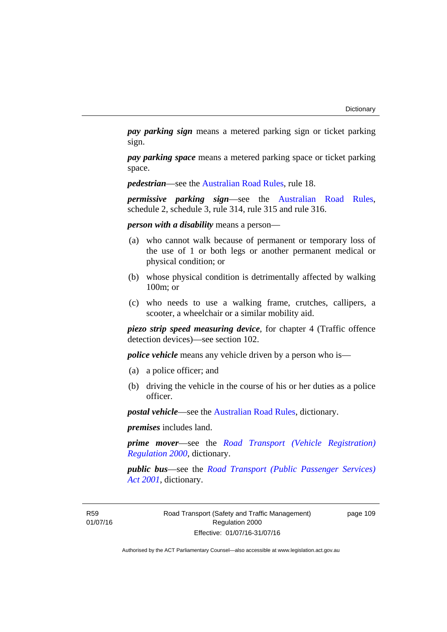*pay parking sign* means a metered parking sign or ticket parking sign.

*pay parking space* means a metered parking space or ticket parking space.

*pedestrian*—see the [Australian Road Rules](http://www.legislation.act.gov.au//ni/db_37271/default.asp), rule 18.

*permissive parking sign*—see the [Australian Road Rules](http://www.legislation.act.gov.au//ni/db_37271/default.asp), schedule 2, schedule 3, rule 314, rule 315 and rule 316.

*person with a disability* means a person—

- (a) who cannot walk because of permanent or temporary loss of the use of 1 or both legs or another permanent medical or physical condition; or
- (b) whose physical condition is detrimentally affected by walking 100m; or
- (c) who needs to use a walking frame, crutches, callipers, a scooter, a wheelchair or a similar mobility aid.

*piezo strip speed measuring device*, for chapter 4 (Traffic offence detection devices)—see section 102.

*police vehicle* means any vehicle driven by a person who is—

- (a) a police officer; and
- (b) driving the vehicle in the course of his or her duties as a police officer.

*postal vehicle*—see the [Australian Road Rules,](http://www.legislation.act.gov.au//ni/db_37271/default.asp) dictionary.

*premises* includes land.

*prime mover*—see the *[Road Transport \(Vehicle Registration\)](http://www.legislation.act.gov.au/sl/2000-12)  [Regulation 2000](http://www.legislation.act.gov.au/sl/2000-12)*, dictionary.

*public bus*—see the *[Road Transport \(Public Passenger Services\)](http://www.legislation.act.gov.au/a/2001-62)  [Act 2001](http://www.legislation.act.gov.au/a/2001-62)*, dictionary.

page 109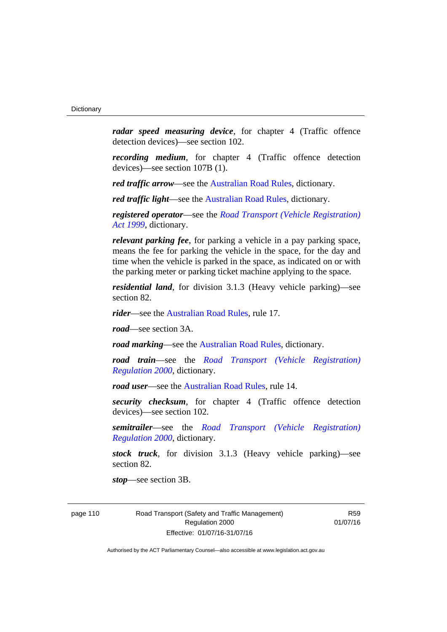*radar speed measuring device*, for chapter 4 (Traffic offence detection devices)—see section 102.

*recording medium*, for chapter 4 (Traffic offence detection devices)—see section 107B (1).

*red traffic arrow*—see the [Australian Road Rules,](http://www.legislation.act.gov.au//ni/db_37271/default.asp) dictionary.

*red traffic light*—see the [Australian Road Rules,](http://www.legislation.act.gov.au//ni/db_37271/default.asp) dictionary.

*registered operator*—see the *[Road Transport \(Vehicle Registration\)](http://www.legislation.act.gov.au/a/1999-81)  [Act 1999](http://www.legislation.act.gov.au/a/1999-81)*, dictionary.

*relevant parking fee*, for parking a vehicle in a pay parking space, means the fee for parking the vehicle in the space, for the day and time when the vehicle is parked in the space, as indicated on or with the parking meter or parking ticket machine applying to the space.

*residential land*, for division 3.1.3 (Heavy vehicle parking)—see section 82.

*rider*—see the [Australian Road Rules,](http://www.legislation.act.gov.au//ni/db_37271/default.asp) rule 17.

*road*—see section 3A.

*road marking*—see the [Australian Road Rules](http://www.legislation.act.gov.au//ni/db_37271/default.asp), dictionary.

*road train*—see the *[Road Transport \(Vehicle Registration\)](http://www.legislation.act.gov.au/sl/2000-12)  [Regulation 2000](http://www.legislation.act.gov.au/sl/2000-12)*, dictionary.

*road user***—see the Australian Road Rules**, rule 14.

*security checksum*, for chapter 4 (Traffic offence detection devices)—see section 102.

*semitrailer*—see the *[Road Transport \(Vehicle Registration\)](http://www.legislation.act.gov.au/sl/2000-12)  [Regulation 2000](http://www.legislation.act.gov.au/sl/2000-12)*, dictionary.

*stock truck*, for division 3.1.3 (Heavy vehicle parking)—see section 82.

*stop*—see section 3B.

page 110 Road Transport (Safety and Traffic Management) Regulation 2000 Effective: 01/07/16-31/07/16

R59 01/07/16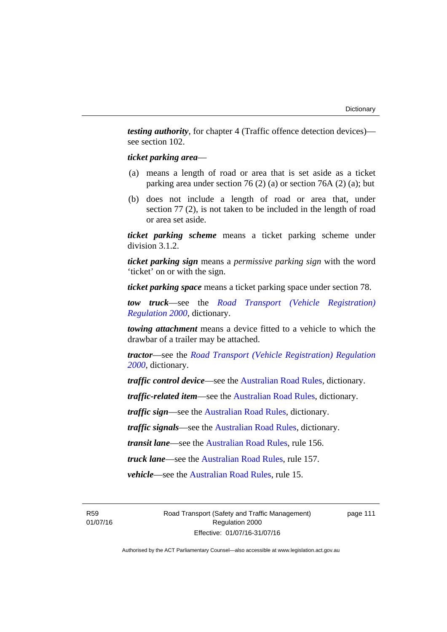*testing authority*, for chapter 4 (Traffic offence detection devices) see section 102.

#### *ticket parking area*—

- (a) means a length of road or area that is set aside as a ticket parking area under section 76 (2) (a) or section 76A (2) (a); but
- (b) does not include a length of road or area that, under section 77 (2), is not taken to be included in the length of road or area set aside.

*ticket parking scheme* means a ticket parking scheme under division 3.1.2.

*ticket parking sign* means a *permissive parking sign* with the word 'ticket' on or with the sign.

*ticket parking space* means a ticket parking space under section 78.

*tow truck*—see the *[Road Transport \(Vehicle Registration\)](http://www.legislation.act.gov.au/sl/2000-12)  [Regulation 2000](http://www.legislation.act.gov.au/sl/2000-12)*, dictionary.

*towing attachment* means a device fitted to a vehicle to which the drawbar of a trailer may be attached.

*tractor*—see the *[Road Transport \(Vehicle Registration\) Regulation](http://www.legislation.act.gov.au/sl/2000-12)  [2000](http://www.legislation.act.gov.au/sl/2000-12)*, dictionary.

*traffic control device*—see the [Australian Road Rules](http://www.legislation.act.gov.au//ni/db_37271/default.asp), dictionary.

*traffic-related item*—see the [Australian Road Rules,](http://www.legislation.act.gov.au//ni/db_37271/default.asp) dictionary.

*traffic sign*—see the [Australian Road Rules](http://www.legislation.act.gov.au//ni/db_37271/default.asp), dictionary.

*traffic signals*—see the [Australian Road Rules](http://www.legislation.act.gov.au//ni/db_37271/default.asp), dictionary.

*transit lane*—see the [Australian Road Rules](http://www.legislation.act.gov.au//ni/db_37271/default.asp), rule 156.

*truck lane*—see the [Australian Road Rules](http://www.legislation.act.gov.au//ni/db_37271/default.asp), rule 157.

*vehicle*—see the [Australian Road Rules](http://www.legislation.act.gov.au//ni/db_37271/default.asp), rule 15.

R59 01/07/16 Road Transport (Safety and Traffic Management) Regulation 2000 Effective: 01/07/16-31/07/16

page 111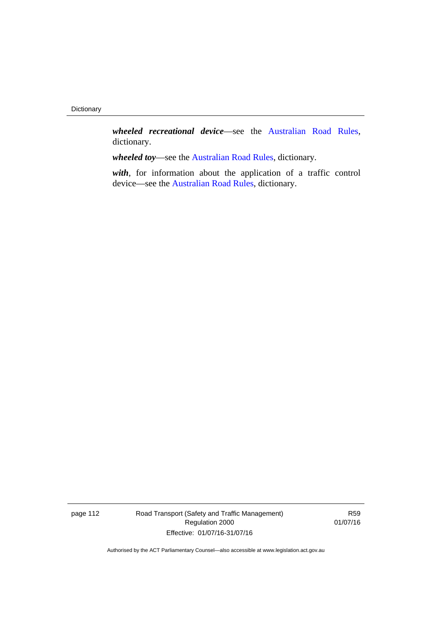*wheeled recreational device*—see the [Australian Road Rules](http://www.legislation.act.gov.au//ni/db_37271/default.asp), dictionary.

*wheeled toy*—see the [Australian Road Rules](http://www.legislation.act.gov.au//ni/db_37271/default.asp), dictionary.

*with*, for information about the application of a traffic control device—see the [Australian Road Rules,](http://www.legislation.act.gov.au//ni/db_37271/default.asp) dictionary.

page 112 Road Transport (Safety and Traffic Management) Regulation 2000 Effective: 01/07/16-31/07/16

R59 01/07/16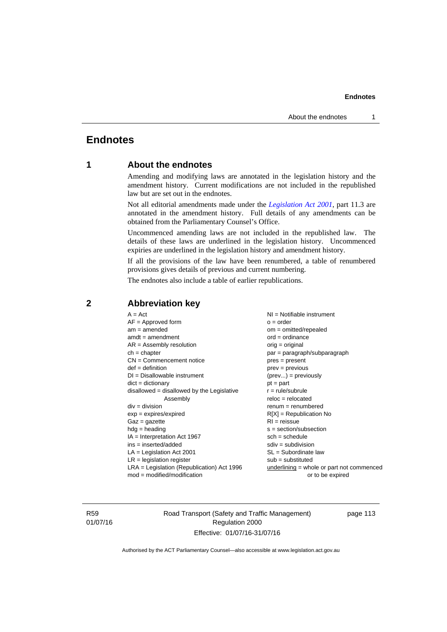# **Endnotes**

# **1 About the endnotes**

Amending and modifying laws are annotated in the legislation history and the amendment history. Current modifications are not included in the republished law but are set out in the endnotes.

Not all editorial amendments made under the *[Legislation Act 2001](http://www.legislation.act.gov.au/a/2001-14)*, part 11.3 are annotated in the amendment history. Full details of any amendments can be obtained from the Parliamentary Counsel's Office.

Uncommenced amending laws are not included in the republished law. The details of these laws are underlined in the legislation history. Uncommenced expiries are underlined in the legislation history and amendment history.

If all the provisions of the law have been renumbered, a table of renumbered provisions gives details of previous and current numbering.

The endnotes also include a table of earlier republications.

| $A = Act$<br>$AF =$ Approved form<br>$am = amended$<br>$amdt = amendment$<br>$AR = Assembly resolution$<br>$ch = chapter$<br>$CN =$ Commencement notice<br>$def = definition$<br>$DI = Disallowable instrument$<br>$dict = dictionary$<br>$disallowed = disallowed by the Legislative$<br>Assembly<br>$div = division$<br>$exp = expires/expired$<br>$Gaz = gazette$<br>$hdg = heading$<br>$IA = Interpretation Act 1967$<br>ins = inserted/added<br>$LA =$ Legislation Act 2001<br>$LR =$ legislation register | $NI = Notifiable$ instrument<br>$o = order$<br>$om = omitted/repealed$<br>$ord = ordinance$<br>$orig = original$<br>par = paragraph/subparagraph<br>$pres = present$<br>$prev = previous$<br>$(\text{prev}) = \text{previously}$<br>$pt = part$<br>$r = rule/subrule$<br>$reloc = relocated$<br>$remum = renumbered$<br>$R[X]$ = Republication No<br>$RI = reissue$<br>$s = section/subsection$<br>$sch = schedule$<br>$sdiv = subdivision$<br>$SL = Subordinate$ law<br>$sub =$ substituted |
|-----------------------------------------------------------------------------------------------------------------------------------------------------------------------------------------------------------------------------------------------------------------------------------------------------------------------------------------------------------------------------------------------------------------------------------------------------------------------------------------------------------------|----------------------------------------------------------------------------------------------------------------------------------------------------------------------------------------------------------------------------------------------------------------------------------------------------------------------------------------------------------------------------------------------------------------------------------------------------------------------------------------------|
|                                                                                                                                                                                                                                                                                                                                                                                                                                                                                                                 |                                                                                                                                                                                                                                                                                                                                                                                                                                                                                              |
| LRA = Legislation (Republication) Act 1996<br>$mod = modified/modification$                                                                                                                                                                                                                                                                                                                                                                                                                                     | underlining = whole or part not commenced<br>or to be expired                                                                                                                                                                                                                                                                                                                                                                                                                                |
|                                                                                                                                                                                                                                                                                                                                                                                                                                                                                                                 |                                                                                                                                                                                                                                                                                                                                                                                                                                                                                              |

### **2 Abbreviation key**

R59 01/07/16 Road Transport (Safety and Traffic Management) Regulation 2000 Effective: 01/07/16-31/07/16

page 113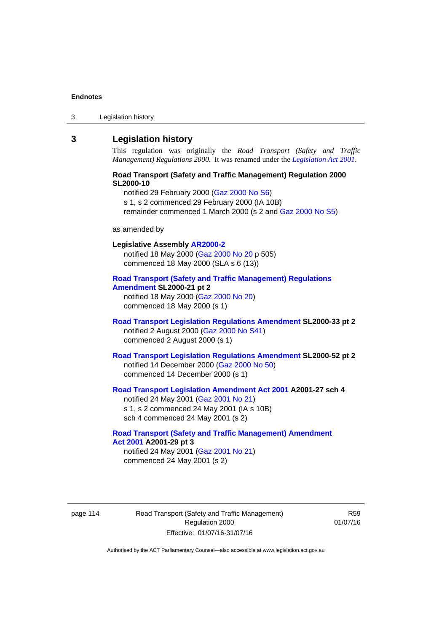3 Legislation history

### **3 Legislation history**

This regulation was originally the *Road Transport (Safety and Traffic Management) Regulations 2000*. It was renamed under the *[Legislation Act 2001](http://www.legislation.act.gov.au/a/2001-14)*.

#### **Road Transport (Safety and Traffic Management) Regulation 2000 SL2000-10**

notified 29 February 2000 [\(Gaz 2000 No S6\)](http://www.legislation.act.gov.au/gaz/2000-S6/default.asp) s 1, s 2 commenced 29 February 2000 (IA 10B) remainder commenced 1 March 2000 (s 2 and [Gaz 2000 No S5\)](http://www.legislation.act.gov.au/gaz/2000-S5/default.asp)

#### as amended by

# **Legislative Assembly [AR2000-2](http://www.legislation.act.gov.au/ar/2000-2/default.asp)** notified 18 May 2000 ([Gaz 2000 No 20 p](http://www.legislation.act.gov.au/gaz/2000-20/default.asp) 505) commenced 18 May 2000 (SLA s 6 (13)) **[Road Transport \(Safety and Traffic Management\) Regulations](http://www.legislation.act.gov.au/sl/2000-21/default.asp)**

**[Amendment](http://www.legislation.act.gov.au/sl/2000-21/default.asp) SL2000-21 pt 2**  notified 18 May 2000 ([Gaz 2000 No 20\)](http://www.legislation.act.gov.au/gaz/2000-20/default.asp) commenced 18 May 2000 (s 1)

#### **[Road Transport Legislation Regulations Amendment](http://www.legislation.act.gov.au/sl/2000-33/default.asp) SL2000-33 pt 2**  notified 2 August 2000 ([Gaz 2000 No S41](http://www.legislation.act.gov.au/gaz/2000-S41/default.asp)) commenced 2 August 2000 (s 1)

**[Road Transport Legislation Regulations Amendment](http://www.legislation.act.gov.au/sl/2000-52/default.asp) SL2000-52 pt 2**  notified 14 December 2000 [\(Gaz 2000 No 50](http://www.legislation.act.gov.au/gaz/2000-50/default.asp)) commenced 14 December 2000 (s 1)

#### **[Road Transport Legislation Amendment Act 2001](http://www.legislation.act.gov.au/a/2001-27) A2001-27 sch 4**  notified 24 May 2001 ([Gaz 2001 No 21\)](http://www.legislation.act.gov.au/gaz/2001-21/default.asp) s 1, s 2 commenced 24 May 2001 (IA s 10B)

sch 4 commenced 24 May 2001 (s 2)

# **[Road Transport \(Safety and Traffic Management\) Amendment](http://www.legislation.act.gov.au/a/2001-29)  [Act 2001](http://www.legislation.act.gov.au/a/2001-29) A2001-29 pt 3**

notified 24 May 2001 ([Gaz 2001 No 21\)](http://www.legislation.act.gov.au/gaz/2001-21/default.asp) commenced 24 May 2001 (s 2)

page 114 Road Transport (Safety and Traffic Management) Regulation 2000 Effective: 01/07/16-31/07/16

R59 01/07/16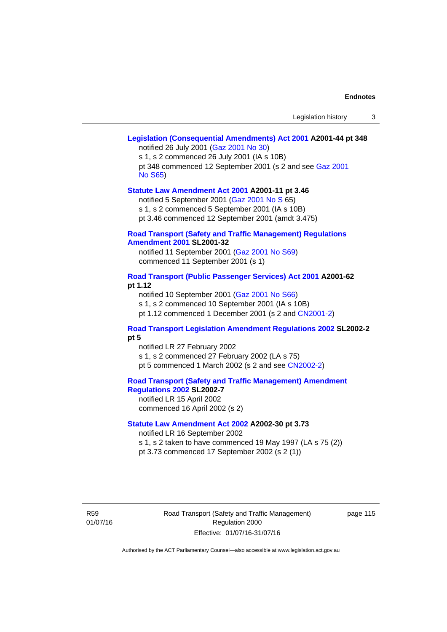# **[Legislation \(Consequential Amendments\) Act 2001](http://www.legislation.act.gov.au/a/2001-44) A2001-44 pt 348**

notified 26 July 2001 ([Gaz 2001 No 30\)](http://www.legislation.act.gov.au/gaz/2001-30/default.asp)

s 1, s 2 commenced 26 July 2001 (IA s 10B) pt 348 commenced 12 September 2001 (s 2 and see [Gaz 2001](http://www.legislation.act.gov.au/gaz/2001-S65/default.asp)  [No S65](http://www.legislation.act.gov.au/gaz/2001-S65/default.asp))

#### **[Statute Law Amendment Act 2001](http://www.legislation.act.gov.au/a/2001-11) A2001-11 pt 3.46**

notified 5 September 2001 [\(Gaz 2001 No S 6](http://www.legislation.act.gov.au/gaz/2001-S/default.asp)5)

s 1, s 2 commenced 5 September 2001 (IA s 10B)

pt 3.46 commenced 12 September 2001 (amdt 3.475)

#### **[Road Transport \(Safety and Traffic Management\) Regulations](http://www.legislation.act.gov.au/sl/2001-32)  [Amendment 2001](http://www.legislation.act.gov.au/sl/2001-32) SL2001-32**

notified 11 September 2001 [\(Gaz 2001 No S69\)](http://www.legislation.act.gov.au/gaz/2001-S69/default.asp) commenced 11 September 2001 (s 1)

#### **[Road Transport \(Public Passenger Services\) Act 2001](http://www.legislation.act.gov.au/a/2001-62) A2001-62 pt 1.12**

notified 10 September 2001 [\(Gaz 2001 No S66\)](http://www.legislation.act.gov.au/gaz/2001-S66/default.asp)

s 1, s 2 commenced 10 September 2001 (IA s 10B)

pt 1.12 commenced 1 December 2001 (s 2 and [CN2001-2](http://www.legislation.act.gov.au/cn/2001-2/default.asp))

#### **[Road Transport Legislation Amendment Regulations 2002](http://www.legislation.act.gov.au/sl/2002-2) SL2002-2 pt 5**

notified LR 27 February 2002 s 1, s 2 commenced 27 February 2002 (LA s 75) pt 5 commenced 1 March 2002 (s 2 and see [CN2002-2](http://www.legislation.act.gov.au/cn/2002-2/default.asp))

**[Road Transport \(Safety and Traffic Management\) Amendment](http://www.legislation.act.gov.au/sl/2002-7)  [Regulations 2002](http://www.legislation.act.gov.au/sl/2002-7) SL2002-7** 

notified LR 15 April 2002 commenced 16 April 2002 (s 2)

#### **[Statute Law Amendment Act 2002](http://www.legislation.act.gov.au/a/2002-30) A2002-30 pt 3.73**

notified LR 16 September 2002

s 1, s 2 taken to have commenced 19 May 1997 (LA s 75 (2))

pt 3.73 commenced 17 September 2002 (s 2 (1))

R59 01/07/16 Road Transport (Safety and Traffic Management) Regulation 2000 Effective: 01/07/16-31/07/16

page 115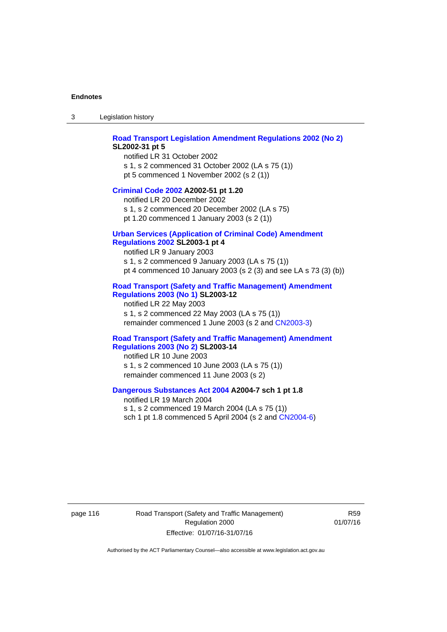3 Legislation history

#### **[Road Transport Legislation Amendment Regulations 2002 \(No 2\)](http://www.legislation.act.gov.au/sl/2002-31) SL2002-31 pt 5**

notified LR 31 October 2002 s 1, s 2 commenced 31 October 2002 (LA s 75 (1)) pt 5 commenced 1 November 2002 (s 2 (1))

#### **[Criminal Code 2002](http://www.legislation.act.gov.au/a/2002-51) A2002-51 pt 1.20**

notified LR 20 December 2002 s 1, s 2 commenced 20 December 2002 (LA s 75) pt 1.20 commenced 1 January 2003 (s 2 (1))

#### **[Urban Services \(Application of Criminal Code\) Amendment](http://www.legislation.act.gov.au/sl/2003-1)**

### **[Regulations 2002](http://www.legislation.act.gov.au/sl/2003-1) SL2003-1 pt 4**

notified LR 9 January 2003 s 1, s 2 commenced 9 January 2003 (LA s 75 (1)) pt 4 commenced 10 January 2003 (s 2 (3) and see LA s 73 (3) (b))

#### **[Road Transport \(Safety and Traffic Management\) Amendment](http://www.legislation.act.gov.au/sl/2003-12)  [Regulations 2003 \(No 1\)](http://www.legislation.act.gov.au/sl/2003-12) SL2003-12**

notified LR 22 May 2003 s 1, s 2 commenced 22 May 2003 (LA s 75 (1)) remainder commenced 1 June 2003 (s 2 and [CN2003-3](http://www.legislation.act.gov.au/cn/2003-3/default.asp))

#### **[Road Transport \(Safety and Traffic Management\) Amendment](http://www.legislation.act.gov.au/sl/2003-14)  [Regulations 2003 \(No 2\)](http://www.legislation.act.gov.au/sl/2003-14) SL2003-14**

notified LR 10 June 2003 s 1, s 2 commenced 10 June 2003 (LA s 75 (1)) remainder commenced 11 June 2003 (s 2)

#### **[Dangerous Substances Act 2004](http://www.legislation.act.gov.au/a/2004-7) A2004-7 sch 1 pt 1.8**

notified LR 19 March 2004 s 1, s 2 commenced 19 March 2004 (LA s 75 (1)) sch 1 pt 1.8 commenced 5 April 2004 (s 2 and [CN2004-6](http://www.legislation.act.gov.au/cn/2004-6/default.asp))

page 116 Road Transport (Safety and Traffic Management) Regulation 2000 Effective: 01/07/16-31/07/16

R59 01/07/16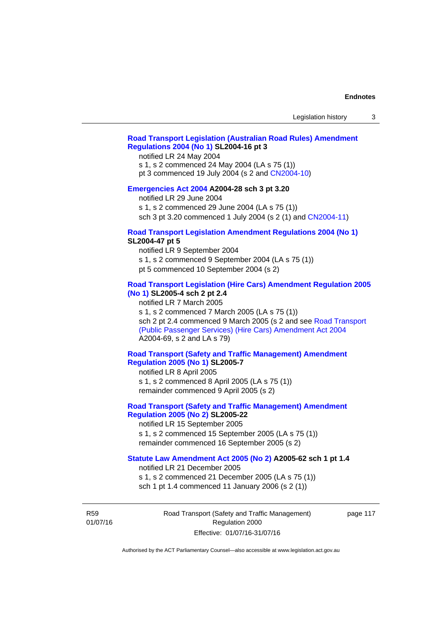### **[Road Transport Legislation \(Australian Road Rules\) Amendment](http://www.legislation.act.gov.au/sl/2004-16)  [Regulations 2004 \(No 1\)](http://www.legislation.act.gov.au/sl/2004-16) SL2004-16 pt 3**

notified LR 24 May 2004

s 1, s 2 commenced 24 May 2004 (LA s 75 (1))

pt 3 commenced 19 July 2004 (s 2 and [CN2004-10](http://www.legislation.act.gov.au/cn/2004-10/default.asp))

#### **[Emergencies Act 2004](http://www.legislation.act.gov.au/a/2004-28) A2004-28 sch 3 pt 3.20**

notified LR 29 June 2004

s 1, s 2 commenced 29 June 2004 (LA s 75 (1))

sch 3 pt 3.20 commenced 1 July 2004 (s 2 (1) and [CN2004-11](http://www.legislation.act.gov.au/cn/2004-11/default.asp))

#### **[Road Transport Legislation Amendment Regulations 2004 \(No 1\)](http://www.legislation.act.gov.au/sl/2004-47) SL2004-47 pt 5**

notified LR 9 September 2004

s 1, s 2 commenced 9 September 2004 (LA s 75 (1))

pt 5 commenced 10 September 2004 (s 2)

#### **[Road Transport Legislation \(Hire Cars\) Amendment Regulation 2005](http://www.legislation.act.gov.au/sl/2005-4)  [\(No 1\)](http://www.legislation.act.gov.au/sl/2005-4) SL2005-4 sch 2 pt 2.4**

notified LR 7 March 2005

s 1, s 2 commenced 7 March 2005 (LA s 75 (1))

sch 2 pt 2.4 commenced 9 March 2005 (s 2 and see [Road Transport](http://www.legislation.act.gov.au/a/2004-69)  [\(Public Passenger Services\) \(Hire Cars\) Amendment Act 2004](http://www.legislation.act.gov.au/a/2004-69) A2004-69, s 2 and LA s 79)

#### **[Road Transport \(Safety and Traffic Management\) Amendment](http://www.legislation.act.gov.au/sl/2005-7)  [Regulation 2005 \(No 1\)](http://www.legislation.act.gov.au/sl/2005-7) SL2005-7**

notified LR 8 April 2005 s 1, s 2 commenced 8 April 2005 (LA s 75 (1)) remainder commenced 9 April 2005 (s 2)

### **[Road Transport \(Safety and Traffic Management\) Amendment](http://www.legislation.act.gov.au/sl/2005-22)  [Regulation 2005 \(No 2\)](http://www.legislation.act.gov.au/sl/2005-22) SL2005-22**

notified LR 15 September 2005 s 1, s 2 commenced 15 September 2005 (LA s 75 (1)) remainder commenced 16 September 2005 (s 2)

#### **[Statute Law Amendment Act 2005 \(No 2\)](http://www.legislation.act.gov.au/a/2005-62) A2005-62 sch 1 pt 1.4**

notified LR 21 December 2005 s 1, s 2 commenced 21 December 2005 (LA s 75 (1)) sch 1 pt 1.4 commenced 11 January 2006 (s 2 (1))

R59 01/07/16 Road Transport (Safety and Traffic Management) Regulation 2000 Effective: 01/07/16-31/07/16

page 117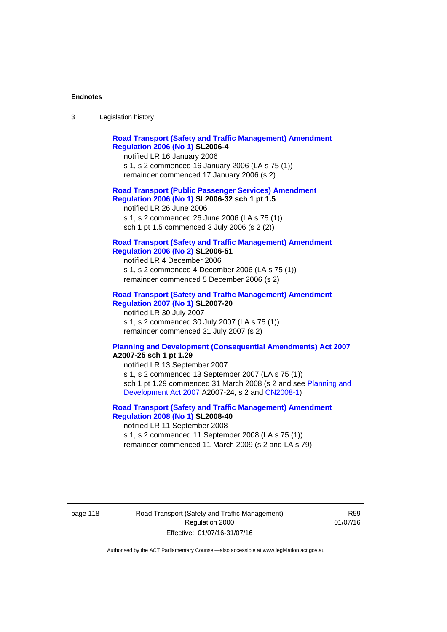| ు | Legislation history |
|---|---------------------|
|---|---------------------|

| <b>Road Transport (Safety and Traffic Management) Amendment</b><br><b>Regulation 2006 (No 1) SL2006-4</b><br>notified LR 16 January 2006<br>s 1, s 2 commenced 16 January 2006 (LA s 75 (1))<br>remainder commenced 17 January 2006 (s 2)                                                                   |
|-------------------------------------------------------------------------------------------------------------------------------------------------------------------------------------------------------------------------------------------------------------------------------------------------------------|
| <b>Road Transport (Public Passenger Services) Amendment</b><br>Regulation 2006 (No 1) SL2006-32 sch 1 pt 1.5<br>notified LR 26 June 2006<br>s 1, s 2 commenced 26 June 2006 (LA s 75 (1))<br>sch 1 pt 1.5 commenced 3 July 2006 (s 2 (2))                                                                   |
| <b>Road Transport (Safety and Traffic Management) Amendment</b><br><b>Regulation 2006 (No 2) SL2006-51</b><br>notified LR 4 December 2006<br>s 1, s 2 commenced 4 December 2006 (LA s 75 (1))<br>remainder commenced 5 December 2006 (s 2)                                                                  |
| <b>Road Transport (Safety and Traffic Management) Amendment</b><br><b>Regulation 2007 (No 1) SL2007-20</b><br>notified LR 30 July 2007<br>s 1, s 2 commenced 30 July 2007 (LA s 75 (1))<br>remainder commenced 31 July 2007 (s 2)                                                                           |
| <b>Planning and Development (Consequential Amendments) Act 2007</b><br>A2007-25 sch 1 pt 1.29<br>notified LR 13 September 2007<br>s 1, s 2 commenced 13 September 2007 (LA s 75 (1))<br>sch 1 pt 1.29 commenced 31 March 2008 (s 2 and see Planning and<br>Development Act 2007 A2007-24, s 2 and CN2008-1) |

#### **[Road Transport \(Safety and Traffic Management\) Amendment](http://www.legislation.act.gov.au/sl/2008-40)  [Regulation 2008 \(No 1\)](http://www.legislation.act.gov.au/sl/2008-40) SL2008-40**  notified LR 11 September 2008

s 1, s 2 commenced 11 September 2008 (LA s 75 (1)) remainder commenced 11 March 2009 (s 2 and LA s 79)

page 118 Road Transport (Safety and Traffic Management) Regulation 2000 Effective: 01/07/16-31/07/16

R59 01/07/16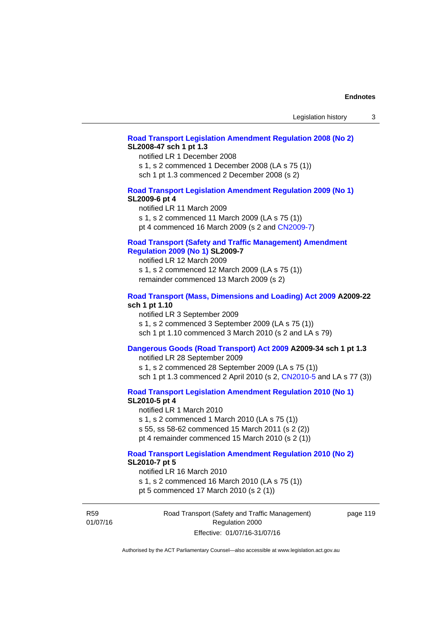#### **[Road Transport Legislation Amendment Regulation 2008 \(No 2\)](http://www.legislation.act.gov.au/sl/2008-47) SL2008-47 sch 1 pt 1.3**

notified LR 1 December 2008 s 1, s 2 commenced 1 December 2008 (LA s 75 (1)) sch 1 pt 1.3 commenced 2 December 2008 (s 2)

#### **[Road Transport Legislation Amendment Regulation 2009 \(No 1\)](http://www.legislation.act.gov.au/sl/2009-6) SL2009-6 pt 4**

notified LR 11 March 2009 s 1, s 2 commenced 11 March 2009 (LA s 75 (1)) pt 4 commenced 16 March 2009 (s 2 and [CN2009-7\)](http://www.legislation.act.gov.au/cn/2009-7/default.asp)

#### **[Road Transport \(Safety and Traffic Management\) Amendment](http://www.legislation.act.gov.au/sl/2009-7)  [Regulation 2009 \(No 1\)](http://www.legislation.act.gov.au/sl/2009-7) SL2009-7**

notified LR 12 March 2009 s 1, s 2 commenced 12 March 2009 (LA s 75 (1)) remainder commenced 13 March 2009 (s 2)

#### **[Road Transport \(Mass, Dimensions and Loading\) Act 2009](http://www.legislation.act.gov.au/a/2009-22/default.asp) A2009-22 sch 1 pt 1.10**

notified LR 3 September 2009 s 1, s 2 commenced 3 September 2009 (LA s 75 (1)) sch 1 pt 1.10 commenced 3 March 2010 (s 2 and LA s 79)

## **[Dangerous Goods \(Road Transport\) Act 2009](http://www.legislation.act.gov.au/a/2009-34) A2009-34 sch 1 pt 1.3**

notified LR 28 September 2009 s 1, s 2 commenced 28 September 2009 (LA s 75 (1)) sch 1 pt 1.3 commenced 2 April 2010 (s 2, [CN2010-5 a](http://www.legislation.act.gov.au/cn/2010-5/default.asp)nd LA s 77 (3))

**[Road Transport Legislation Amendment Regulation 2010 \(No 1\)](http://www.legislation.act.gov.au/sl/2010-5)**

#### **SL2010-5 pt 4**

notified LR 1 March 2010 s 1, s 2 commenced 1 March 2010 (LA s 75 (1)) s 55, ss 58-62 commenced 15 March 2011 (s 2 (2)) pt 4 remainder commenced 15 March 2010 (s 2 (1))

## **[Road Transport Legislation Amendment Regulation 2010 \(No 2\)](http://www.legislation.act.gov.au/sl/2010-7) SL2010-7 pt 5**

notified LR 16 March 2010 s 1, s 2 commenced 16 March 2010 (LA s 75 (1)) pt 5 commenced 17 March 2010 (s 2 (1))

R59 01/07/16 Road Transport (Safety and Traffic Management) Regulation 2000 Effective: 01/07/16-31/07/16

page 119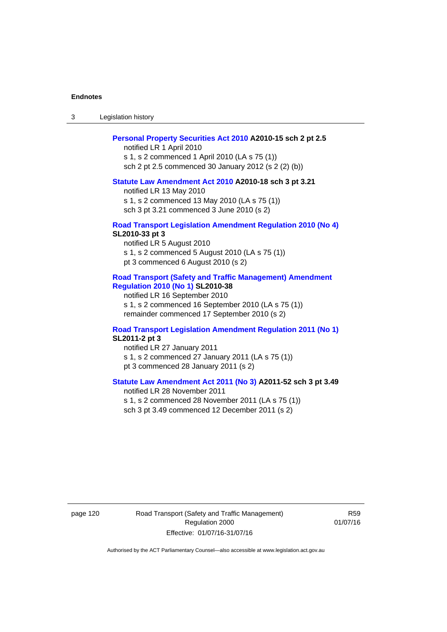3 Legislation history

#### **[Personal Property Securities Act 2010](http://www.legislation.act.gov.au/a/2010-15) A2010-15 sch 2 pt 2.5**

notified LR 1 April 2010 s 1, s 2 commenced 1 April 2010 (LA s 75 (1)) sch 2 pt 2.5 commenced 30 January 2012 (s 2 (2) (b))

#### **[Statute Law Amendment Act 2010](http://www.legislation.act.gov.au/a/2010-18) A2010-18 sch 3 pt 3.21**

notified LR 13 May 2010 s 1, s 2 commenced 13 May 2010 (LA s 75 (1)) sch 3 pt 3.21 commenced 3 June 2010 (s 2)

#### **[Road Transport Legislation Amendment Regulation 2010 \(No 4\)](http://www.legislation.act.gov.au/sl/2010-33) SL2010-33 pt 3**

notified LR 5 August 2010 s 1, s 2 commenced 5 August 2010 (LA s 75 (1)) pt 3 commenced 6 August 2010 (s 2)

#### **[Road Transport \(Safety and Traffic Management\) Amendment](http://www.legislation.act.gov.au/sl/2010-38)  [Regulation 2010 \(No 1\)](http://www.legislation.act.gov.au/sl/2010-38) SL2010-38**

notified LR 16 September 2010 s 1, s 2 commenced 16 September 2010 (LA s 75 (1)) remainder commenced 17 September 2010 (s 2)

#### **[Road Transport Legislation Amendment Regulation 2011 \(No 1\)](http://www.legislation.act.gov.au/sl/2011-2) SL2011-2 pt 3**

notified LR 27 January 2011 s 1, s 2 commenced 27 January 2011 (LA s 75 (1)) pt 3 commenced 28 January 2011 (s 2)

### **[Statute Law Amendment Act 2011 \(No 3\)](http://www.legislation.act.gov.au/a/2011-52) A2011-52 sch 3 pt 3.49**

notified LR 28 November 2011 s 1, s 2 commenced 28 November 2011 (LA s 75 (1)) sch 3 pt 3.49 commenced 12 December 2011 (s 2)

page 120 Road Transport (Safety and Traffic Management) Regulation 2000 Effective: 01/07/16-31/07/16

R59 01/07/16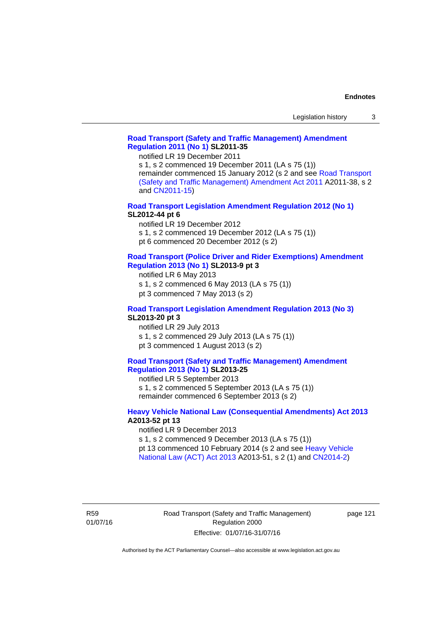#### **[Road Transport \(Safety and Traffic Management\) Amendment](http://www.legislation.act.gov.au/sl/2011-35)  [Regulation 2011 \(No 1\)](http://www.legislation.act.gov.au/sl/2011-35) SL2011-35**

notified LR 19 December 2011

s 1, s 2 commenced 19 December 2011 (LA s 75 (1)) remainder commenced 15 January 2012 (s 2 and see [Road Transport](http://www.legislation.act.gov.au/a/2011-38)  [\(Safety and Traffic Management\) Amendment Act 2011](http://www.legislation.act.gov.au/a/2011-38) A2011-38, s 2 and [CN2011-15\)](http://www.legislation.act.gov.au/cn/2011-15/default.asp)

**[Road Transport Legislation Amendment Regulation 2012 \(No 1\)](http://www.legislation.act.gov.au/sl/2012-44/default.asp) SL2012-44 pt 6** 

notified LR 19 December 2012

s 1, s 2 commenced 19 December 2012 (LA s 75 (1))

pt 6 commenced 20 December 2012 (s 2)

#### **[Road Transport \(Police Driver and Rider Exemptions\) Amendment](http://www.legislation.act.gov.au/sl/2013-9/default.asp)  [Regulation 2013 \(No 1\)](http://www.legislation.act.gov.au/sl/2013-9/default.asp) SL2013-9 pt 3**

notified LR 6 May 2013

s 1, s 2 commenced 6 May 2013 (LA s 75 (1))

pt 3 commenced 7 May 2013 (s 2)

#### **[Road Transport Legislation Amendment Regulation 2013 \(No 3\)](http://www.legislation.act.gov.au/sl/2013-20) SL2013-20 pt 3**

notified LR 29 July 2013 s 1, s 2 commenced 29 July 2013 (LA s 75 (1)) pt 3 commenced 1 August 2013 (s 2)

#### **[Road Transport \(Safety and Traffic Management\) Amendment](http://www.legislation.act.gov.au/sl/2013-25)  [Regulation 2013 \(No 1\)](http://www.legislation.act.gov.au/sl/2013-25) SL2013-25**

notified LR 5 September 2013 s 1, s 2 commenced 5 September 2013 (LA s 75 (1)) remainder commenced 6 September 2013 (s 2)

#### **[Heavy Vehicle National Law \(Consequential Amendments\) Act 2013](http://www.legislation.act.gov.au/a/2013-52) A2013-52 pt 13**

notified LR 9 December 2013

s 1, s 2 commenced 9 December 2013 (LA s 75 (1))

pt 13 commenced 10 February 2014 (s 2 and see [Heavy Vehicle](http://www.legislation.act.gov.au/a/2013-51/default.asp) 

[National Law \(ACT\) Act 2013](http://www.legislation.act.gov.au/a/2013-51/default.asp) A2013-51, s 2 (1) and [CN2014-2](http://www.legislation.act.gov.au/cn/2014-2/default.asp))

R59 01/07/16 page 121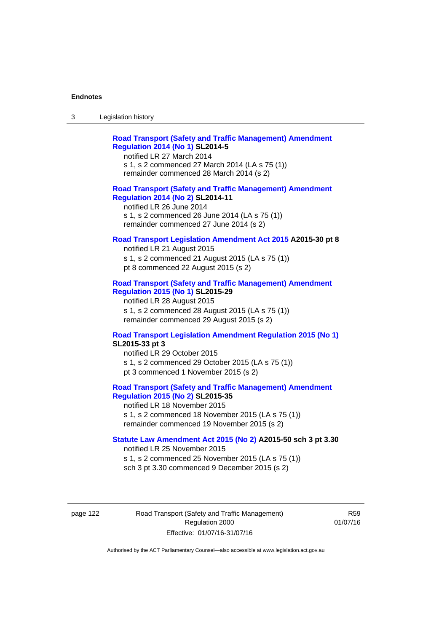| Legislation history<br>-3 |
|---------------------------|
|---------------------------|

| <b>Road Transport (Safety and Traffic Management) Amendment</b> |  |
|-----------------------------------------------------------------|--|
| <b>Regulation 2014 (No 1) SL2014-5</b>                          |  |
| notified LR 27 March 2014                                       |  |

s 1, s 2 commenced 27 March 2014 (LA s 75 (1)) remainder commenced 28 March 2014 (s 2)

#### **[Road Transport \(Safety and Traffic Management\) Amendment](http://www.legislation.act.gov.au/sl/2014-11)  [Regulation 2014 \(No 2\)](http://www.legislation.act.gov.au/sl/2014-11) SL2014-11**

notified LR 26 June 2014 s 1, s 2 commenced 26 June 2014 (LA s 75 (1)) remainder commenced 27 June 2014 (s 2)

#### **[Road Transport Legislation Amendment Act 2015](http://www.legislation.act.gov.au/a/2015-30/default.asp) A2015-30 pt 8**

notified LR 21 August 2015 s 1, s 2 commenced 21 August 2015 (LA s 75 (1)) pt 8 commenced 22 August 2015 (s 2)

#### **[Road Transport \(Safety and Traffic Management\) Amendment](http://www.legislation.act.gov.au/sl/2015-29)  [Regulation 2015 \(No 1\)](http://www.legislation.act.gov.au/sl/2015-29) SL2015-29**

notified LR 28 August 2015 s 1, s 2 commenced 28 August 2015 (LA s 75 (1)) remainder commenced 29 August 2015 (s 2)

## **[Road Transport Legislation Amendment Regulation 2015 \(No 1\)](http://www.legislation.act.gov.au/sl/2015-33) SL2015-33 pt 3**

notified LR 29 October 2015 s 1, s 2 commenced 29 October 2015 (LA s 75 (1)) pt 3 commenced 1 November 2015 (s 2)

### **[Road Transport \(Safety and Traffic Management\) Amendment](http://www.legislation.act.gov.au/sl/2015-35)  [Regulation 2015 \(No 2\)](http://www.legislation.act.gov.au/sl/2015-35) SL2015-35**

notified LR 18 November 2015 s 1, s 2 commenced 18 November 2015 (LA s 75 (1)) remainder commenced 19 November 2015 (s 2)

#### **[Statute Law Amendment Act 2015 \(No 2\)](http://www.legislation.act.gov.au/a/2015-50) A2015-50 sch 3 pt 3.30**

notified LR 25 November 2015 s 1, s 2 commenced 25 November 2015 (LA s 75 (1)) sch 3 pt 3.30 commenced 9 December 2015 (s 2)

page 122 Road Transport (Safety and Traffic Management) Regulation 2000 Effective: 01/07/16-31/07/16

R59 01/07/16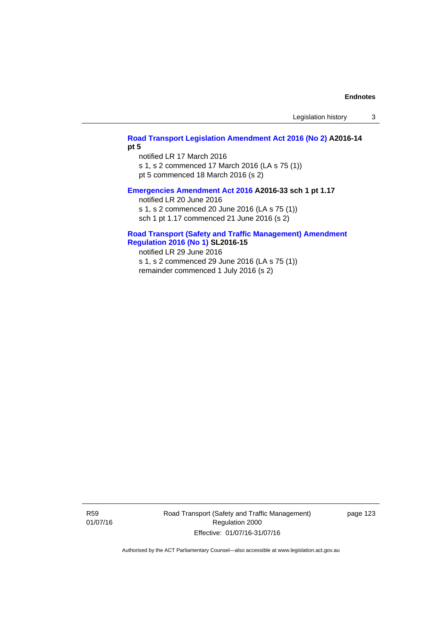Legislation history 3

## **[Road Transport Legislation Amendment Act 2016 \(No 2\)](http://www.legislation.act.gov.au/a/2016-14) A2016-14 pt 5**

notified LR 17 March 2016 s 1, s 2 commenced 17 March 2016 (LA s 75 (1)) pt 5 commenced 18 March 2016 (s 2)

#### **[Emergencies Amendment Act 2016](http://www.legislation.act.gov.au/a/2016-33) A2016-33 sch 1 pt 1.17**

notified LR 20 June 2016 s 1, s 2 commenced 20 June 2016 (LA s 75 (1)) sch 1 pt 1.17 commenced 21 June 2016 (s 2)

#### **[Road Transport \(Safety and Traffic Management\) Amendment](http://www.legislation.act.gov.au/sl/2016-15)  [Regulation 2016 \(No 1\)](http://www.legislation.act.gov.au/sl/2016-15) SL2016-15**

notified LR 29 June 2016 s 1, s 2 commenced 29 June 2016 (LA s 75 (1)) remainder commenced 1 July 2016 (s 2)

R59 01/07/16 Road Transport (Safety and Traffic Management) Regulation 2000 Effective: 01/07/16-31/07/16

page 123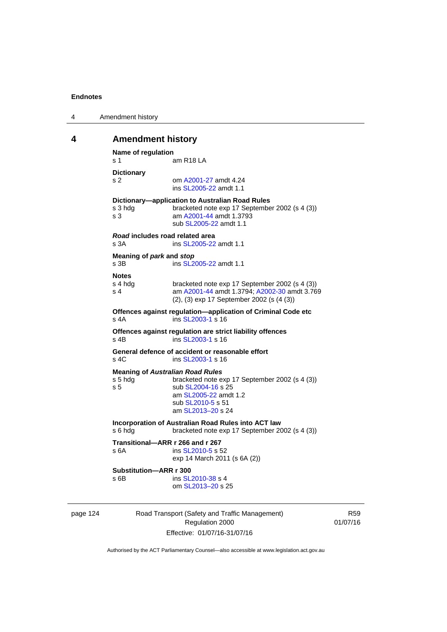| 4 | Amendment history |
|---|-------------------|
|---|-------------------|

# **4 Amendment history**

```
Name of regulation 
s 1 am R18 LA
Dictionary 
s 2 om A2001-27 amdt 4.24
                ins SL2005-22 amdt 1.1 
Dictionary—application to Australian Road Rules 
s 3 hdg bracketed note exp 17 September 2002 (s 4 (3))
s 3 am A2001-44 amdt 1.3793 
                sub SL2005-22 amdt 1.1 
Road includes road related area 
s 3A ins SL2005-22 amdt 1.1
Meaning of park and stop
SL2005-22 amdt 1.1
Notes 
s 4 hdg bracketed note exp 17 September 2002 (s 4 (3))<br>s 4 am A2001-44 amdt 1.3794: A2002-30 amdt 3.76
                A2001-44 A2002-30 amdt 3.769
                (2), (3) exp 17 September 2002 (s (4 (3)) 
Offences against regulation—application of Criminal Code etc 
SL2003-1 s 16
Offences against regulation are strict liability offences 
SL2003-1 s 16
General defence of accident or reasonable effort 
SL2003-1 s 16
Meaning of Australian Road Rules
s 5 hdg bracketed note exp 17 September 2002 (s 4 (3)) 
SL2004-16 s 25
                 am SL2005-22 amdt 1.2 
                sub SL2010-5 s 51 
                 am SL2013–20 s 24 
Incorporation of Australian Road Rules into ACT law 
s 6 hdg bracketed note exp 17 September 2002 (s 4 (3)) 
Transitional—ARR r 266 and r 267 
SL2010-5 s 52
                exp 14 March 2011 (s 6A (2)) 
Substitution—ARR r 300 
SL2010-38 s 4
                 om SL2013–20 s 25
```
page 124 Road Transport (Safety and Traffic Management) Regulation 2000 Effective: 01/07/16-31/07/16

R59 01/07/16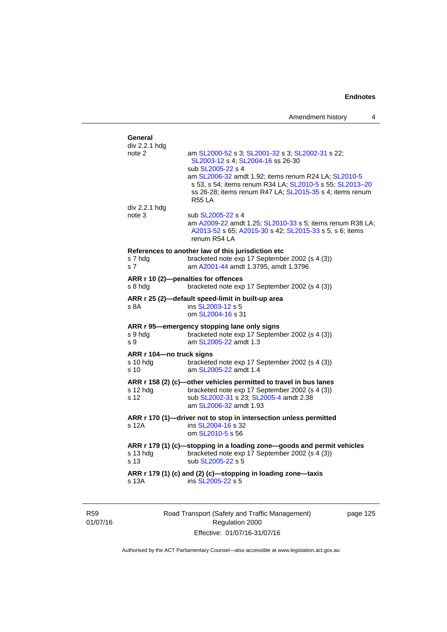| General<br>div 2.2.1 hdg                          |                                                                                                                                                                                               |
|---------------------------------------------------|-----------------------------------------------------------------------------------------------------------------------------------------------------------------------------------------------|
| note 2                                            | am SL2000-52 s 3; SL2001-32 s 3; SL2002-31 s 22;<br>SL2003-12 s 4; SL2004-16 ss 26-30<br>sub SL2005-22 s 4                                                                                    |
|                                                   | am SL2006-32 amdt 1.92; items renum R24 LA; SL2010-5<br>s 53, s 54; items renum R34 LA; SL2010-5 s 55; SL2013-20<br>ss 26-28; items renum R47 LA; SL2015-35 s 4; items renum<br><b>R55 LA</b> |
| div 2.2.1 hdg                                     |                                                                                                                                                                                               |
| note 3                                            | sub SL2005-22 s 4<br>am A2009-22 amdt 1.25; SL2010-33 s 5; items renum R38 LA;<br>A2013-52 s 65; A2015-30 s 42; SL2015-33 s 5, s 6; items<br>renum R54 LA                                     |
|                                                   | References to another law of this jurisdiction etc                                                                                                                                            |
| s 7 hdg<br>s <sub>7</sub>                         | bracketed note exp 17 September 2002 (s 4 (3))<br>am A2001-44 amdt 1.3795, amdt 1.3796                                                                                                        |
|                                                   | ARR r 10 (2)-penalties for offences                                                                                                                                                           |
| s 8 hda                                           | bracketed note exp 17 September 2002 (s 4 (3))                                                                                                                                                |
| ARR r 25 (2)-default speed-limit in built-up area |                                                                                                                                                                                               |
| s 8A                                              | ins SL2003-12 s 5<br>om SL2004-16 s 31                                                                                                                                                        |
|                                                   | ARR r 95-emergency stopping lane only signs                                                                                                                                                   |
| s 9 hdg<br>s 9                                    | bracketed note exp 17 September 2002 (s 4 (3))<br>am SL2005-22 amdt 1.3                                                                                                                       |
| ARR r 104-no truck signs                          |                                                                                                                                                                                               |
| s 10 hdg<br>s 10                                  | bracketed note exp 17 September 2002 (s 4 (3))<br>am SL2005-22 amdt 1.4                                                                                                                       |
|                                                   | ARR r 158 (2) (c)-other vehicles permitted to travel in bus lanes                                                                                                                             |
| s 12 hdg                                          | bracketed note exp 17 September 2002 (s 4 (3))                                                                                                                                                |
| s 12                                              | sub SL2002-31 s 23; SL2005-4 amdt 2.38<br>am SL2006-32 amdt 1.93                                                                                                                              |
|                                                   | ARR r 170 (1)-driver not to stop in intersection unless permitted                                                                                                                             |
| s 12A                                             | ins SL2004-16 s 32<br>om SL2010-5 s 56                                                                                                                                                        |
|                                                   | ARR r 179 (1) (c)-stopping in a loading zone-goods and permit vehicles                                                                                                                        |
| s 13 hdg<br>s 13                                  | bracketed note exp 17 September 2002 (s 4 (3))<br>sub SL2005-22 s 5                                                                                                                           |
| s 13A                                             | ARR r 179 (1) (c) and (2) (c)-stopping in loading zone-taxis<br>ins SL2005-22 s 5                                                                                                             |
|                                                   |                                                                                                                                                                                               |

R59 01/07/16 Road Transport (Safety and Traffic Management) Regulation 2000 Effective: 01/07/16-31/07/16

page 125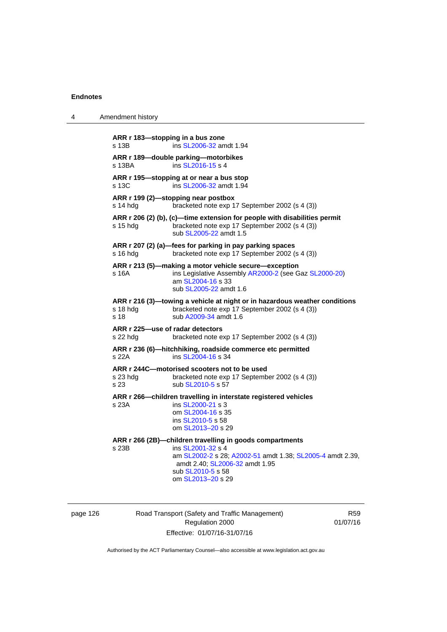4 Amendment history

| ARR r 183-stopping in a bus zone<br>s 13B    | ins SL2006-32 amdt 1.94                                                                                                                                                                                                |
|----------------------------------------------|------------------------------------------------------------------------------------------------------------------------------------------------------------------------------------------------------------------------|
| s 13BA                                       | ARR r 189-double parking-motorbikes<br>ins SL2016-15 s 4                                                                                                                                                               |
| s 13C                                        | ARR r 195—stopping at or near a bus stop<br>ins SL2006-32 amdt 1.94                                                                                                                                                    |
| s 14 hda                                     | ARR r 199 (2)-stopping near postbox<br>bracketed note exp 17 September 2002 (s 4 (3))                                                                                                                                  |
| s 15 hdg                                     | ARR r 206 (2) (b), (c)-time extension for people with disabilities permit<br>bracketed note exp 17 September 2002 (s 4 (3))<br>sub SL2005-22 amdt 1.5                                                                  |
| s 16 hdg                                     | ARR r 207 (2) (a)-fees for parking in pay parking spaces<br>bracketed note exp 17 September 2002 (s 4 (3))                                                                                                             |
| s 16A                                        | ARR r 213 (5)—making a motor vehicle secure—exception<br>ins Legislative Assembly AR2000-2 (see Gaz SL2000-20)<br>am SL2004-16 s 33<br>sub SL2005-22 amdt 1.6                                                          |
| s 18 hdg<br>s 18                             | ARR r 216 (3)-towing a vehicle at night or in hazardous weather conditions<br>bracketed note exp 17 September 2002 (s 4 (3))<br>sub A2009-34 amdt 1.6                                                                  |
| ARR r 225-use of radar detectors<br>s 22 hdg | bracketed note exp 17 September 2002 (s 4 (3))                                                                                                                                                                         |
| s 22A                                        | ARR r 236 (6)-hitchhiking, roadside commerce etc permitted<br>ins SL2004-16 s 34                                                                                                                                       |
| s 23 hda<br>s 23                             | ARR r 244C-motorised scooters not to be used<br>bracketed note exp 17 September 2002 (s 4 (3))<br>sub SL2010-5 s 57                                                                                                    |
| s 23A                                        | ARR r 266-children travelling in interstate registered vehicles<br>ins SL2000-21 s 3<br>om SL2004-16 s 35<br>ins SL2010-5 s 58<br>om SL2013-20 s 29                                                                    |
| s 23B                                        | ARR r 266 (2B)-children travelling in goods compartments<br>ins SL2001-32 s 4<br>am SL2002-2 s 28; A2002-51 amdt 1.38; SL2005-4 amdt 2.39,<br>amdt 2.40; SL2006-32 amdt 1.95<br>sub SL2010-5 s 58<br>om SL2013-20 s 29 |

| page 126 |  |
|----------|--|
|----------|--|

Road Transport (Safety and Traffic Management) Regulation 2000 Effective: 01/07/16-31/07/16

R59 01/07/16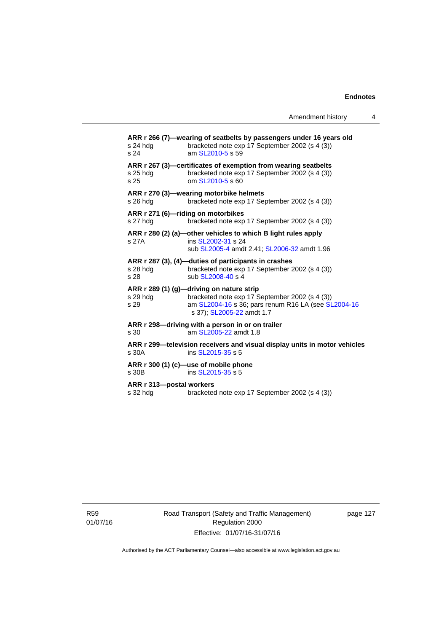| s 24 hda<br>s 24                     | ARR r 266 (7)—wearing of seatbelts by passengers under 16 years old<br>bracketed note exp 17 September 2002 (s 4 (3))<br>am SL2010-5 s 59                                       |
|--------------------------------------|---------------------------------------------------------------------------------------------------------------------------------------------------------------------------------|
| $s$ 25 hdg<br>s 25                   | ARR r 267 (3)—certificates of exemption from wearing seatbelts<br>bracketed note exp 17 September 2002 (s 4 (3))<br>om SL2010-5 s 60                                            |
| s 26 hdg                             | ARR r 270 (3)—wearing motorbike helmets<br>bracketed note exp 17 September 2002 (s 4 (3))                                                                                       |
| s 27 hdg                             | ARR r 271 (6)-riding on motorbikes<br>bracketed note exp 17 September 2002 (s 4 (3))                                                                                            |
| s 27A                                | ARR r 280 (2) (a)—other vehicles to which B light rules apply<br>ins SL2002-31 s 24<br>sub SL2005-4 amdt 2.41; SL2006-32 amdt 1.96                                              |
| s 28 hdg<br>s 28                     | ARR r 287 (3), (4)-duties of participants in crashes<br>bracketed note exp 17 September 2002 (s 4 (3))<br>sub SL2008-40 s 4                                                     |
| s 29 hdg<br>s 29                     | ARR r 289 (1) (g)—driving on nature strip<br>bracketed note exp 17 September 2002 (s 4 (3))<br>am SL2004-16 s 36; pars renum R16 LA (see SL2004-16<br>s 37); SL2005-22 amdt 1.7 |
| s <sub>30</sub>                      | ARR r 298-driving with a person in or on trailer<br>am SL2005-22 amdt 1.8                                                                                                       |
| s 30A                                | ARR r 299—television receivers and visual display units in motor vehicles<br>ins SL2015-35 s 5                                                                                  |
| s 30B                                | ARR r 300 (1) (c)—use of mobile phone<br>ins SL2015-35 s 5                                                                                                                      |
| ARR r 313-postal workers<br>s 32 hdg | bracketed note exp 17 September 2002 (s 4 (3))                                                                                                                                  |

R59 01/07/16 Road Transport (Safety and Traffic Management) Regulation 2000 Effective: 01/07/16-31/07/16

page 127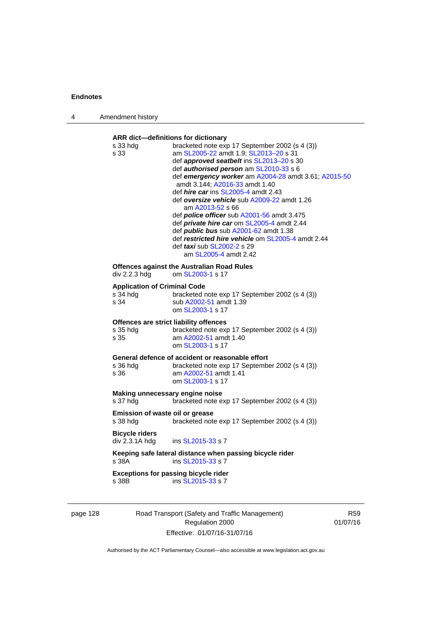| Amendment history                                       |                                                                                                                                                                                                                                                                                                                                                                                                                                                                                                                                                                                                                                                                                                       |
|---------------------------------------------------------|-------------------------------------------------------------------------------------------------------------------------------------------------------------------------------------------------------------------------------------------------------------------------------------------------------------------------------------------------------------------------------------------------------------------------------------------------------------------------------------------------------------------------------------------------------------------------------------------------------------------------------------------------------------------------------------------------------|
| s 33 hdg<br>s 33                                        | ARR dict-definitions for dictionary<br>bracketed note exp 17 September 2002 (s 4 (3))<br>am SL2005-22 amdt 1.9; SL2013-20 s 31<br>def approved seatbelt ins SL2013-20 s 30<br>def authorised person am SL2010-33 s 6<br>def emergency worker am A2004-28 amdt 3.61; A2015-50<br>amdt 3.144; A2016-33 amdt 1.40<br>def <i>hire car</i> ins SL2005-4 amdt 2.43<br>def oversize vehicle sub A2009-22 amdt 1.26<br>am A2013-52 s 66<br>def <i>police officer</i> sub A2001-56 amdt 3.475<br>def private hire car om SL2005-4 amdt 2.44<br>def <b>public bus</b> sub A2001-62 amdt 1.38<br>def restricted hire vehicle om SL2005-4 amdt 2.44<br>def <i>taxi</i> sub SL2002-2 s 29<br>am SL2005-4 amdt 2.42 |
| div 2.2.3 hdg                                           | <b>Offences against the Australian Road Rules</b><br>om SL2003-1 s 17                                                                                                                                                                                                                                                                                                                                                                                                                                                                                                                                                                                                                                 |
| <b>Application of Criminal Code</b><br>s 34 hdg<br>s 34 | bracketed note exp 17 September 2002 (s 4 (3))<br>sub A2002-51 amdt 1.39<br>om SL2003-1 s 17                                                                                                                                                                                                                                                                                                                                                                                                                                                                                                                                                                                                          |
| s 35 hdg<br>s 35                                        | Offences are strict liability offences<br>bracketed note exp 17 September 2002 (s 4 (3))<br>am A2002-51 amdt 1.40<br>om SL2003-1 s 17                                                                                                                                                                                                                                                                                                                                                                                                                                                                                                                                                                 |
| s 36 hdq<br>s 36                                        | General defence of accident or reasonable effort<br>bracketed note exp 17 September 2002 (s 4 (3))<br>am A2002-51 amdt 1.41<br>om SL2003-1 s 17                                                                                                                                                                                                                                                                                                                                                                                                                                                                                                                                                       |
| s 37 hdg                                                | Making unnecessary engine noise<br>bracketed note exp 17 September 2002 (s 4 (3))                                                                                                                                                                                                                                                                                                                                                                                                                                                                                                                                                                                                                     |
| s 38 hdg                                                | <b>Emission of waste oil or grease</b><br>bracketed note exp 17 September 2002 (s 4 (3))                                                                                                                                                                                                                                                                                                                                                                                                                                                                                                                                                                                                              |
| <b>Bicycle riders</b><br>div 2.3.1A hdg                 | ins SL2015-33 s 7                                                                                                                                                                                                                                                                                                                                                                                                                                                                                                                                                                                                                                                                                     |
| s 38A                                                   | Keeping safe lateral distance when passing bicycle rider<br>ins SL2015-33 s 7                                                                                                                                                                                                                                                                                                                                                                                                                                                                                                                                                                                                                         |
| s 38B                                                   | <b>Exceptions for passing bicycle rider</b><br>ins SL2015-33 s 7                                                                                                                                                                                                                                                                                                                                                                                                                                                                                                                                                                                                                                      |
|                                                         |                                                                                                                                                                                                                                                                                                                                                                                                                                                                                                                                                                                                                                                                                                       |

page 128 Road Transport (Safety and Traffic Management) Regulation 2000 Effective: 01/07/16-31/07/16

R59 01/07/16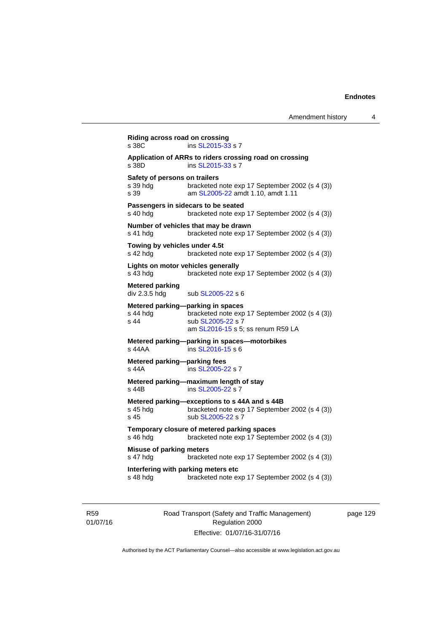```
Riding across road on crossing 
SL2015-33 s 7
Application of ARRs to riders crossing road on crossing 
                SL2015-33 s 7
Safety of persons on trailers<br>s 39 hdg bracketed
                bracketed note exp 17 September 2002 (s 4 (3))
s 39 am SL2005-22 amdt 1.10, amdt 1.11
Passengers in sidecars to be seated 
s 40 hdg bracketed note exp 17 September 2002 (s 4 (3))
Number of vehicles that may be drawn 
s 41 hdg bracketed note exp 17 September 2002 (s 4 (3)) 
Towing by vehicles under 4.5t 
s 42 hdg bracketed note exp 17 September 2002 (s 4 (3))
Lights on motor vehicles generally 
s 43 hdg bracketed note exp 17 September 2002 (s 4 (3)) 
Metered parking 
div 2.3.5 hdg sub SL2005-22 s 6
Metered parking—parking in spaces 
s 44 hdg bracketed note exp 17 September 2002 (s 4 (3))
SL2005-22 s 7
                 am SL2016-15 s 5; ss renum R59 LA
Metered parking—parking in spaces—motorbikes 
s 44AA SL2016-15 s 6
Metered parking—parking fees 
s 44A ins SL2005-22 s 7 
Metered parking—maximum length of stay 
s 44B ins SL2005-22 s 7 
Metered parking—exceptions to s 44A and s 44B 
s 45 hdg bracketed note exp 17 September 2002 (s 4 (3))
SL2005-22 s 7
Temporary closure of metered parking spaces 
s 46 hdg bracketed note exp 17 September 2002 (s 4 (3)) 
Misuse of parking meters 
s 47 hdg bracketed note exp 17 September 2002 (s 4 (3)) 
Interfering with parking meters etc 
s 48 hdg bracketed note exp 17 September 2002 (s 4 (3))
```
R59 01/07/16 Road Transport (Safety and Traffic Management) Regulation 2000 Effective: 01/07/16-31/07/16

page 129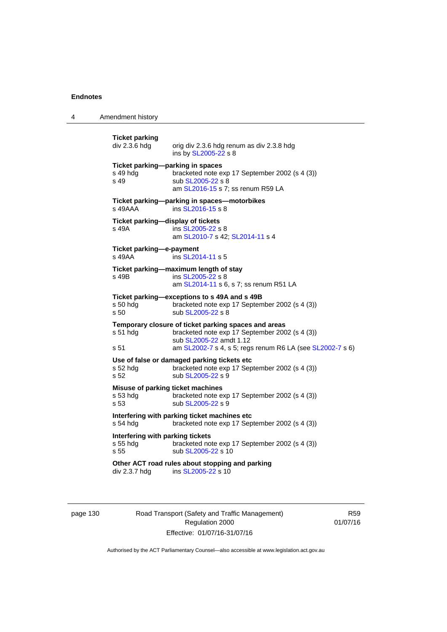4 Amendment history

**Ticket parking**  orig div 2.3.6 hdg renum as div 2.3.8 hdg ins by [SL2005-22](http://www.legislation.act.gov.au/sl/2005-22) s 8 **Ticket parking—parking in spaces**  s 49 hdg bracketed note exp 17 September 2002 (s 4 (3)) s 49 sub [SL2005-22](http://www.legislation.act.gov.au/sl/2005-22) s 8 am [SL2016-15](http://www.legislation.act.gov.au/sl/2016-15) s 7; ss renum R59 LA **Ticket parking—parking in spaces—motorbikes**  s 49AAA ins [SL2016-15](http://www.legislation.act.gov.au/sl/2016-15) s 8 **Ticket parking—display of tickets**  s 49A ins [SL2005-22](http://www.legislation.act.gov.au/sl/2005-22) s 8 am [SL2010-7](http://www.legislation.act.gov.au/sl/2010-7) s 42; [SL2014-11](http://www.legislation.act.gov.au/sl/2014-11) s 4 **Ticket parking—e-payment**  s 49AA **ins [SL2014-11](http://www.legislation.act.gov.au/sl/2014-11) s 5 Ticket parking—maximum length of stay**  s 49B ins [SL2005-22](http://www.legislation.act.gov.au/sl/2005-22) s 8 am [SL2014-11](http://www.legislation.act.gov.au/sl/2014-11) s 6, s 7; ss renum R51 LA **Ticket parking—exceptions to s 49A and s 49B**  s 50 hdg bracketed note exp 17 September 2002 (s 4 (3)) s 50 sub [SL2005-22](http://www.legislation.act.gov.au/sl/2005-22) s 8 **Temporary closure of ticket parking spaces and areas**  s 51 hdg bracketed note exp 17 September 2002 (s 4 (3)) sub [SL2005-22](http://www.legislation.act.gov.au/sl/2005-22) amdt 1.12 s 51 **am [SL2002-7](http://www.legislation.act.gov.au/sl/2002-7) s 4, s 5; regs renum R6 LA (see [SL2002-7](http://www.legislation.act.gov.au/sl/2002-7) s 6) Use of false or damaged parking tickets etc**  s 52 hdg bracketed note exp 17 September 2002 (s 4 (3))<br>s 52 sub SL2005-22 s 9 sub [SL2005-22](http://www.legislation.act.gov.au/sl/2005-22) s 9 **Misuse of parking ticket machines**  s 53 hdg bracketed note exp 17 September 2002 (s 4 (3)) s 53 sub [SL2005-22](http://www.legislation.act.gov.au/sl/2005-22) s 9 **Interfering with parking ticket machines etc**  s 54 hdg bracketed note exp 17 September 2002 (s 4 (3)) **Interfering with parking tickets**  s 55 hdg bracketed note exp 17 September 2002 (s 4 (3)) s 55 sub [SL2005-22](http://www.legislation.act.gov.au/sl/2005-22) s 10 **Other ACT road rules about stopping and parking**  div 2.3.7 hdg ins [SL2005-22](http://www.legislation.act.gov.au/sl/2005-22) s 10

page 130 Road Transport (Safety and Traffic Management) Regulation 2000 Effective: 01/07/16-31/07/16

R59 01/07/16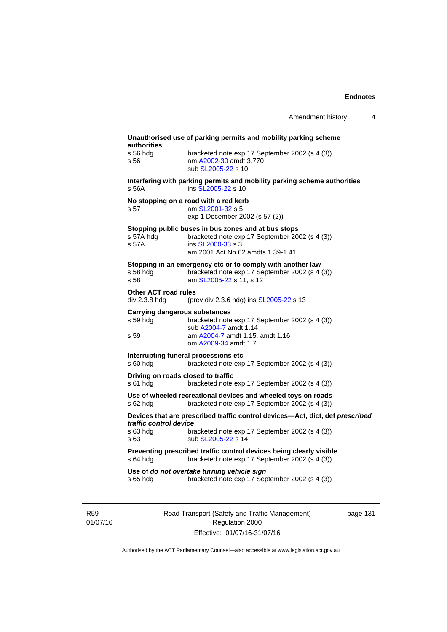| authorities<br>s 56 hda               | bracketed note exp 17 September 2002 (s 4 (3))                                                                                                                  |
|---------------------------------------|-----------------------------------------------------------------------------------------------------------------------------------------------------------------|
| s 56                                  | am A2002-30 amdt 3.770<br>sub SL 2005-22 s 10                                                                                                                   |
| s.56A                                 | Interfering with parking permits and mobility parking scheme authorities<br>ins SL2005-22 s 10                                                                  |
| s 57                                  | No stopping on a road with a red kerb<br>am SL2001-32 s 5<br>exp 1 December 2002 (s 57 (2))                                                                     |
| s 57A hdg<br>s 57A                    | Stopping public buses in bus zones and at bus stops<br>bracketed note exp 17 September 2002 (s 4 (3))<br>ins SL2000-33 s 3<br>am 2001 Act No 62 amdts 1.39-1.41 |
| s 58 hdg<br>s 58                      | Stopping in an emergency etc or to comply with another law<br>bracketed note exp 17 September 2002 (s 4 (3))<br>am SL2005-22 s 11, s 12                         |
| Other ACT road rules<br>div 2.3.8 hdg | (prev div 2.3.6 hdg) ins SL2005-22 s 13                                                                                                                         |
|                                       | <b>Carrying dangerous substances</b>                                                                                                                            |
| s 59 hdg                              | bracketed note exp 17 September 2002 (s 4 (3))<br>sub A2004-7 amdt 1.14                                                                                         |
| s 59                                  | am A2004-7 amdt 1.15, amdt 1.16<br>om A2009-34 amdt 1.7                                                                                                         |
| s 60 hda                              | Interrupting funeral processions etc<br>bracketed note exp 17 September 2002 (s 4 (3))                                                                          |
| s 61 hdg                              | Driving on roads closed to traffic<br>bracketed note exp 17 September 2002 (s 4 (3))                                                                            |
| s 62 hdg                              | Use of wheeled recreational devices and wheeled toys on roads<br>bracketed note exp 17 September 2002 (s 4 (3))                                                 |
| traffic control device                | Devices that are prescribed traffic control devices-Act, dict, def prescribed                                                                                   |
| s 63 hdg<br>s <sub>63</sub>           | bracketed note exp 17 September 2002 (s 4 (3))<br>sub SL2005-22 s 14                                                                                            |
| s 64 hdg                              | Preventing prescribed traffic control devices being clearly visible<br>bracketed note exp 17 September 2002 (s 4 (3))                                           |
|                                       | Use of do not overtake turning vehicle sign<br>bracketed note exp 17 September 2002 (s 4 (3))                                                                   |

R59 01/07/16 Road Transport (Safety and Traffic Management) Regulation 2000 Effective: 01/07/16-31/07/16

page 131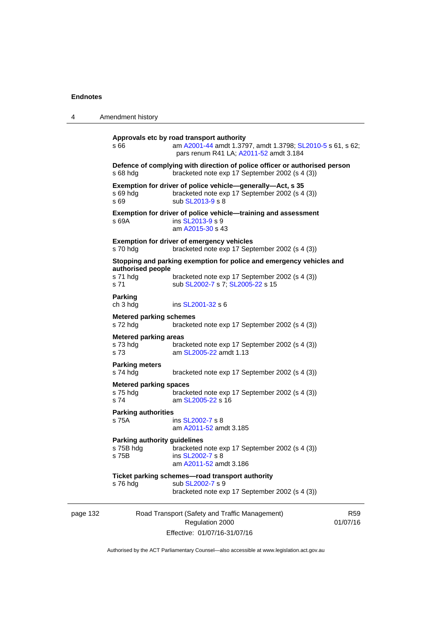| 4        | Amendment history                                         |                                                                                                                                                            |                             |
|----------|-----------------------------------------------------------|------------------------------------------------------------------------------------------------------------------------------------------------------------|-----------------------------|
|          | s 66                                                      | Approvals etc by road transport authority<br>am A2001-44 amdt 1.3797, amdt 1.3798; SL2010-5 s 61, s 62;<br>pars renum R41 LA; A2011-52 amdt 3.184          |                             |
|          | s 68 hdg                                                  | Defence of complying with direction of police officer or authorised person<br>bracketed note exp 17 September 2002 (s 4 (3))                               |                             |
|          | $s$ 69 hdg<br>s 69                                        | Exemption for driver of police vehicle—generally—Act, s 35<br>bracketed note exp 17 September 2002 (s 4 (3))<br>sub SL2013-9 s 8                           |                             |
|          | s 69A                                                     | Exemption for driver of police vehicle-training and assessment<br>ins SL2013-9 s 9<br>am A2015-30 s 43                                                     |                             |
|          | s 70 hdg                                                  | <b>Exemption for driver of emergency vehicles</b><br>bracketed note exp 17 September 2002 (s 4 (3))                                                        |                             |
|          | authorised people<br>s 71 hdg<br>s <sub>71</sub>          | Stopping and parking exemption for police and emergency vehicles and<br>bracketed note exp 17 September 2002 (s 4 (3))<br>sub SL2002-7 s 7; SL2005-22 s 15 |                             |
|          | <b>Parking</b><br>ch 3 hdg                                | ins SL2001-32 s 6                                                                                                                                          |                             |
|          | <b>Metered parking schemes</b><br>s 72 hdg                | bracketed note exp 17 September 2002 (s 4 (3))                                                                                                             |                             |
|          | <b>Metered parking areas</b><br>s 73 hdg<br>s 73          | bracketed note exp 17 September 2002 (s 4 (3))<br>am SL2005-22 amdt 1.13                                                                                   |                             |
|          | <b>Parking meters</b><br>s 74 hdg                         | bracketed note exp 17 September 2002 (s 4 (3))                                                                                                             |                             |
|          | <b>Metered parking spaces</b><br>s 75 hdg<br>s 74         | bracketed note exp 17 September 2002 (s 4 (3))<br>am SL2005-22 s 16                                                                                        |                             |
|          | <b>Parking authorities</b><br>s 75A                       | ins SL2002-7 s 8<br>am A2011-52 amdt 3.185                                                                                                                 |                             |
|          | <b>Parking authority guidelines</b><br>s 75B hdg<br>s 75B | bracketed note exp 17 September 2002 (s 4 (3))<br>ins SL2002-7 s 8<br>am A2011-52 amdt 3.186                                                               |                             |
|          | s 76 hdg                                                  | Ticket parking schemes-road transport authority<br>sub SL2002-7 s 9<br>bracketed note exp 17 September 2002 (s 4 (3))                                      |                             |
| page 132 |                                                           | Road Transport (Safety and Traffic Management)<br>Regulation 2000<br>Effective: 01/07/16-31/07/16                                                          | R <sub>59</sub><br>01/07/16 |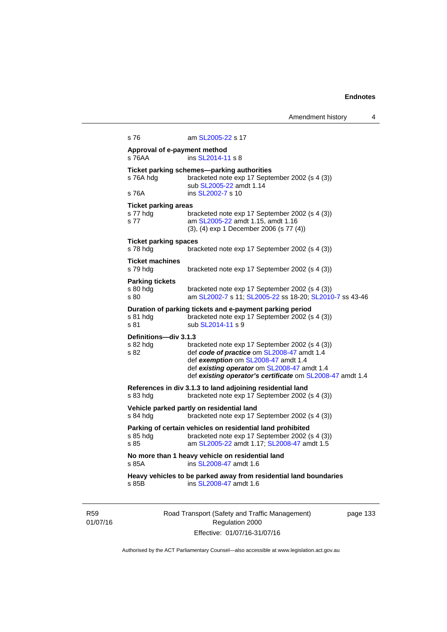Amendment history 4 s 76 am [SL2005-22](http://www.legislation.act.gov.au/sl/2005-22) s 17 **Approval of e-payment method**  s 76AA ins [SL2014-11](http://www.legislation.act.gov.au/sl/2014-11) s 8 **Ticket parking schemes—parking authorities**  bracketed note exp 17 September 2002 (s 4 (3)) sub [SL2005-22](http://www.legislation.act.gov.au/sl/2005-22) amdt 1.14 s 76A ins [SL2002-7](http://www.legislation.act.gov.au/sl/2002-7) s 10 **Ticket parking areas**  s 77 hdg bracketed note exp 17 September 2002 (s 4 (3)) s 77 **am [SL2005-22](http://www.legislation.act.gov.au/sl/2005-22) amdt 1.15, amdt 1.16** (3), (4) exp 1 December 2006 (s 77 (4)) **Ticket parking spaces**  s 78 hdg bracketed note exp 17 September 2002 (s 4 (3)) **Ticket machines**  s 79 hdg bracketed note exp 17 September 2002 (s 4 (3)) **Parking tickets**  s 80 hdg bracketed note exp 17 September 2002 (s 4 (3)) s 80 am [SL2002-7](http://www.legislation.act.gov.au/sl/2002-7) s 11; [SL2005-22](http://www.legislation.act.gov.au/sl/2005-22) ss 18-20; [SL2010-7](http://www.legislation.act.gov.au/sl/2010-7) ss 43-46 **Duration of parking tickets and e-payment parking period**<br>a 81 hda bracketed note exp 17 September 2002 (s s 81 hdg bracketed note exp 17 September 2002 (s 4 (3))<br>s 81 sub SL2014-11 s 9 sub [SL2014-11](http://www.legislation.act.gov.au/sl/2014-11) s 9 **Definitions—div 3.1.3**  s 82 hdg bracketed note exp 17 September 2002 (s 4 (3)) s 82 def *code of practice* om [SL2008-47](http://www.legislation.act.gov.au/sl/2008-47) amdt 1.4 def *exemption* om [SL2008-47](http://www.legislation.act.gov.au/sl/2008-47) amdt 1.4 def *existing operator* om [SL2008-47](http://www.legislation.act.gov.au/sl/2008-47) amdt 1.4 def *existing operator's certificate* om [SL2008-47](http://www.legislation.act.gov.au/sl/2008-47) amdt 1.4 **References in div 3.1.3 to land adjoining residential land**  s 83 hdg bracketed note exp 17 September 2002 (s 4 (3)) **Vehicle parked partly on residential land**  s 84 hdg bracketed note exp 17 September 2002 (s 4 (3)) **Parking of certain vehicles on residential land prohibited**  s 85 hdg bracketed note exp 17 September 2002 (s 4 (3))<br>s 85 **bracketed note 51 2005-22 amdt** 1.17: SI 2008-47 amdt 1.5 am [SL2005-22](http://www.legislation.act.gov.au/sl/2005-22) amdt 1.17; [SL2008-47](http://www.legislation.act.gov.au/sl/2008-47) amdt 1.5 **No more than 1 heavy vehicle on residential land**  s 85A **ins SL2008-47** amdt 1.6 **Heavy vehicles to be parked away from residential land boundaries**  s 85B ins [SL2008-47](http://www.legislation.act.gov.au/sl/2008-47) amdt 1.6

R59 01/07/16 Road Transport (Safety and Traffic Management) Regulation 2000 Effective: 01/07/16-31/07/16

page 133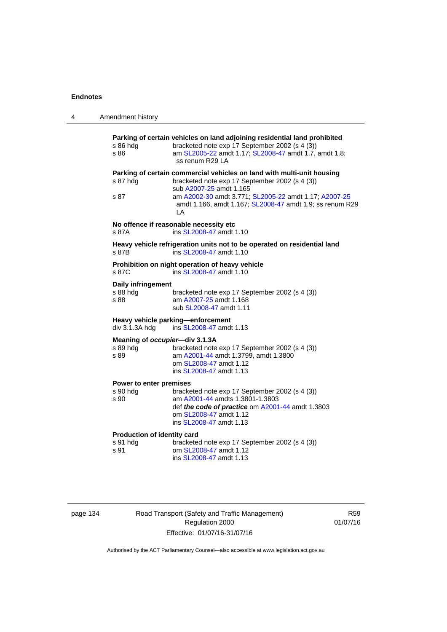| 4 | Amendment history                                   |                                                                                                                                                                                                                                                                                |
|---|-----------------------------------------------------|--------------------------------------------------------------------------------------------------------------------------------------------------------------------------------------------------------------------------------------------------------------------------------|
|   | s 86 hdg<br>s 86                                    | Parking of certain vehicles on land adjoining residential land prohibited<br>bracketed note exp 17 September 2002 (s 4 (3))<br>am SL2005-22 amdt 1.17; SL2008-47 amdt 1.7, amdt 1.8;<br>ss renum R29 LA                                                                        |
|   | s 87 hdg<br>s 87                                    | Parking of certain commercial vehicles on land with multi-unit housing<br>bracketed note exp 17 September 2002 (s 4 (3))<br>sub A2007-25 amdt 1.165<br>am A2002-30 amdt 3.771; SL2005-22 amdt 1.17; A2007-25<br>amdt 1.166, amdt 1.167; SL2008-47 amdt 1.9; ss renum R29<br>ΙA |
|   | s 87A                                               | No offence if reasonable necessity etc<br>ins SL2008-47 amdt 1.10                                                                                                                                                                                                              |
|   | s 87B                                               | Heavy vehicle refrigeration units not to be operated on residential land<br>ins SL2008-47 amdt 1.10                                                                                                                                                                            |
|   | s 87C                                               | Prohibition on night operation of heavy vehicle<br>ins SL2008-47 amdt 1.10                                                                                                                                                                                                     |
|   | Daily infringement<br>s 88 hdg<br>s 88              | bracketed note exp 17 September 2002 (s 4 (3))<br>am A2007-25 amdt 1.168<br>sub SL2008-47 amdt 1.11                                                                                                                                                                            |
|   | Heavy vehicle parking-enforcement<br>div 3.1.3A hdg | ins SL2008-47 amdt 1.13                                                                                                                                                                                                                                                        |
|   | Meaning of occupier-div 3.1.3A<br>s 89 hdg<br>s 89  | bracketed note exp 17 September 2002 (s 4 (3))<br>am A2001-44 amdt 1.3799, amdt 1.3800<br>om SL2008-47 amdt 1.12<br>ins SL2008-47 amdt 1.13                                                                                                                                    |
|   | Power to enter premises<br>s 90 hdg<br>s 90         | bracketed note exp 17 September 2002 (s 4 (3))<br>am A2001-44 amdts 1.3801-1.3803<br>def the code of practice om A2001-44 amdt 1.3803<br>om SL2008-47 amdt 1.12<br>ins SL2008-47 amdt 1.13                                                                                     |
|   | Production of identity card<br>s 91 hdg<br>s 91     | bracketed note exp 17 September 2002 (s 4 (3))<br>om SL2008-47 amdt 1.12<br>ins SL2008-47 amdt 1.13                                                                                                                                                                            |
|   |                                                     |                                                                                                                                                                                                                                                                                |

page 134 Road Transport (Safety and Traffic Management) Regulation 2000 Effective: 01/07/16-31/07/16

R59 01/07/16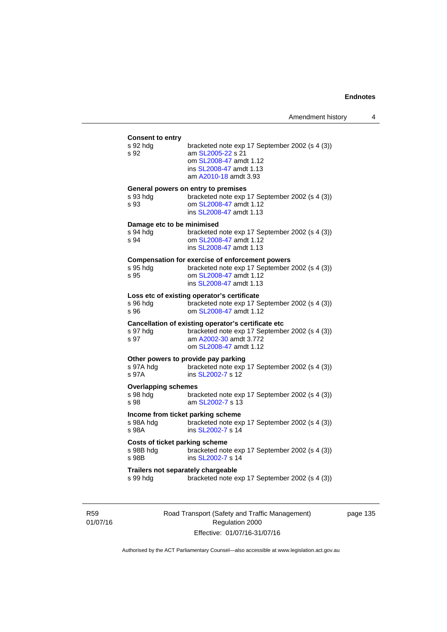| <b>Consent to entry</b><br>s 92 hdg<br>s 92          | bracketed note exp 17 September 2002 (s 4 (3))<br>am SL2005-22 s 21<br>om SL2008-47 amdt 1.12<br>ins SL2008-47 amdt 1.13<br>am A2010-18 amdt 3.93             |
|------------------------------------------------------|---------------------------------------------------------------------------------------------------------------------------------------------------------------|
| s 93 hda<br>s 93                                     | General powers on entry to premises<br>bracketed note exp 17 September 2002 (s 4 (3))<br>om SL2008-47 amdt 1.12<br>ins SL2008-47 amdt 1.13                    |
| Damage etc to be minimised<br>s 94 hda<br>s 94       | bracketed note exp 17 September 2002 (s 4 (3))<br>om SL2008-47 amdt 1.12<br>ins SL2008-47 amdt 1.13                                                           |
| s 95 hdg<br>s 95                                     | <b>Compensation for exercise of enforcement powers</b><br>bracketed note exp 17 September 2002 (s 4 (3))<br>om SL2008-47 amdt 1.12<br>ins SL2008-47 amdt 1.13 |
| s 96 hdg<br>s 96                                     | Loss etc of existing operator's certificate<br>bracketed note exp 17 September 2002 (s 4 (3))<br>om SL2008-47 amdt 1.12                                       |
| s 97 hdg<br>s 97                                     | Cancellation of existing operator's certificate etc<br>bracketed note exp 17 September 2002 (s 4 (3))<br>am A2002-30 amdt 3.772<br>om SL2008-47 amdt 1.12     |
| s 97A hdg<br>s 97A                                   | Other powers to provide pay parking<br>bracketed note exp 17 September 2002 (s 4 (3))<br>ins SL2002-7 s 12                                                    |
| <b>Overlapping schemes</b><br>s 98 hda<br>s 98       | bracketed note exp 17 September 2002 (s 4 (3))<br>am SL2002-7 s 13                                                                                            |
| s 98A hdg<br>s 98A                                   | Income from ticket parking scheme<br>bracketed note exp 17 September 2002 (s 4 (3))<br>ins SL2002-7 s 14                                                      |
| Costs of ticket parking scheme<br>s 98B hdg<br>s 98B | bracketed note exp 17 September 2002 (s 4 (3))<br>ins SL2002-7 s 14                                                                                           |
| s 99 hdg                                             | Trailers not separately chargeable<br>bracketed note exp 17 September 2002 (s 4 (3))                                                                          |

R59 01/07/16 Road Transport (Safety and Traffic Management) Regulation 2000 Effective: 01/07/16-31/07/16

page 135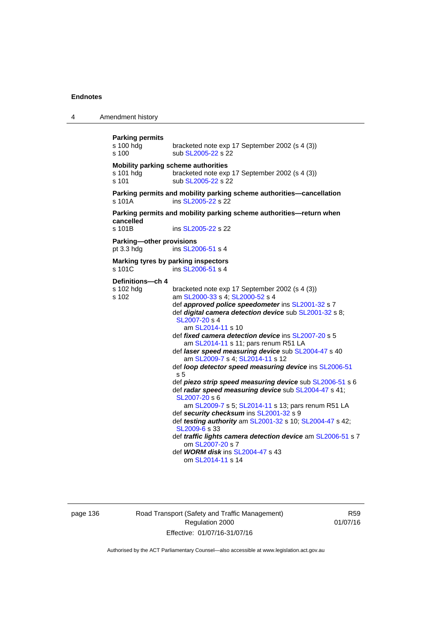4 Amendment history **Parking permits**  s 100 hdg bracketed note exp 17 September 2002 (s 4 (3)) s 100 sub [SL2005-22](http://www.legislation.act.gov.au/sl/2005-22) s 22 **Mobility parking scheme authorities**  s 101 hdg bracketed note exp 17 September 2002 (s 4 (3)) s 101 sub [SL2005-22](http://www.legislation.act.gov.au/sl/2005-22) s 22 **Parking permits and mobility parking scheme authorities—cancellation**  s 101A **ins SL2005-22** s 22 **Parking permits and mobility parking scheme authorities—return when cancelled**  s 101B ins [SL2005-22](http://www.legislation.act.gov.au/sl/2005-22) s 22 **Parking—other provisions**  pt 3.3 hdg ins [SL2006-51](http://www.legislation.act.gov.au/sl/2006-51) s 4 **Marking tyres by parking inspectors**  s 101C ins [SL2006-51](http://www.legislation.act.gov.au/sl/2006-51) s 4 **Definitions—ch 4**  s 102 hdg bracketed note exp 17 September 2002 (s 4 (3)) s 102 am [SL2000-33](http://www.legislation.act.gov.au/sl/2000-33) s 4; [SL2000-52](http://www.legislation.act.gov.au/sl/2000-52) s 4 def *approved police speedometer* ins [SL2001-32](http://www.legislation.act.gov.au/sl/2001-32) s 7 def *digital camera detection device* sub [SL2001-32](http://www.legislation.act.gov.au/sl/2001-32) s 8; [SL2007-20](http://www.legislation.act.gov.au/sl/2007-20) s 4 am [SL2014-11](http://www.legislation.act.gov.au/sl/2014-11) s 10 def *fixed camera detection device* ins [SL2007-20](http://www.legislation.act.gov.au/sl/2007-20) s 5 am [SL2014-11](http://www.legislation.act.gov.au/sl/2014-11) s 11; pars renum R51 LA def *laser speed measuring device* sub [SL2004-47](http://www.legislation.act.gov.au/sl/2004-47) s 40 am [SL2009-7](http://www.legislation.act.gov.au/sl/2009-7) s 4; [SL2014-11](http://www.legislation.act.gov.au/sl/2014-11) s 12 def *loop detector speed measuring device* ins [SL2006-51](http://www.legislation.act.gov.au/sl/2006-51) s 5 def *piezo strip speed measuring device* sub [SL2006-51](http://www.legislation.act.gov.au/sl/2006-51) s 6 def *radar speed measuring device* sub [SL2004-47](http://www.legislation.act.gov.au/sl/2004-47) s 41; [SL2007-20](http://www.legislation.act.gov.au/sl/2007-20) s 6 am [SL2009-7](http://www.legislation.act.gov.au/sl/2009-7) s 5; [SL2014-11](http://www.legislation.act.gov.au/sl/2014-11) s 13; pars renum R51 LA def *security checksum* ins [SL2001-32](http://www.legislation.act.gov.au/sl/2001-32) s 9 def *testing authority* am [SL2001-32](http://www.legislation.act.gov.au/sl/2001-32) s 10; [SL2004-47](http://www.legislation.act.gov.au/sl/2004-47) s 42; [SL2009-6](http://www.legislation.act.gov.au/sl/2009-6) s 33 def *traffic lights camera detection device* am [SL2006-51](http://www.legislation.act.gov.au/sl/2006-51) s 7 om [SL2007-20](http://www.legislation.act.gov.au/sl/2007-20) s 7 def *WORM disk* ins [SL2004-47](http://www.legislation.act.gov.au/sl/2004-47) s 43 om [SL2014-11](http://www.legislation.act.gov.au/sl/2014-11) s 14

page 136 Road Transport (Safety and Traffic Management) Regulation 2000 Effective: 01/07/16-31/07/16

R59 01/07/16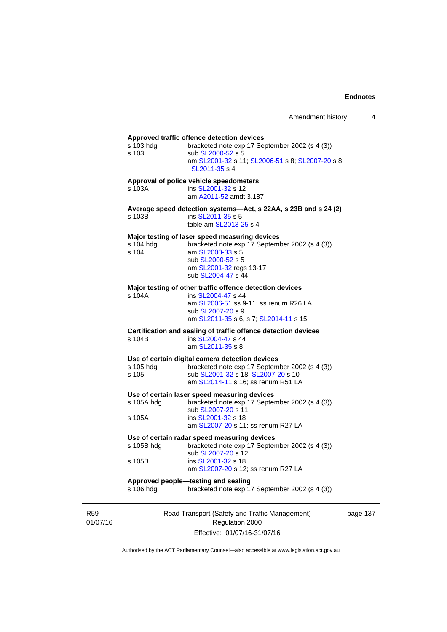# **Approved traffic offence detection devices**

| s 103 hdg<br>s 103   | bracketed note exp 17 September 2002 (s 4 (3))<br>sub SL2000-52 s 5<br>am SL2001-32 s 11; SL2006-51 s 8; SL2007-20 s 8;<br>SL2011-35 s 4                                                   |        |
|----------------------|--------------------------------------------------------------------------------------------------------------------------------------------------------------------------------------------|--------|
| s 103A               | Approval of police vehicle speedometers<br>ins SL2001-32 s 12<br>am A2011-52 amdt 3.187                                                                                                    |        |
| s 103B               | Average speed detection systems-Act, s 22AA, s 23B and s 24 (2)<br>ins SL2011-35 s 5<br>table am SL2013-25 s 4                                                                             |        |
| s 104 hdg<br>s 104   | Major testing of laser speed measuring devices<br>bracketed note exp 17 September 2002 (s 4 (3))<br>am SL2000-33 s 5<br>sub SL2000-52 s 5<br>am SL2001-32 regs 13-17<br>sub SL2004-47 s 44 |        |
| s 104A               | Major testing of other traffic offence detection devices<br>ins SL2004-47 s 44<br>am SL2006-51 ss 9-11; ss renum R26 LA<br>sub SL2007-20 s 9<br>am SL2011-35 s 6, s 7; SL2014-11 s 15      |        |
| s 104B               | Certification and sealing of traffic offence detection devices<br>ins SL2004-47 s 44<br>am SL2011-35 s 8                                                                                   |        |
| s 105 hdg<br>s 105   | Use of certain digital camera detection devices<br>bracketed note exp 17 September 2002 (s 4 (3))<br>sub SL2001-32 s 18; SL2007-20 s 10<br>am SL2014-11 s 16; ss renum R51 LA              |        |
| s 105A hdg<br>s 105A | Use of certain laser speed measuring devices<br>bracketed note exp 17 September 2002 (s 4 (3))<br>sub SL2007-20 s 11<br>ins SL2001-32 s 18<br>am SL2007-20 s 11; ss renum R27 LA           |        |
| s 105B hdg           | Use of certain radar speed measuring devices<br>bracketed note exp 17 September 2002 (s 4 (3))<br>sub SL2007-20 s 12                                                                       |        |
| s 105B<br>s 106 hdg  | ins SL2001-32 s 18<br>am SL2007-20 s 12; ss renum R27 LA<br>Approved people-testing and sealing<br>bracketed note exp 17 September 2002 (s 4 (3))                                          |        |
|                      | Road Transport (Safety and Traffic Management)                                                                                                                                             | page 1 |

R59 01/07/16

Regulation 2000 Effective: 01/07/16-31/07/16 137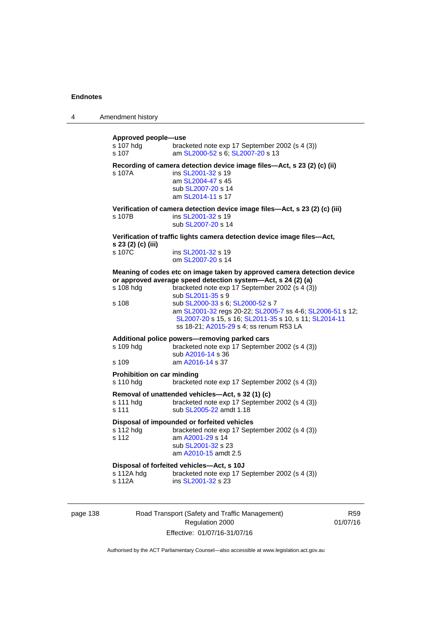4 Amendment history

| Approved people-use<br>s 107 hdg | bracketed note exp 17 September 2002 (s 4 (3))                              |
|----------------------------------|-----------------------------------------------------------------------------|
| s 107                            | am SL2000-52 s 6; SL2007-20 s 13                                            |
|                                  |                                                                             |
| s 107A                           | Recording of camera detection device image files-Act, s 23 (2) (c) (ii)     |
|                                  | ins SL2001-32 s 19<br>am SL2004-47 s 45                                     |
|                                  | sub SL2007-20 s 14                                                          |
|                                  | am SL2014-11 s 17                                                           |
|                                  | Verification of camera detection device image files-Act, s 23 (2) (c) (iii) |
| s 107B                           | ins SL2001-32 s 19                                                          |
|                                  | sub SL2007-20 s 14                                                          |
| s 23 (2) (c) (iii)               | Verification of traffic lights camera detection device image files-Act,     |
| s 107C                           | ins SL2001-32 s 19                                                          |
|                                  | om SL2007-20 s 14                                                           |
|                                  | Meaning of codes etc on image taken by approved camera detection device     |
|                                  | or approved average speed detection system-Act, s 24 (2) (a)                |
| s 108 hdg                        | bracketed note exp 17 September 2002 (s 4 (3))<br>sub SL2011-35 s 9         |
| s 108                            | sub SL2000-33 s 6; SL2000-52 s 7                                            |
|                                  | am SL2001-32 regs 20-22; SL2005-7 ss 4-6; SL2006-51 s 12;                   |
|                                  | SL2007-20 s 15, s 16; SL2011-35 s 10, s 11; SL2014-11                       |
|                                  | ss 18-21; A2015-29 s 4; ss renum R53 LA                                     |
|                                  | Additional police powers-removing parked cars                               |
| s 109 hdg                        | bracketed note exp 17 September 2002 (s 4 (3))                              |
|                                  | sub A2016-14 s 36                                                           |
| s 109                            | am A2016-14 s 37                                                            |
| Prohibition on car minding       |                                                                             |
| s 110 hdg                        | bracketed note exp 17 September 2002 (s 4 (3))                              |
|                                  | Removal of unattended vehicles-Act, s 32 (1) (c)                            |
| s 111 hdg                        | bracketed note exp 17 September 2002 (s 4 (3))                              |
| s 111                            | sub SL2005-22 amdt 1.18                                                     |
|                                  | Disposal of impounded or forfeited vehicles                                 |
| s 112 hdg<br>s 112               | bracketed note exp 17 September 2002 (s 4 (3))<br>am A2001-29 s 14          |
|                                  | sub SL2001-32 s 23                                                          |
|                                  | am A2010-15 amdt 2.5                                                        |
|                                  | Disposal of forfeited vehicles-Act, s 10J                                   |
| s 112A hdg                       | bracketed note exp 17 September 2002 (s 4 (3))                              |
| s 112A                           | ins SL2001-32 s 23                                                          |
|                                  |                                                                             |
|                                  |                                                                             |

page 138 Road Transport (Safety and Traffic Management) Regulation 2000 Effective: 01/07/16-31/07/16

R59 01/07/16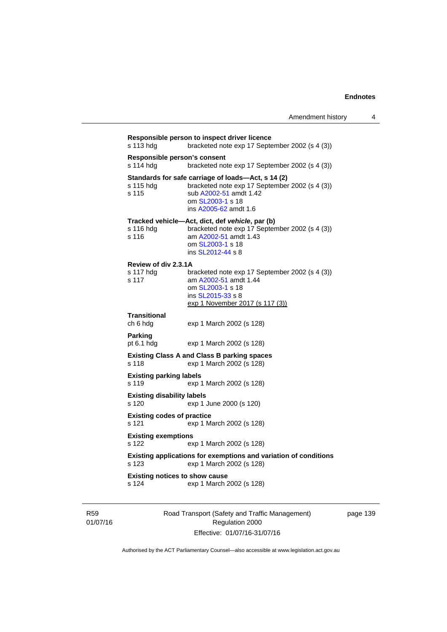```
Responsible person to inspect driver licence 
s 113 hdg bracketed note exp 17 September 2002 (s 4 (3)) 
Responsible person's consent 
s 114 hdg bracketed note exp 17 September 2002 (s 4 (3)) 
Standards for safe carriage of loads—Act, s 14 (2) 
s 115 hdg bracketed note exp 17 September 2002 (s 4 (3)) 
s 115 sub A2002-51 amdt 1.42 
                  om SL2003-1 s 18 
                  ins A2005-62 amdt 1.6 
Tracked vehicle—Act, dict, def vehicle, par (b) 
s 116 hdg bracketed note exp 17 September 2002 (s 4 (3)) 
s 116 am A2002-51 amdt 1.43
                  om SL2003-1 s 18 
                 ins SL2012-44 s 8 
Review of div 2.3.1A 
s 117 hdg bracketed note exp 17 September 2002 (s 4 (3)) 
s 117 am A2002-51 amdt 1.44
                  om SL2003-1 s 18 
                  ins SL2015-33 s 8 
                 exp 1 November 2017 (s 117 (3))
Transitional 
                 exp 1 March 2002 (s 128)
Parking 
pt 6.1 hdg exp 1 March 2002 (s 128) 
Existing Class A and Class B parking spaces 
s 118 exp 1 March 2002 (s 128) 
Existing parking labels 
s 119 exp 1 March 2002 (s 128) 
Existing disability labels 
s 120 exp 1 June 2000 (s 120) 
Existing codes of practice 
s 121 exp 1 March 2002 (s 128) 
Existing exemptions 
s 122 exp 1 March 2002 (s 128) 
Existing applications for exemptions and variation of conditions 
s 123 exp 1 March 2002 (s 128) 
Existing notices to show cause 
s 124 exp 1 March 2002 (s 128)
```
R59 01/07/16 Road Transport (Safety and Traffic Management) Regulation 2000 Effective: 01/07/16-31/07/16

page 139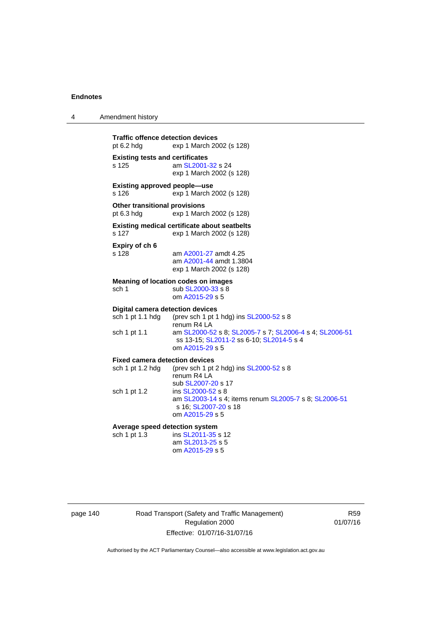4 Amendment history

| <b>Traffic offence detection devices</b><br>pt $6.2$ hdg    | exp 1 March 2002 (s 128)                                                                                               |
|-------------------------------------------------------------|------------------------------------------------------------------------------------------------------------------------|
| <b>Existing tests and certificates</b><br>s 125             | am SL2001-32 s 24<br>exp 1 March 2002 (s 128)                                                                          |
| <b>Existing approved people-use</b><br>s 126                | exp 1 March 2002 (s 128)                                                                                               |
| Other transitional provisions<br>pt $6.3$ hdg               | exp 1 March 2002 (s 128)                                                                                               |
| s 127                                                       | <b>Existing medical certificate about seatbelts</b><br>exp 1 March 2002 (s 128)                                        |
| Expiry of ch 6<br>s 128                                     | am A2001-27 amdt 4.25<br>am A2001-44 amdt 1.3804<br>exp 1 March 2002 (s 128)                                           |
| sch <sub>1</sub>                                            | <b>Meaning of location codes on images</b><br>sub SL2000-33 s 8<br>om A2015-29 s 5                                     |
| <b>Digital camera detection devices</b><br>sch 1 pt 1.1 hdg | (prev sch 1 pt 1 hdg) ins SL2000-52 s 8<br>renum R4 LA                                                                 |
| sch 1 pt 1.1                                                | am SL2000-52 s 8; SL2005-7 s 7; SL2006-4 s 4; SL2006-51<br>ss 13-15; SL2011-2 ss 6-10; SL2014-5 s 4<br>om A2015-29 s 5 |
| <b>Fixed camera detection devices</b>                       |                                                                                                                        |
| sch 1 pt 1.2 hdg                                            | (prev sch 1 pt 2 hdg) ins SL2000-52 s 8<br>renum R4 LA<br>sub SL2007-20 s 17                                           |
| sch 1 pt 1.2                                                | ins SL2000-52 s 8<br>am SL2003-14 s 4; items renum SL2005-7 s 8; SL2006-51<br>s 16; SL2007-20 s 18<br>om A2015-29 s 5  |
| Average speed detection system                              |                                                                                                                        |
| sch 1 pt 1.3                                                | ins SL2011-35 s 12<br>am SL2013-25 s 5<br>om A2015-29 s 5                                                              |

page 140 Road Transport (Safety and Traffic Management) Regulation 2000 Effective: 01/07/16-31/07/16

R59 01/07/16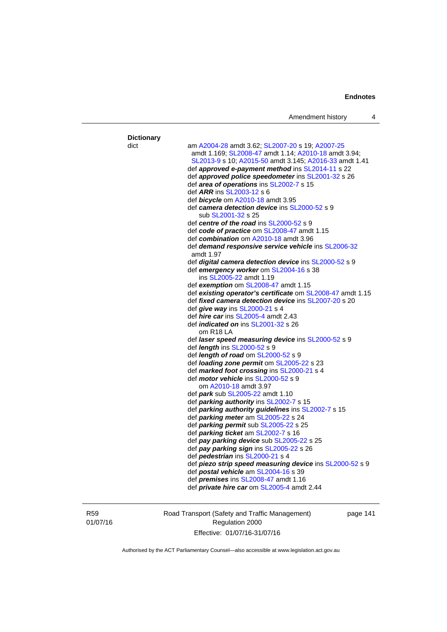| <b>Dictionary</b><br>dict | am A2004-28 amdt 3.62; SL2007-20 s 19; A2007-25                                           |
|---------------------------|-------------------------------------------------------------------------------------------|
|                           | amdt 1.169; SL2008-47 amdt 1.14; A2010-18 amdt 3.94;                                      |
|                           | SL2013-9 s 10; A2015-50 amdt 3.145; A2016-33 amdt 1.41                                    |
|                           | def approved e-payment method ins SL2014-11 s 22                                          |
|                           | def approved police speedometer ins SL2001-32 s 26                                        |
|                           | def area of operations ins SL2002-7 s 15                                                  |
|                           | def ARR ins SL2003-12 s 6                                                                 |
|                           | def <b>bicycle</b> om A2010-18 amdt 3.95<br>def camera detection device ins SL2000-52 s 9 |
|                           | sub SL2001-32 s 25                                                                        |
|                           | def centre of the road ins SL2000-52 s 9                                                  |
|                           | def code of practice om SL2008-47 amdt 1.15                                               |
|                           | def combination om A2010-18 amdt 3.96                                                     |
|                           | def demand responsive service vehicle ins SL2006-32<br>amdt 1.97                          |
|                           | def digital camera detection device ins SL2000-52 s 9                                     |
|                           | def emergency worker om SL2004-16 s 38                                                    |
|                           | ins SL2005-22 amdt 1.19                                                                   |
|                           | def exemption om SL2008-47 amdt 1.15                                                      |
|                           | def existing operator's certificate om SL2008-47 amdt 1.15                                |
|                           | def fixed camera detection device ins SL2007-20 s 20                                      |
|                           | def give way ins SL2000-21 s 4                                                            |
|                           | def <i>hire car</i> ins SL2005-4 amdt 2.43                                                |
|                           | def <i>indicated on</i> ins SL2001-32 s 26<br>om R18 LA                                   |
|                           | def laser speed measuring device ins SL2000-52 s 9                                        |
|                           | def length ins SL2000-52 s 9                                                              |
|                           | def <i>length of road</i> om SL2000-52 s 9                                                |
|                           | def loading zone permit om SL2005-22 s 23                                                 |
|                           | def marked foot crossing ins SL2000-21 s 4                                                |
|                           | def <i>motor vehicle</i> ins SL2000-52 s 9                                                |
|                           | om A2010-18 amdt 3.97                                                                     |
|                           | def <i>park</i> sub SL2005-22 amdt 1.10                                                   |
|                           | def parking authority ins SL2002-7 s 15                                                   |
|                           | def parking authority guidelines ins SL2002-7 s 15                                        |
|                           | def parking meter am SL2005-22 s 24                                                       |
|                           | def parking permit sub SL2005-22 s 25                                                     |
|                           | def parking ticket am SL2002-7 s 16                                                       |
|                           | def pay parking device sub SL2005-22 s 25                                                 |
|                           | def pay parking sign ins SL2005-22 s 26<br>def pedestrian ins SL2000-21 s 4               |
|                           | def piezo strip speed measuring device ins SL2000-52 s 9                                  |
|                           | def postal vehicle am SL2004-16 s 39                                                      |
|                           | def <i>premises</i> ins SL2008-47 amdt 1.16                                               |
|                           | def <i>private hire car</i> om SL2005-4 amdt 2.44                                         |
|                           |                                                                                           |

R59 01/07/16 Road Transport (Safety and Traffic Management) Regulation 2000 Effective: 01/07/16-31/07/16

page 141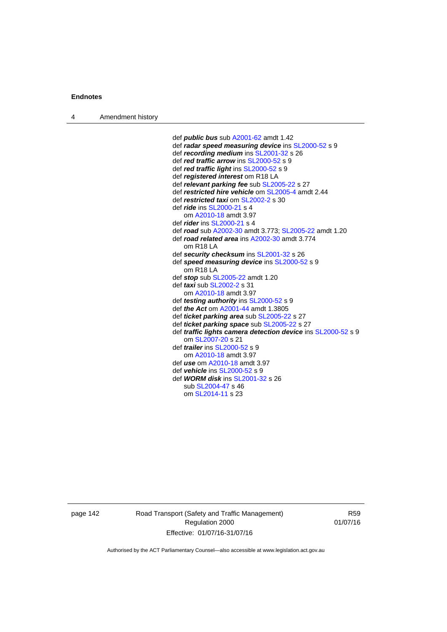4 Amendment history

 def *public bus* sub [A2001-62](http://www.legislation.act.gov.au/a/2001-62) amdt 1.42 def *radar speed measuring device* ins [SL2000-52](http://www.legislation.act.gov.au/sl/2000-52) s 9 def *recording medium* ins [SL2001-32](http://www.legislation.act.gov.au/sl/2001-32) s 26 def *red traffic arrow* ins [SL2000-52](http://www.legislation.act.gov.au/sl/2000-52) s 9 def *red traffic light* ins [SL2000-52](http://www.legislation.act.gov.au/sl/2000-52) s 9 def *registered interest* om R18 LA def *relevant parking fee* sub [SL2005-22](http://www.legislation.act.gov.au/sl/2005-22) s 27 def *restricted hire vehicle* om [SL2005-4](http://www.legislation.act.gov.au/sl/2005-4) amdt 2.44 def *restricted taxi* om [SL2002-2](http://www.legislation.act.gov.au/sl/2002-2) s 30 def *ride* ins [SL2000-21](http://www.legislation.act.gov.au/sl/2000-21) s 4 om [A2010-18](http://www.legislation.act.gov.au/a/2010-18) amdt 3.97 def *rider* ins [SL2000-21](http://www.legislation.act.gov.au/sl/2000-21) s 4 def *road* sub [A2002-30](http://www.legislation.act.gov.au/a/2002-30) amdt 3.773; [SL2005-22](http://www.legislation.act.gov.au/sl/2005-22) amdt 1.20 def *road related area* ins [A2002-30](http://www.legislation.act.gov.au/a/2002-30) amdt 3.774 om R18 LA def *security checksum* ins [SL2001-32](http://www.legislation.act.gov.au/sl/2001-32) s 26 def *speed measuring device* ins [SL2000-52](http://www.legislation.act.gov.au/sl/2000-52) s 9 om R18 LA def *stop* sub [SL2005-22](http://www.legislation.act.gov.au/sl/2005-22) amdt 1.20 def *taxi* sub [SL2002-2](http://www.legislation.act.gov.au/sl/2002-2) s 31 om [A2010-18](http://www.legislation.act.gov.au/a/2010-18) amdt 3.97 def *testing authority* ins [SL2000-52](http://www.legislation.act.gov.au/sl/2000-52) s 9 def *the Act* om [A2001-44](http://www.legislation.act.gov.au/a/2001-44) amdt 1.3805 def *ticket parking area* sub [SL2005-22](http://www.legislation.act.gov.au/sl/2005-22) s 27 def *ticket parking space* sub [SL2005-22](http://www.legislation.act.gov.au/sl/2005-22) s 27 def *traffic lights camera detection device* ins [SL2000-52](http://www.legislation.act.gov.au/sl/2000-52) s 9 om [SL2007-20](http://www.legislation.act.gov.au/sl/2007-20) s 21 def *trailer* ins [SL2000-52](http://www.legislation.act.gov.au/sl/2000-52) s 9 om [A2010-18](http://www.legislation.act.gov.au/a/2010-18) amdt 3.97 def *use* om [A2010-18](http://www.legislation.act.gov.au/a/2010-18) amdt 3.97 def *vehicle* ins [SL2000-52](http://www.legislation.act.gov.au/sl/2000-52) s 9 def *WORM disk* ins [SL2001-32](http://www.legislation.act.gov.au/sl/2001-32) s 26 sub [SL2004-47](http://www.legislation.act.gov.au/sl/2004-47) s 46 om [SL2014-11](http://www.legislation.act.gov.au/sl/2014-11) s 23

page 142 Road Transport (Safety and Traffic Management) Regulation 2000 Effective: 01/07/16-31/07/16

R59 01/07/16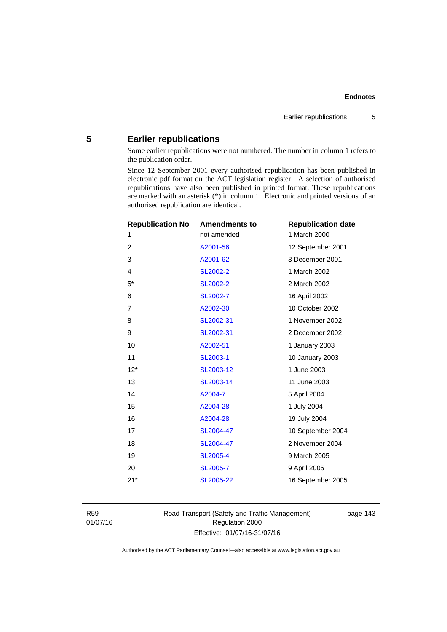# **5 Earlier republications**

Some earlier republications were not numbered. The number in column 1 refers to the publication order.

Since 12 September 2001 every authorised republication has been published in electronic pdf format on the ACT legislation register. A selection of authorised republications have also been published in printed format. These republications are marked with an asterisk (\*) in column 1. Electronic and printed versions of an authorised republication are identical.

| <b>Republication No</b> | <b>Amendments to</b> | <b>Republication date</b> |
|-------------------------|----------------------|---------------------------|
| 1                       | not amended          | 1 March 2000              |
| $\overline{2}$          | A2001-56             | 12 September 2001         |
| 3                       | A2001-62             | 3 December 2001           |
| $\overline{4}$          | SL2002-2             | 1 March 2002              |
| $5*$                    | SL2002-2             | 2 March 2002              |
| 6                       | SL2002-7             | 16 April 2002             |
| $\overline{7}$          | A2002-30             | 10 October 2002           |
| 8                       | SL2002-31            | 1 November 2002           |
| 9                       | SL2002-31            | 2 December 2002           |
| 10                      | A2002-51             | 1 January 2003            |
| 11                      | SL2003-1             | 10 January 2003           |
| $12*$                   | SL2003-12            | 1 June 2003               |
| 13                      | SL2003-14            | 11 June 2003              |
| 14                      | A2004-7              | 5 April 2004              |
| 15                      | A2004-28             | 1 July 2004               |
| 16                      | A2004-28             | 19 July 2004              |
| 17                      | SL2004-47            | 10 September 2004         |
| 18                      | SL2004-47            | 2 November 2004           |
| 19                      | <b>SL2005-4</b>      | 9 March 2005              |
| 20                      | <b>SL2005-7</b>      | 9 April 2005              |
| $21*$                   | SL2005-22            | 16 September 2005         |
|                         |                      |                           |

R59 01/07/16 Road Transport (Safety and Traffic Management) Regulation 2000 Effective: 01/07/16-31/07/16

page 143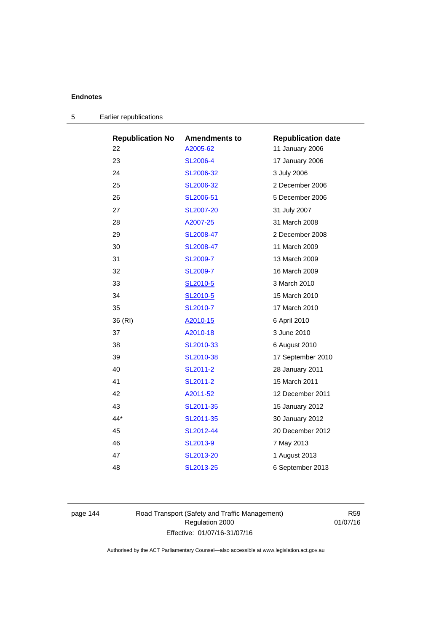| <b>Republication No</b> | <b>Amendments to</b> | <b>Republication date</b> |
|-------------------------|----------------------|---------------------------|
| 22                      | A2005-62             | 11 January 2006           |
| 23                      | <b>SL2006-4</b>      | 17 January 2006           |
| 24                      | SL2006-32            | 3 July 2006               |
| 25                      | SL2006-32            | 2 December 2006           |
| 26                      | SL2006-51            | 5 December 2006           |
| 27                      | <b>SL2007-20</b>     | 31 July 2007              |
| 28                      | A2007-25             | 31 March 2008             |
| 29                      | SL2008-47            | 2 December 2008           |
| 30                      | SL2008-47            | 11 March 2009             |
| 31                      | SL2009-7             | 13 March 2009             |
| 32                      | SL2009-7             | 16 March 2009             |
| 33                      | SL2010-5             | 3 March 2010              |
| 34                      | SL2010-5             | 15 March 2010             |
| 35                      | SL2010-7             | 17 March 2010             |
| 36 (RI)                 | A2010-15             | 6 April 2010              |
| 37                      | A2010-18             | 3 June 2010               |
| 38                      | SL2010-33            | 6 August 2010             |
| 39                      | SL2010-38            | 17 September 2010         |
| 40                      | SL2011-2             | 28 January 2011           |
| 41                      | SL2011-2             | 15 March 2011             |
| 42                      | A2011-52             | 12 December 2011          |
| 43                      | SL2011-35            | 15 January 2012           |
| $44*$                   | SL2011-35            | 30 January 2012           |
| 45                      | SL2012-44            | 20 December 2012          |
| 46                      | SL2013-9             | 7 May 2013                |
| 47                      | SL2013-20            | 1 August 2013             |
| 48                      | SL2013-25            | 6 September 2013          |

page 144 Road Transport (Safety and Traffic Management) Regulation 2000 Effective: 01/07/16-31/07/16

R59 01/07/16